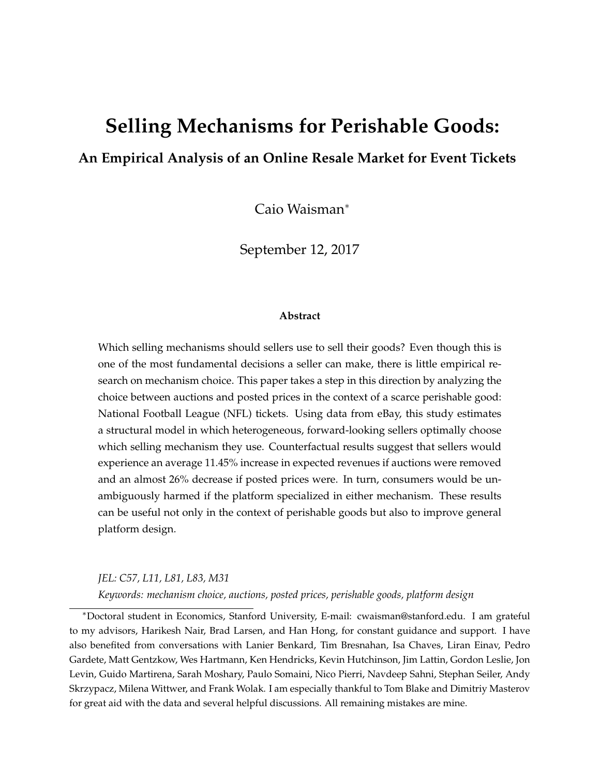# **Selling Mechanisms for Perishable Goods:**

#### **An Empirical Analysis of an Online Resale Market for Event Tickets**

Caio Waisman<sup>∗</sup>

September 12, 2017

#### **Abstract**

Which selling mechanisms should sellers use to sell their goods? Even though this is one of the most fundamental decisions a seller can make, there is little empirical research on mechanism choice. This paper takes a step in this direction by analyzing the choice between auctions and posted prices in the context of a scarce perishable good: National Football League (NFL) tickets. Using data from eBay, this study estimates a structural model in which heterogeneous, forward-looking sellers optimally choose which selling mechanism they use. Counterfactual results suggest that sellers would experience an average 11.45% increase in expected revenues if auctions were removed and an almost 26% decrease if posted prices were. In turn, consumers would be unambiguously harmed if the platform specialized in either mechanism. These results can be useful not only in the context of perishable goods but also to improve general platform design.

*JEL: C57, L11, L81, L83, M31*

*Keywords: mechanism choice, auctions, posted prices, perishable goods, platform design*

<sup>∗</sup>Doctoral student in Economics, Stanford University, E-mail: cwaisman@stanford.edu. I am grateful to my advisors, Harikesh Nair, Brad Larsen, and Han Hong, for constant guidance and support. I have also benefited from conversations with Lanier Benkard, Tim Bresnahan, Isa Chaves, Liran Einav, Pedro Gardete, Matt Gentzkow, Wes Hartmann, Ken Hendricks, Kevin Hutchinson, Jim Lattin, Gordon Leslie, Jon Levin, Guido Martirena, Sarah Moshary, Paulo Somaini, Nico Pierri, Navdeep Sahni, Stephan Seiler, Andy Skrzypacz, Milena Wittwer, and Frank Wolak. I am especially thankful to Tom Blake and Dimitriy Masterov for great aid with the data and several helpful discussions. All remaining mistakes are mine.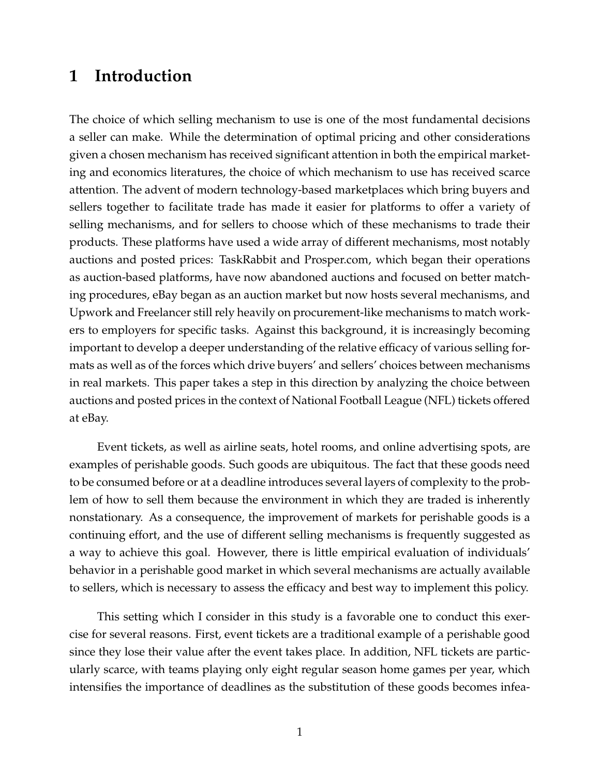### **1 Introduction**

The choice of which selling mechanism to use is one of the most fundamental decisions a seller can make. While the determination of optimal pricing and other considerations given a chosen mechanism has received significant attention in both the empirical marketing and economics literatures, the choice of which mechanism to use has received scarce attention. The advent of modern technology-based marketplaces which bring buyers and sellers together to facilitate trade has made it easier for platforms to offer a variety of selling mechanisms, and for sellers to choose which of these mechanisms to trade their products. These platforms have used a wide array of different mechanisms, most notably auctions and posted prices: TaskRabbit and Prosper.com, which began their operations as auction-based platforms, have now abandoned auctions and focused on better matching procedures, eBay began as an auction market but now hosts several mechanisms, and Upwork and Freelancer still rely heavily on procurement-like mechanisms to match workers to employers for specific tasks. Against this background, it is increasingly becoming important to develop a deeper understanding of the relative efficacy of various selling formats as well as of the forces which drive buyers' and sellers' choices between mechanisms in real markets. This paper takes a step in this direction by analyzing the choice between auctions and posted prices in the context of National Football League (NFL) tickets offered at eBay.

Event tickets, as well as airline seats, hotel rooms, and online advertising spots, are examples of perishable goods. Such goods are ubiquitous. The fact that these goods need to be consumed before or at a deadline introduces several layers of complexity to the problem of how to sell them because the environment in which they are traded is inherently nonstationary. As a consequence, the improvement of markets for perishable goods is a continuing effort, and the use of different selling mechanisms is frequently suggested as a way to achieve this goal. However, there is little empirical evaluation of individuals' behavior in a perishable good market in which several mechanisms are actually available to sellers, which is necessary to assess the efficacy and best way to implement this policy.

This setting which I consider in this study is a favorable one to conduct this exercise for several reasons. First, event tickets are a traditional example of a perishable good since they lose their value after the event takes place. In addition, NFL tickets are particularly scarce, with teams playing only eight regular season home games per year, which intensifies the importance of deadlines as the substitution of these goods becomes infea-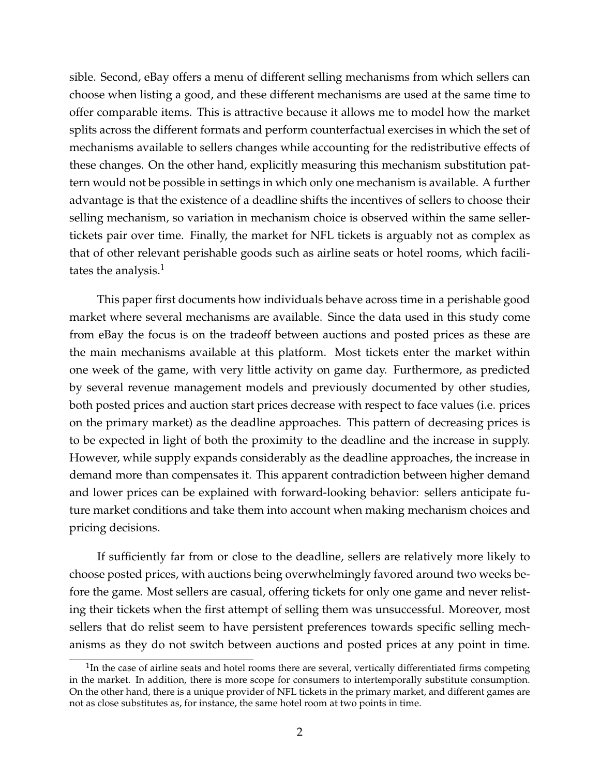sible. Second, eBay offers a menu of different selling mechanisms from which sellers can choose when listing a good, and these different mechanisms are used at the same time to offer comparable items. This is attractive because it allows me to model how the market splits across the different formats and perform counterfactual exercises in which the set of mechanisms available to sellers changes while accounting for the redistributive effects of these changes. On the other hand, explicitly measuring this mechanism substitution pattern would not be possible in settings in which only one mechanism is available. A further advantage is that the existence of a deadline shifts the incentives of sellers to choose their selling mechanism, so variation in mechanism choice is observed within the same sellertickets pair over time. Finally, the market for NFL tickets is arguably not as complex as that of other relevant perishable goods such as airline seats or hotel rooms, which facilitates the analysis. $<sup>1</sup>$ </sup>

This paper first documents how individuals behave across time in a perishable good market where several mechanisms are available. Since the data used in this study come from eBay the focus is on the tradeoff between auctions and posted prices as these are the main mechanisms available at this platform. Most tickets enter the market within one week of the game, with very little activity on game day. Furthermore, as predicted by several revenue management models and previously documented by other studies, both posted prices and auction start prices decrease with respect to face values (i.e. prices on the primary market) as the deadline approaches. This pattern of decreasing prices is to be expected in light of both the proximity to the deadline and the increase in supply. However, while supply expands considerably as the deadline approaches, the increase in demand more than compensates it. This apparent contradiction between higher demand and lower prices can be explained with forward-looking behavior: sellers anticipate future market conditions and take them into account when making mechanism choices and pricing decisions.

If sufficiently far from or close to the deadline, sellers are relatively more likely to choose posted prices, with auctions being overwhelmingly favored around two weeks before the game. Most sellers are casual, offering tickets for only one game and never relisting their tickets when the first attempt of selling them was unsuccessful. Moreover, most sellers that do relist seem to have persistent preferences towards specific selling mechanisms as they do not switch between auctions and posted prices at any point in time.

 $1$ In the case of airline seats and hotel rooms there are several, vertically differentiated firms competing in the market. In addition, there is more scope for consumers to intertemporally substitute consumption. On the other hand, there is a unique provider of NFL tickets in the primary market, and different games are not as close substitutes as, for instance, the same hotel room at two points in time.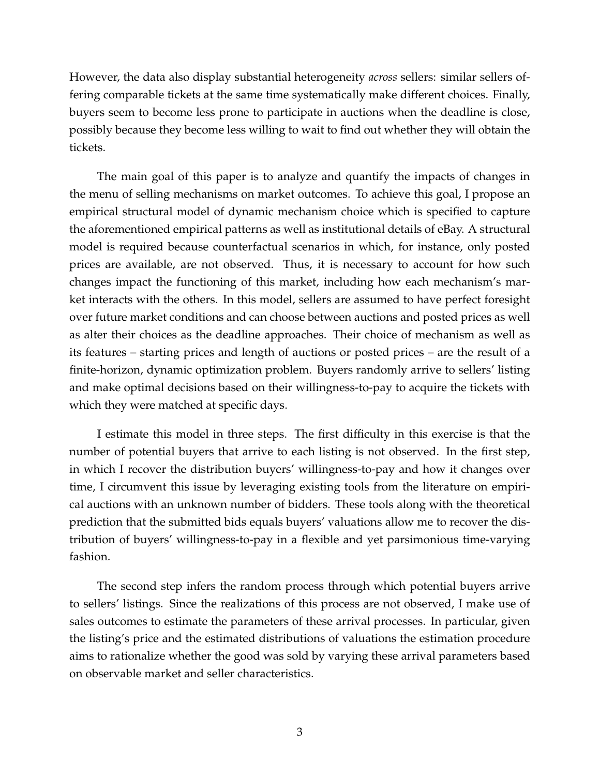However, the data also display substantial heterogeneity *across* sellers: similar sellers offering comparable tickets at the same time systematically make different choices. Finally, buyers seem to become less prone to participate in auctions when the deadline is close, possibly because they become less willing to wait to find out whether they will obtain the tickets.

The main goal of this paper is to analyze and quantify the impacts of changes in the menu of selling mechanisms on market outcomes. To achieve this goal, I propose an empirical structural model of dynamic mechanism choice which is specified to capture the aforementioned empirical patterns as well as institutional details of eBay. A structural model is required because counterfactual scenarios in which, for instance, only posted prices are available, are not observed. Thus, it is necessary to account for how such changes impact the functioning of this market, including how each mechanism's market interacts with the others. In this model, sellers are assumed to have perfect foresight over future market conditions and can choose between auctions and posted prices as well as alter their choices as the deadline approaches. Their choice of mechanism as well as its features – starting prices and length of auctions or posted prices – are the result of a finite-horizon, dynamic optimization problem. Buyers randomly arrive to sellers' listing and make optimal decisions based on their willingness-to-pay to acquire the tickets with which they were matched at specific days.

I estimate this model in three steps. The first difficulty in this exercise is that the number of potential buyers that arrive to each listing is not observed. In the first step, in which I recover the distribution buyers' willingness-to-pay and how it changes over time, I circumvent this issue by leveraging existing tools from the literature on empirical auctions with an unknown number of bidders. These tools along with the theoretical prediction that the submitted bids equals buyers' valuations allow me to recover the distribution of buyers' willingness-to-pay in a flexible and yet parsimonious time-varying fashion.

The second step infers the random process through which potential buyers arrive to sellers' listings. Since the realizations of this process are not observed, I make use of sales outcomes to estimate the parameters of these arrival processes. In particular, given the listing's price and the estimated distributions of valuations the estimation procedure aims to rationalize whether the good was sold by varying these arrival parameters based on observable market and seller characteristics.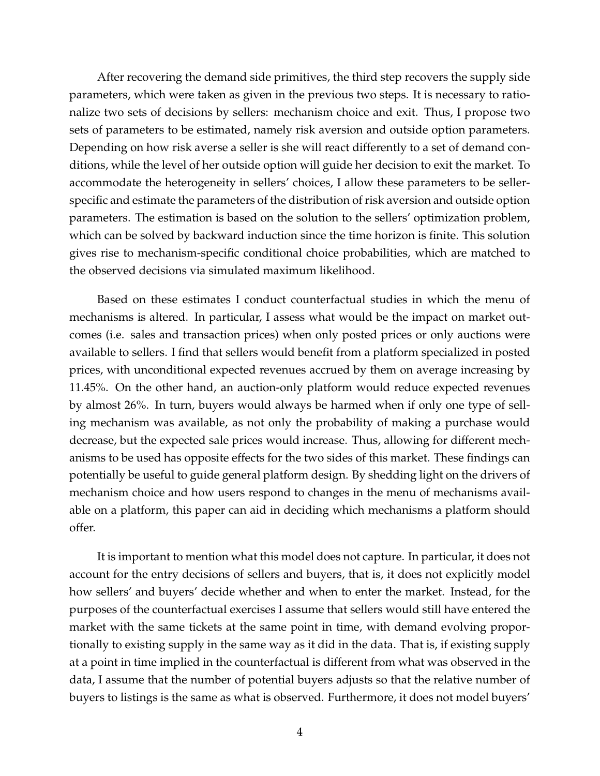After recovering the demand side primitives, the third step recovers the supply side parameters, which were taken as given in the previous two steps. It is necessary to rationalize two sets of decisions by sellers: mechanism choice and exit. Thus, I propose two sets of parameters to be estimated, namely risk aversion and outside option parameters. Depending on how risk averse a seller is she will react differently to a set of demand conditions, while the level of her outside option will guide her decision to exit the market. To accommodate the heterogeneity in sellers' choices, I allow these parameters to be sellerspecific and estimate the parameters of the distribution of risk aversion and outside option parameters. The estimation is based on the solution to the sellers' optimization problem, which can be solved by backward induction since the time horizon is finite. This solution gives rise to mechanism-specific conditional choice probabilities, which are matched to the observed decisions via simulated maximum likelihood.

Based on these estimates I conduct counterfactual studies in which the menu of mechanisms is altered. In particular, I assess what would be the impact on market outcomes (i.e. sales and transaction prices) when only posted prices or only auctions were available to sellers. I find that sellers would benefit from a platform specialized in posted prices, with unconditional expected revenues accrued by them on average increasing by 11.45%. On the other hand, an auction-only platform would reduce expected revenues by almost 26%. In turn, buyers would always be harmed when if only one type of selling mechanism was available, as not only the probability of making a purchase would decrease, but the expected sale prices would increase. Thus, allowing for different mechanisms to be used has opposite effects for the two sides of this market. These findings can potentially be useful to guide general platform design. By shedding light on the drivers of mechanism choice and how users respond to changes in the menu of mechanisms available on a platform, this paper can aid in deciding which mechanisms a platform should offer.

It is important to mention what this model does not capture. In particular, it does not account for the entry decisions of sellers and buyers, that is, it does not explicitly model how sellers' and buyers' decide whether and when to enter the market. Instead, for the purposes of the counterfactual exercises I assume that sellers would still have entered the market with the same tickets at the same point in time, with demand evolving proportionally to existing supply in the same way as it did in the data. That is, if existing supply at a point in time implied in the counterfactual is different from what was observed in the data, I assume that the number of potential buyers adjusts so that the relative number of buyers to listings is the same as what is observed. Furthermore, it does not model buyers'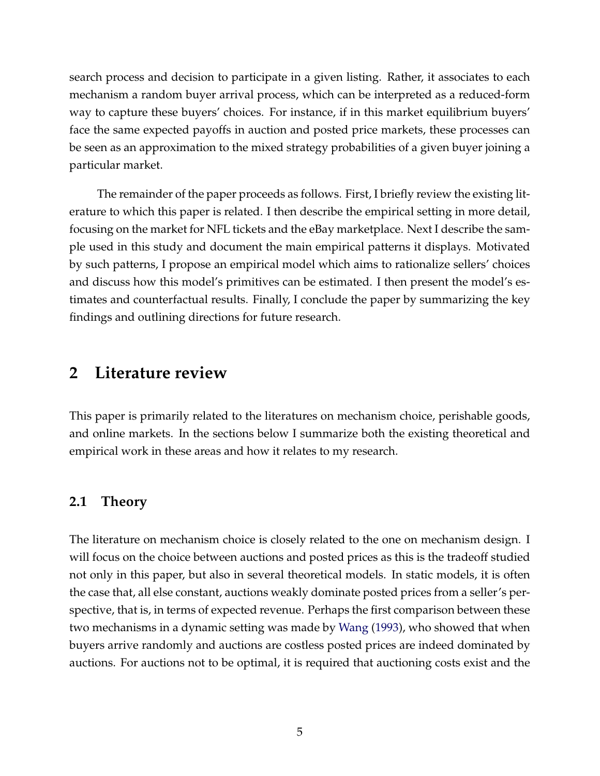search process and decision to participate in a given listing. Rather, it associates to each mechanism a random buyer arrival process, which can be interpreted as a reduced-form way to capture these buyers' choices. For instance, if in this market equilibrium buyers' face the same expected payoffs in auction and posted price markets, these processes can be seen as an approximation to the mixed strategy probabilities of a given buyer joining a particular market.

The remainder of the paper proceeds as follows. First, I briefly review the existing literature to which this paper is related. I then describe the empirical setting in more detail, focusing on the market for NFL tickets and the eBay marketplace. Next I describe the sample used in this study and document the main empirical patterns it displays. Motivated by such patterns, I propose an empirical model which aims to rationalize sellers' choices and discuss how this model's primitives can be estimated. I then present the model's estimates and counterfactual results. Finally, I conclude the paper by summarizing the key findings and outlining directions for future research.

## **2 Literature review**

This paper is primarily related to the literatures on mechanism choice, perishable goods, and online markets. In the sections below I summarize both the existing theoretical and empirical work in these areas and how it relates to my research.

#### **2.1 Theory**

The literature on mechanism choice is closely related to the one on mechanism design. I will focus on the choice between auctions and posted prices as this is the tradeoff studied not only in this paper, but also in several theoretical models. In static models, it is often the case that, all else constant, auctions weakly dominate posted prices from a seller's perspective, that is, in terms of expected revenue. Perhaps the first comparison between these two mechanisms in a dynamic setting was made by [Wang](#page-43-0) [\(1993\)](#page-43-0), who showed that when buyers arrive randomly and auctions are costless posted prices are indeed dominated by auctions. For auctions not to be optimal, it is required that auctioning costs exist and the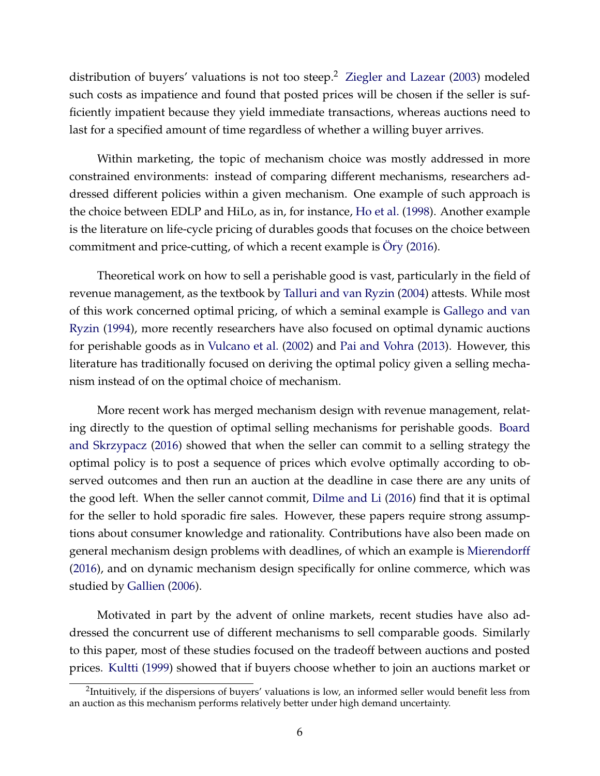distribution of buyers' valuations is not too steep.<sup>2</sup> [Ziegler and Lazear](#page-44-0) [\(2003\)](#page-44-0) modeled such costs as impatience and found that posted prices will be chosen if the seller is sufficiently impatient because they yield immediate transactions, whereas auctions need to last for a specified amount of time regardless of whether a willing buyer arrives.

Within marketing, the topic of mechanism choice was mostly addressed in more constrained environments: instead of comparing different mechanisms, researchers addressed different policies within a given mechanism. One example of such approach is the choice between EDLP and HiLo, as in, for instance, [Ho et al.](#page-41-0) [\(1998\)](#page-41-0). Another example is the literature on life-cycle pricing of durables goods that focuses on the choice between commitment and price-cutting, of which a recent example is  $\ddot{O}$ ry [\(2016\)](#page-41-1).

Theoretical work on how to sell a perishable good is vast, particularly in the field of revenue management, as the textbook by [Talluri and van Ryzin](#page-43-1) [\(2004\)](#page-43-1) attests. While most of this work concerned optimal pricing, of which a seminal example is [Gallego and van](#page-40-0) [Ryzin](#page-40-0) [\(1994\)](#page-40-0), more recently researchers have also focused on optimal dynamic auctions for perishable goods as in [Vulcano et al.](#page-43-2) [\(2002\)](#page-43-2) and [Pai and Vohra](#page-41-2) [\(2013\)](#page-41-2). However, this literature has traditionally focused on deriving the optimal policy given a selling mechanism instead of on the optimal choice of mechanism.

More recent work has merged mechanism design with revenue management, relating directly to the question of optimal selling mechanisms for perishable goods. [Board](#page-39-0) [and Skrzypacz](#page-39-0) [\(2016\)](#page-39-0) showed that when the seller can commit to a selling strategy the optimal policy is to post a sequence of prices which evolve optimally according to observed outcomes and then run an auction at the deadline in case there are any units of the good left. When the seller cannot commit, [Dilme and Li](#page-40-1) [\(2016\)](#page-40-1) find that it is optimal for the seller to hold sporadic fire sales. However, these papers require strong assumptions about consumer knowledge and rationality. Contributions have also been made on general mechanism design problems with deadlines, of which an example is [Mierendorff](#page-41-3) [\(2016\)](#page-41-3), and on dynamic mechanism design specifically for online commerce, which was studied by [Gallien](#page-40-2) [\(2006\)](#page-40-2).

Motivated in part by the advent of online markets, recent studies have also addressed the concurrent use of different mechanisms to sell comparable goods. Similarly to this paper, most of these studies focused on the tradeoff between auctions and posted prices. [Kultti](#page-41-4) [\(1999\)](#page-41-4) showed that if buyers choose whether to join an auctions market or

<sup>&</sup>lt;sup>2</sup>Intuitively, if the dispersions of buyers' valuations is low, an informed seller would benefit less from an auction as this mechanism performs relatively better under high demand uncertainty.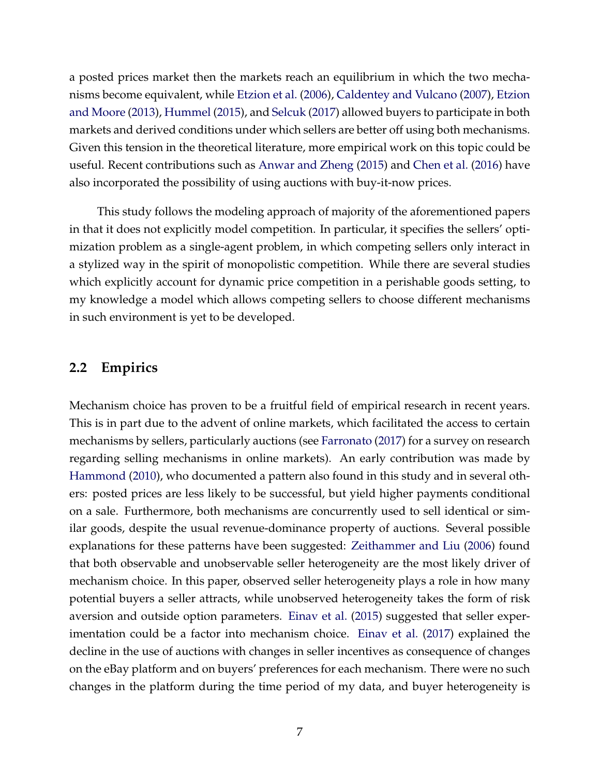a posted prices market then the markets reach an equilibrium in which the two mechanisms become equivalent, while [Etzion et al.](#page-40-3) [\(2006\)](#page-40-3), [Caldentey and Vulcano](#page-39-1) [\(2007\)](#page-39-1), [Etzion](#page-40-4) [and Moore](#page-40-4) [\(2013\)](#page-40-4), [Hummel](#page-41-5) [\(2015\)](#page-41-5), and [Selcuk](#page-42-0) [\(2017\)](#page-42-0) allowed buyers to participate in both markets and derived conditions under which sellers are better off using both mechanisms. Given this tension in the theoretical literature, more empirical work on this topic could be useful. Recent contributions such as [Anwar and Zheng](#page-39-2) [\(2015\)](#page-39-2) and [Chen et al.](#page-39-3) [\(2016\)](#page-39-3) have also incorporated the possibility of using auctions with buy-it-now prices.

This study follows the modeling approach of majority of the aforementioned papers in that it does not explicitly model competition. In particular, it specifies the sellers' optimization problem as a single-agent problem, in which competing sellers only interact in a stylized way in the spirit of monopolistic competition. While there are several studies which explicitly account for dynamic price competition in a perishable goods setting, to my knowledge a model which allows competing sellers to choose different mechanisms in such environment is yet to be developed.

#### **2.2 Empirics**

Mechanism choice has proven to be a fruitful field of empirical research in recent years. This is in part due to the advent of online markets, which facilitated the access to certain mechanisms by sellers, particularly auctions (see [Farronato](#page-40-5) [\(2017\)](#page-40-5) for a survey on research regarding selling mechanisms in online markets). An early contribution was made by [Hammond](#page-41-6) [\(2010\)](#page-41-6), who documented a pattern also found in this study and in several others: posted prices are less likely to be successful, but yield higher payments conditional on a sale. Furthermore, both mechanisms are concurrently used to sell identical or similar goods, despite the usual revenue-dominance property of auctions. Several possible explanations for these patterns have been suggested: [Zeithammer and Liu](#page-43-3) [\(2006\)](#page-43-3) found that both observable and unobservable seller heterogeneity are the most likely driver of mechanism choice. In this paper, observed seller heterogeneity plays a role in how many potential buyers a seller attracts, while unobserved heterogeneity takes the form of risk aversion and outside option parameters. [Einav et al.](#page-40-6) [\(2015\)](#page-40-6) suggested that seller experimentation could be a factor into mechanism choice. [Einav et al.](#page-40-7) [\(2017\)](#page-40-7) explained the decline in the use of auctions with changes in seller incentives as consequence of changes on the eBay platform and on buyers' preferences for each mechanism. There were no such changes in the platform during the time period of my data, and buyer heterogeneity is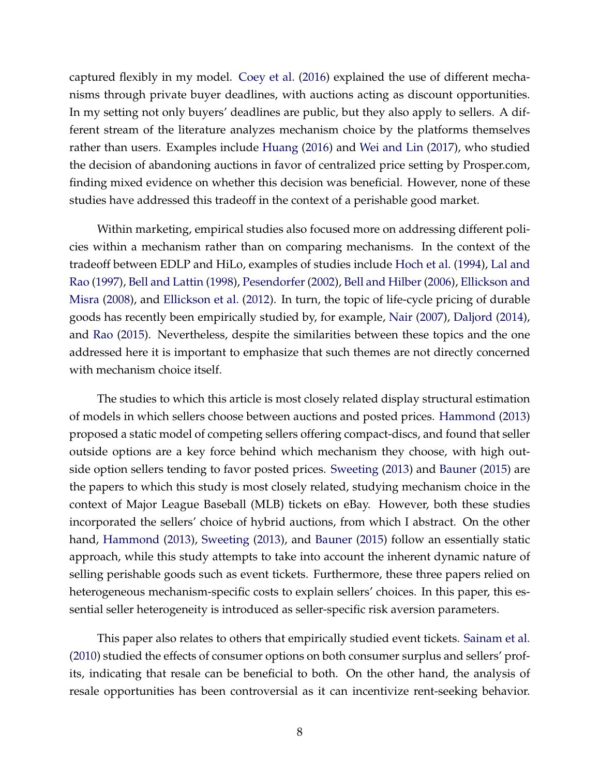captured flexibly in my model. [Coey et al.](#page-39-4) [\(2016\)](#page-39-4) explained the use of different mechanisms through private buyer deadlines, with auctions acting as discount opportunities. In my setting not only buyers' deadlines are public, but they also apply to sellers. A different stream of the literature analyzes mechanism choice by the platforms themselves rather than users. Examples include [Huang](#page-41-7) [\(2016\)](#page-41-7) and [Wei and Lin](#page-43-4) [\(2017\)](#page-43-4), who studied the decision of abandoning auctions in favor of centralized price setting by Prosper.com, finding mixed evidence on whether this decision was beneficial. However, none of these studies have addressed this tradeoff in the context of a perishable good market.

Within marketing, empirical studies also focused more on addressing different policies within a mechanism rather than on comparing mechanisms. In the context of the tradeoff between EDLP and HiLo, examples of studies include [Hoch et al.](#page-41-8) [\(1994\)](#page-41-8), [Lal and](#page-41-9) [Rao](#page-41-9) [\(1997\)](#page-41-9), [Bell and Lattin](#page-39-5) [\(1998\)](#page-39-5), [Pesendorfer](#page-42-1) [\(2002\)](#page-42-1), [Bell and Hilber](#page-39-6) [\(2006\)](#page-39-6), [Ellickson and](#page-40-8) [Misra](#page-40-8) [\(2008\)](#page-40-8), and [Ellickson et al.](#page-40-9) [\(2012\)](#page-40-9). In turn, the topic of life-cycle pricing of durable goods has recently been empirically studied by, for example, [Nair](#page-41-10) [\(2007\)](#page-41-10), [Daljord](#page-40-10) [\(2014\)](#page-40-10), and [Rao](#page-42-2) [\(2015\)](#page-42-2). Nevertheless, despite the similarities between these topics and the one addressed here it is important to emphasize that such themes are not directly concerned with mechanism choice itself.

The studies to which this article is most closely related display structural estimation of models in which sellers choose between auctions and posted prices. [Hammond](#page-41-11) [\(2013\)](#page-41-11) proposed a static model of competing sellers offering compact-discs, and found that seller outside options are a key force behind which mechanism they choose, with high outside option sellers tending to favor posted prices. [Sweeting](#page-43-5) [\(2013\)](#page-43-5) and [Bauner](#page-39-7) [\(2015\)](#page-39-7) are the papers to which this study is most closely related, studying mechanism choice in the context of Major League Baseball (MLB) tickets on eBay. However, both these studies incorporated the sellers' choice of hybrid auctions, from which I abstract. On the other hand, [Hammond](#page-41-11) [\(2013\)](#page-41-11), [Sweeting](#page-43-5) [\(2013\)](#page-43-5), and [Bauner](#page-39-7) [\(2015\)](#page-39-7) follow an essentially static approach, while this study attempts to take into account the inherent dynamic nature of selling perishable goods such as event tickets. Furthermore, these three papers relied on heterogeneous mechanism-specific costs to explain sellers' choices. In this paper, this essential seller heterogeneity is introduced as seller-specific risk aversion parameters.

This paper also relates to others that empirically studied event tickets. [Sainam et al.](#page-42-3) [\(2010\)](#page-42-3) studied the effects of consumer options on both consumer surplus and sellers' profits, indicating that resale can be beneficial to both. On the other hand, the analysis of resale opportunities has been controversial as it can incentivize rent-seeking behavior.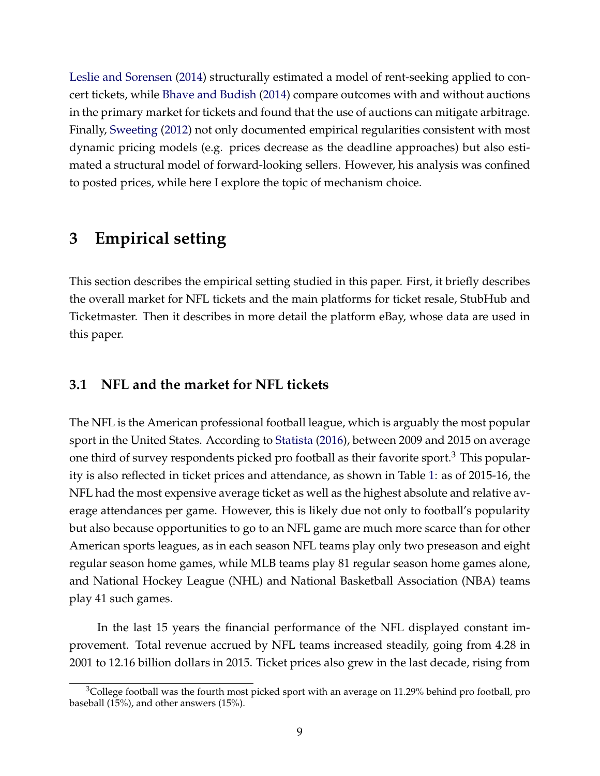[Leslie and Sorensen](#page-41-12) [\(2014\)](#page-41-12) structurally estimated a model of rent-seeking applied to concert tickets, while [Bhave and Budish](#page-39-8) [\(2014\)](#page-39-8) compare outcomes with and without auctions in the primary market for tickets and found that the use of auctions can mitigate arbitrage. Finally, [Sweeting](#page-43-6) [\(2012\)](#page-43-6) not only documented empirical regularities consistent with most dynamic pricing models (e.g. prices decrease as the deadline approaches) but also estimated a structural model of forward-looking sellers. However, his analysis was confined to posted prices, while here I explore the topic of mechanism choice.

### **3 Empirical setting**

This section describes the empirical setting studied in this paper. First, it briefly describes the overall market for NFL tickets and the main platforms for ticket resale, StubHub and Ticketmaster. Then it describes in more detail the platform eBay, whose data are used in this paper.

### **3.1 NFL and the market for NFL tickets**

The NFL is the American professional football league, which is arguably the most popular sport in the United States. According to [Statista](#page-43-7) [\(2016\)](#page-43-7), between 2009 and 2015 on average one third of survey respondents picked pro football as their favorite sport.<sup>3</sup> This popularity is also reflected in ticket prices and attendance, as shown in Table [1:](#page-45-0) as of 2015-16, the NFL had the most expensive average ticket as well as the highest absolute and relative average attendances per game. However, this is likely due not only to football's popularity but also because opportunities to go to an NFL game are much more scarce than for other American sports leagues, as in each season NFL teams play only two preseason and eight regular season home games, while MLB teams play 81 regular season home games alone, and National Hockey League (NHL) and National Basketball Association (NBA) teams play 41 such games.

In the last 15 years the financial performance of the NFL displayed constant improvement. Total revenue accrued by NFL teams increased steadily, going from 4.28 in 2001 to 12.16 billion dollars in 2015. Ticket prices also grew in the last decade, rising from

 $3$ College football was the fourth most picked sport with an average on 11.29% behind pro football, pro baseball (15%), and other answers (15%).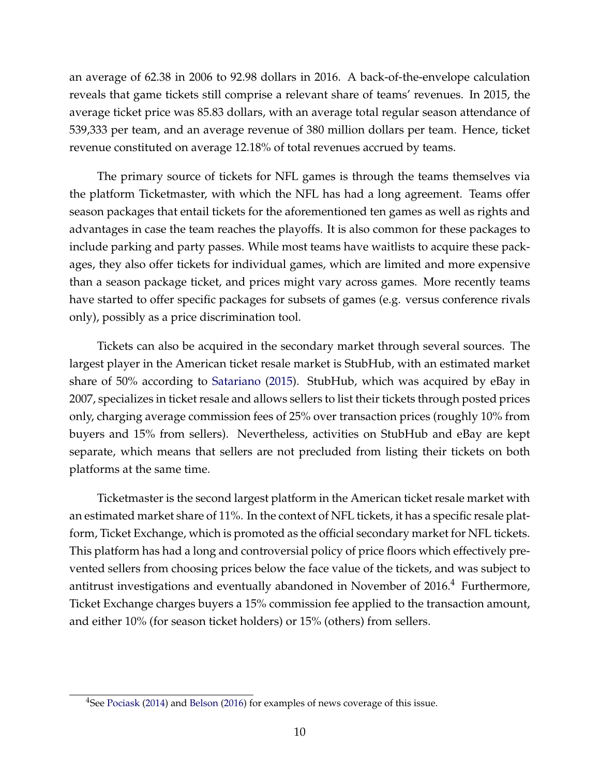an average of 62.38 in 2006 to 92.98 dollars in 2016. A back-of-the-envelope calculation reveals that game tickets still comprise a relevant share of teams' revenues. In 2015, the average ticket price was 85.83 dollars, with an average total regular season attendance of 539,333 per team, and an average revenue of 380 million dollars per team. Hence, ticket revenue constituted on average 12.18% of total revenues accrued by teams.

The primary source of tickets for NFL games is through the teams themselves via the platform Ticketmaster, with which the NFL has had a long agreement. Teams offer season packages that entail tickets for the aforementioned ten games as well as rights and advantages in case the team reaches the playoffs. It is also common for these packages to include parking and party passes. While most teams have waitlists to acquire these packages, they also offer tickets for individual games, which are limited and more expensive than a season package ticket, and prices might vary across games. More recently teams have started to offer specific packages for subsets of games (e.g. versus conference rivals only), possibly as a price discrimination tool.

Tickets can also be acquired in the secondary market through several sources. The largest player in the American ticket resale market is StubHub, with an estimated market share of 50% according to [Satariano](#page-42-4) [\(2015\)](#page-42-4). StubHub, which was acquired by eBay in 2007, specializes in ticket resale and allows sellers to list their tickets through posted prices only, charging average commission fees of 25% over transaction prices (roughly 10% from buyers and 15% from sellers). Nevertheless, activities on StubHub and eBay are kept separate, which means that sellers are not precluded from listing their tickets on both platforms at the same time.

Ticketmaster is the second largest platform in the American ticket resale market with an estimated market share of 11%. In the context of NFL tickets, it has a specific resale platform, Ticket Exchange, which is promoted as the official secondary market for NFL tickets. This platform has had a long and controversial policy of price floors which effectively prevented sellers from choosing prices below the face value of the tickets, and was subject to antitrust investigations and eventually abandoned in November of  $2016<sup>4</sup>$  Furthermore, Ticket Exchange charges buyers a 15% commission fee applied to the transaction amount, and either 10% (for season ticket holders) or 15% (others) from sellers.

<sup>&</sup>lt;sup>4</sup>See [Pociask](#page-42-5) [\(2014\)](#page-42-5) and [Belson](#page-39-9) [\(2016\)](#page-39-9) for examples of news coverage of this issue.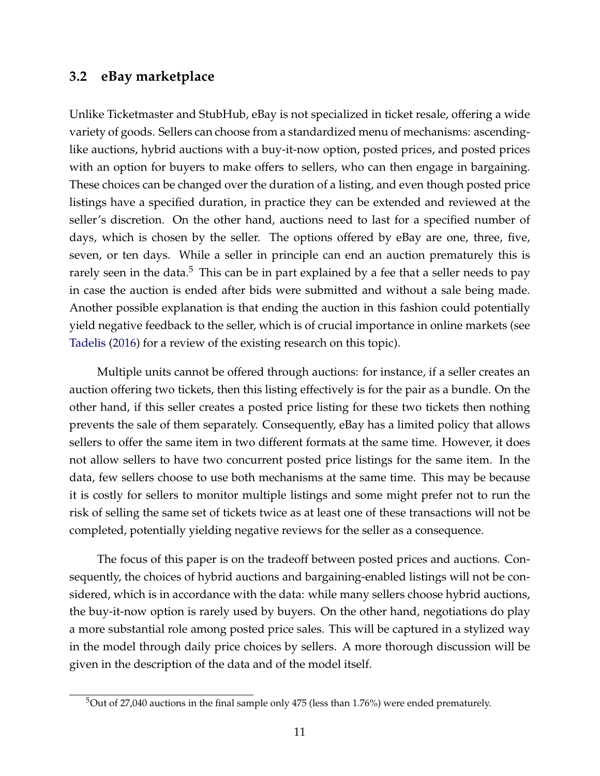#### **3.2 eBay marketplace**

Unlike Ticketmaster and StubHub, eBay is not specialized in ticket resale, offering a wide variety of goods. Sellers can choose from a standardized menu of mechanisms: ascendinglike auctions, hybrid auctions with a buy-it-now option, posted prices, and posted prices with an option for buyers to make offers to sellers, who can then engage in bargaining. These choices can be changed over the duration of a listing, and even though posted price listings have a specified duration, in practice they can be extended and reviewed at the seller's discretion. On the other hand, auctions need to last for a specified number of days, which is chosen by the seller. The options offered by eBay are one, three, five, seven, or ten days. While a seller in principle can end an auction prematurely this is rarely seen in the data.<sup>5</sup> This can be in part explained by a fee that a seller needs to pay in case the auction is ended after bids were submitted and without a sale being made. Another possible explanation is that ending the auction in this fashion could potentially yield negative feedback to the seller, which is of crucial importance in online markets (see [Tadelis](#page-43-8) [\(2016\)](#page-43-8) for a review of the existing research on this topic).

Multiple units cannot be offered through auctions: for instance, if a seller creates an auction offering two tickets, then this listing effectively is for the pair as a bundle. On the other hand, if this seller creates a posted price listing for these two tickets then nothing prevents the sale of them separately. Consequently, eBay has a limited policy that allows sellers to offer the same item in two different formats at the same time. However, it does not allow sellers to have two concurrent posted price listings for the same item. In the data, few sellers choose to use both mechanisms at the same time. This may be because it is costly for sellers to monitor multiple listings and some might prefer not to run the risk of selling the same set of tickets twice as at least one of these transactions will not be completed, potentially yielding negative reviews for the seller as a consequence.

The focus of this paper is on the tradeoff between posted prices and auctions. Consequently, the choices of hybrid auctions and bargaining-enabled listings will not be considered, which is in accordance with the data: while many sellers choose hybrid auctions, the buy-it-now option is rarely used by buyers. On the other hand, negotiations do play a more substantial role among posted price sales. This will be captured in a stylized way in the model through daily price choices by sellers. A more thorough discussion will be given in the description of the data and of the model itself.

 $5$ Out of 27,040 auctions in the final sample only 475 (less than 1.76%) were ended prematurely.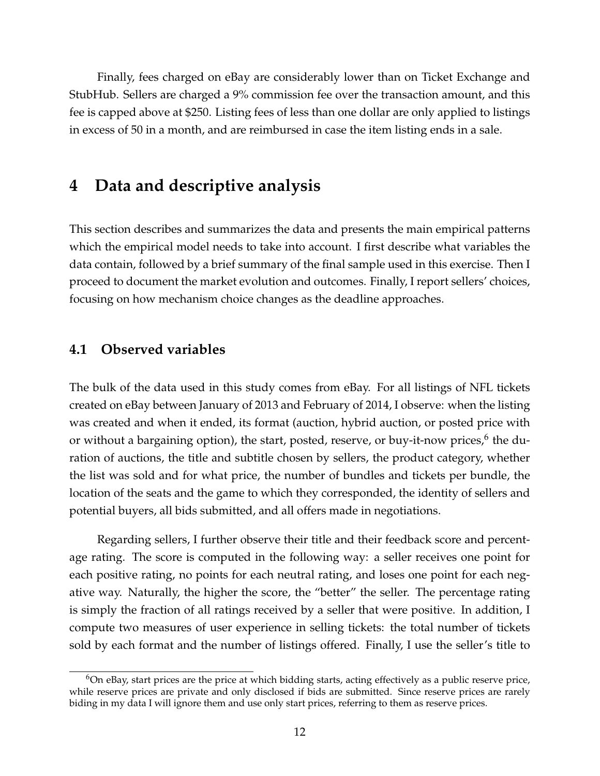Finally, fees charged on eBay are considerably lower than on Ticket Exchange and StubHub. Sellers are charged a 9% commission fee over the transaction amount, and this fee is capped above at \$250. Listing fees of less than one dollar are only applied to listings in excess of 50 in a month, and are reimbursed in case the item listing ends in a sale.

## **4 Data and descriptive analysis**

This section describes and summarizes the data and presents the main empirical patterns which the empirical model needs to take into account. I first describe what variables the data contain, followed by a brief summary of the final sample used in this exercise. Then I proceed to document the market evolution and outcomes. Finally, I report sellers' choices, focusing on how mechanism choice changes as the deadline approaches.

### **4.1 Observed variables**

The bulk of the data used in this study comes from eBay. For all listings of NFL tickets created on eBay between January of 2013 and February of 2014, I observe: when the listing was created and when it ended, its format (auction, hybrid auction, or posted price with or without a bargaining option), the start, posted, reserve, or buy-it-now prices,<sup>6</sup> the duration of auctions, the title and subtitle chosen by sellers, the product category, whether the list was sold and for what price, the number of bundles and tickets per bundle, the location of the seats and the game to which they corresponded, the identity of sellers and potential buyers, all bids submitted, and all offers made in negotiations.

Regarding sellers, I further observe their title and their feedback score and percentage rating. The score is computed in the following way: a seller receives one point for each positive rating, no points for each neutral rating, and loses one point for each negative way. Naturally, the higher the score, the "better" the seller. The percentage rating is simply the fraction of all ratings received by a seller that were positive. In addition, I compute two measures of user experience in selling tickets: the total number of tickets sold by each format and the number of listings offered. Finally, I use the seller's title to

 $6$ On eBay, start prices are the price at which bidding starts, acting effectively as a public reserve price, while reserve prices are private and only disclosed if bids are submitted. Since reserve prices are rarely biding in my data I will ignore them and use only start prices, referring to them as reserve prices.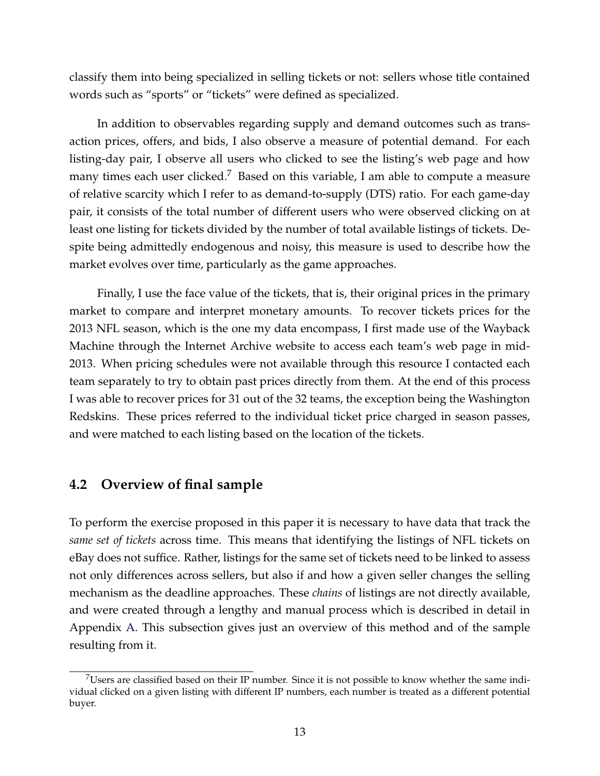classify them into being specialized in selling tickets or not: sellers whose title contained words such as "sports" or "tickets" were defined as specialized.

In addition to observables regarding supply and demand outcomes such as transaction prices, offers, and bids, I also observe a measure of potential demand. For each listing-day pair, I observe all users who clicked to see the listing's web page and how many times each user clicked.<sup>7</sup> Based on this variable, I am able to compute a measure of relative scarcity which I refer to as demand-to-supply (DTS) ratio. For each game-day pair, it consists of the total number of different users who were observed clicking on at least one listing for tickets divided by the number of total available listings of tickets. Despite being admittedly endogenous and noisy, this measure is used to describe how the market evolves over time, particularly as the game approaches.

Finally, I use the face value of the tickets, that is, their original prices in the primary market to compare and interpret monetary amounts. To recover tickets prices for the 2013 NFL season, which is the one my data encompass, I first made use of the Wayback Machine through the Internet Archive website to access each team's web page in mid-2013. When pricing schedules were not available through this resource I contacted each team separately to try to obtain past prices directly from them. At the end of this process I was able to recover prices for 31 out of the 32 teams, the exception being the Washington Redskins. These prices referred to the individual ticket price charged in season passes, and were matched to each listing based on the location of the tickets.

### <span id="page-13-0"></span>**4.2 Overview of final sample**

To perform the exercise proposed in this paper it is necessary to have data that track the *same set of tickets* across time. This means that identifying the listings of NFL tickets on eBay does not suffice. Rather, listings for the same set of tickets need to be linked to assess not only differences across sellers, but also if and how a given seller changes the selling mechanism as the deadline approaches. These *chains* of listings are not directly available, and were created through a lengthy and manual process which is described in detail in Appendix [A.](#page-65-0) This subsection gives just an overview of this method and of the sample resulting from it.

<sup>7</sup>Users are classified based on their IP number. Since it is not possible to know whether the same individual clicked on a given listing with different IP numbers, each number is treated as a different potential buyer.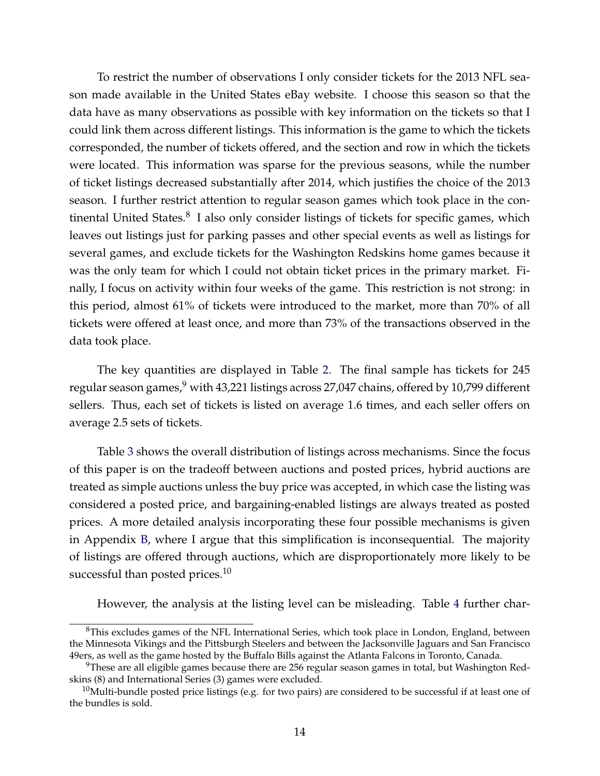To restrict the number of observations I only consider tickets for the 2013 NFL season made available in the United States eBay website. I choose this season so that the data have as many observations as possible with key information on the tickets so that I could link them across different listings. This information is the game to which the tickets corresponded, the number of tickets offered, and the section and row in which the tickets were located. This information was sparse for the previous seasons, while the number of ticket listings decreased substantially after 2014, which justifies the choice of the 2013 season. I further restrict attention to regular season games which took place in the continental United States.<sup>8</sup> I also only consider listings of tickets for specific games, which leaves out listings just for parking passes and other special events as well as listings for several games, and exclude tickets for the Washington Redskins home games because it was the only team for which I could not obtain ticket prices in the primary market. Finally, I focus on activity within four weeks of the game. This restriction is not strong: in this period, almost 61% of tickets were introduced to the market, more than 70% of all tickets were offered at least once, and more than 73% of the transactions observed in the data took place.

The key quantities are displayed in Table [2.](#page-45-1) The final sample has tickets for 245 regular season games, $9$  with 43,221 listings across 27,047 chains, offered by 10,799 different sellers. Thus, each set of tickets is listed on average 1.6 times, and each seller offers on average 2.5 sets of tickets.

Table [3](#page-46-0) shows the overall distribution of listings across mechanisms. Since the focus of this paper is on the tradeoff between auctions and posted prices, hybrid auctions are treated as simple auctions unless the buy price was accepted, in which case the listing was considered a posted price, and bargaining-enabled listings are always treated as posted prices. A more detailed analysis incorporating these four possible mechanisms is given in Appendix [B,](#page-67-0) where I argue that this simplification is inconsequential. The majority of listings are offered through auctions, which are disproportionately more likely to be successful than posted prices. $10$ 

However, the analysis at the listing level can be misleading. Table [4](#page-46-1) further char-

<sup>&</sup>lt;sup>8</sup>This excludes games of the NFL International Series, which took place in London, England, between the Minnesota Vikings and the Pittsburgh Steelers and between the Jacksonville Jaguars and San Francisco 49ers, as well as the game hosted by the Buffalo Bills against the Atlanta Falcons in Toronto, Canada.

 $9$ These are all eligible games because there are 256 regular season games in total, but Washington Redskins (8) and International Series (3) games were excluded.

 $10$ Multi-bundle posted price listings (e.g. for two pairs) are considered to be successful if at least one of the bundles is sold.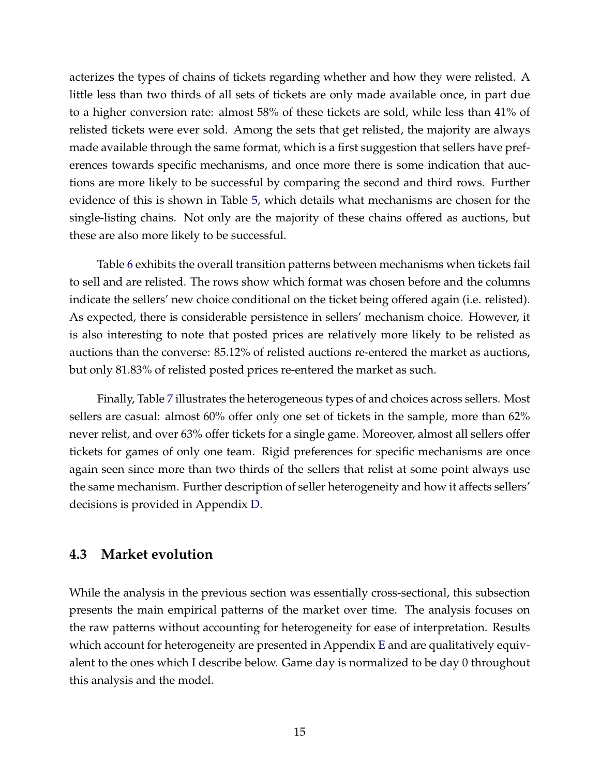acterizes the types of chains of tickets regarding whether and how they were relisted. A little less than two thirds of all sets of tickets are only made available once, in part due to a higher conversion rate: almost 58% of these tickets are sold, while less than 41% of relisted tickets were ever sold. Among the sets that get relisted, the majority are always made available through the same format, which is a first suggestion that sellers have preferences towards specific mechanisms, and once more there is some indication that auctions are more likely to be successful by comparing the second and third rows. Further evidence of this is shown in Table [5,](#page-47-0) which details what mechanisms are chosen for the single-listing chains. Not only are the majority of these chains offered as auctions, but these are also more likely to be successful.

Table [6](#page-47-1) exhibits the overall transition patterns between mechanisms when tickets fail to sell and are relisted. The rows show which format was chosen before and the columns indicate the sellers' new choice conditional on the ticket being offered again (i.e. relisted). As expected, there is considerable persistence in sellers' mechanism choice. However, it is also interesting to note that posted prices are relatively more likely to be relisted as auctions than the converse: 85.12% of relisted auctions re-entered the market as auctions, but only 81.83% of relisted posted prices re-entered the market as such.

Finally, Table [7](#page-48-0) illustrates the heterogeneous types of and choices across sellers. Most sellers are casual: almost 60% offer only one set of tickets in the sample, more than 62% never relist, and over 63% offer tickets for a single game. Moreover, almost all sellers offer tickets for games of only one team. Rigid preferences for specific mechanisms are once again seen since more than two thirds of the sellers that relist at some point always use the same mechanism. Further description of seller heterogeneity and how it affects sellers' decisions is provided in Appendix [D.](#page-70-0)

#### <span id="page-15-0"></span>**4.3 Market evolution**

While the analysis in the previous section was essentially cross-sectional, this subsection presents the main empirical patterns of the market over time. The analysis focuses on the raw patterns without accounting for heterogeneity for ease of interpretation. Results which account for heterogeneity are presented in Appendix [E](#page-73-0) and are qualitatively equivalent to the ones which I describe below. Game day is normalized to be day 0 throughout this analysis and the model.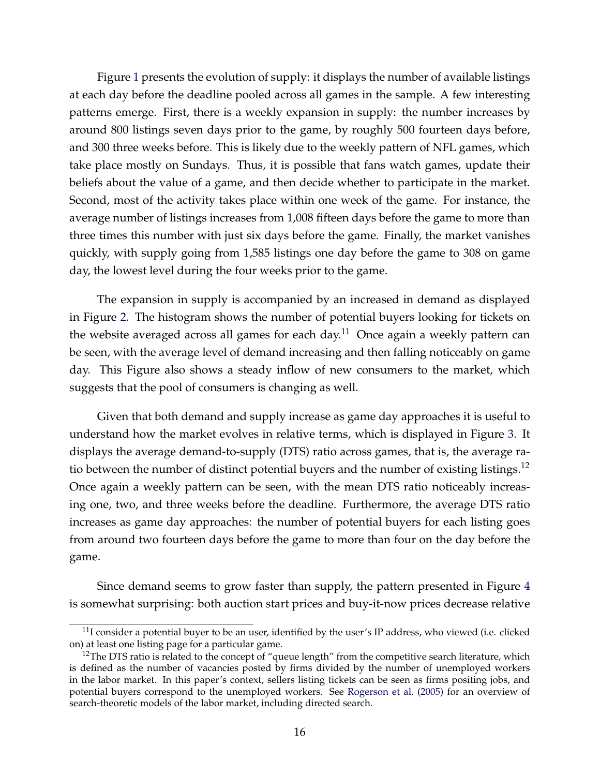Figure [1](#page-56-0) presents the evolution of supply: it displays the number of available listings at each day before the deadline pooled across all games in the sample. A few interesting patterns emerge. First, there is a weekly expansion in supply: the number increases by around 800 listings seven days prior to the game, by roughly 500 fourteen days before, and 300 three weeks before. This is likely due to the weekly pattern of NFL games, which take place mostly on Sundays. Thus, it is possible that fans watch games, update their beliefs about the value of a game, and then decide whether to participate in the market. Second, most of the activity takes place within one week of the game. For instance, the average number of listings increases from 1,008 fifteen days before the game to more than three times this number with just six days before the game. Finally, the market vanishes quickly, with supply going from 1,585 listings one day before the game to 308 on game day, the lowest level during the four weeks prior to the game.

The expansion in supply is accompanied by an increased in demand as displayed in Figure [2.](#page-57-0) The histogram shows the number of potential buyers looking for tickets on the website averaged across all games for each day.<sup>11</sup> Once again a weekly pattern can be seen, with the average level of demand increasing and then falling noticeably on game day. This Figure also shows a steady inflow of new consumers to the market, which suggests that the pool of consumers is changing as well.

Given that both demand and supply increase as game day approaches it is useful to understand how the market evolves in relative terms, which is displayed in Figure [3.](#page-57-1) It displays the average demand-to-supply (DTS) ratio across games, that is, the average ratio between the number of distinct potential buyers and the number of existing listings.<sup>12</sup> Once again a weekly pattern can be seen, with the mean DTS ratio noticeably increasing one, two, and three weeks before the deadline. Furthermore, the average DTS ratio increases as game day approaches: the number of potential buyers for each listing goes from around two fourteen days before the game to more than four on the day before the game.

Since demand seems to grow faster than supply, the pattern presented in Figure [4](#page-58-0) is somewhat surprising: both auction start prices and buy-it-now prices decrease relative

 $11$ I consider a potential buyer to be an user, identified by the user's IP address, who viewed (i.e. clicked on) at least one listing page for a particular game.

<sup>&</sup>lt;sup>12</sup>The DTS ratio is related to the concept of "queue length" from the competitive search literature, which is defined as the number of vacancies posted by firms divided by the number of unemployed workers in the labor market. In this paper's context, sellers listing tickets can be seen as firms positing jobs, and potential buyers correspond to the unemployed workers. See [Rogerson et al.](#page-42-6) [\(2005\)](#page-42-6) for an overview of search-theoretic models of the labor market, including directed search.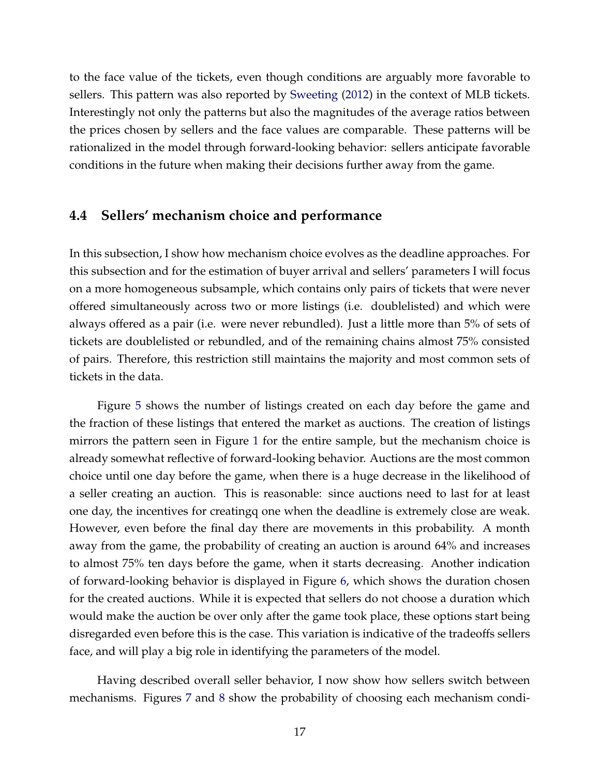to the face value of the tickets, even though conditions are arguably more favorable to sellers. This pattern was also reported by [Sweeting](#page-43-6) [\(2012\)](#page-43-6) in the context of MLB tickets. Interestingly not only the patterns but also the magnitudes of the average ratios between the prices chosen by sellers and the face values are comparable. These patterns will be rationalized in the model through forward-looking behavior: sellers anticipate favorable conditions in the future when making their decisions further away from the game.

#### **4.4 Sellers' mechanism choice and performance**

In this subsection, I show how mechanism choice evolves as the deadline approaches. For this subsection and for the estimation of buyer arrival and sellers' parameters I will focus on a more homogeneous subsample, which contains only pairs of tickets that were never offered simultaneously across two or more listings (i.e. doublelisted) and which were always offered as a pair (i.e. were never rebundled). Just a little more than 5% of sets of tickets are doublelisted or rebundled, and of the remaining chains almost 75% consisted of pairs. Therefore, this restriction still maintains the majority and most common sets of tickets in the data.

Figure [5](#page-58-1) shows the number of listings created on each day before the game and the fraction of these listings that entered the market as auctions. The creation of listings mirrors the pattern seen in Figure [1](#page-56-0) for the entire sample, but the mechanism choice is already somewhat reflective of forward-looking behavior. Auctions are the most common choice until one day before the game, when there is a huge decrease in the likelihood of a seller creating an auction. This is reasonable: since auctions need to last for at least one day, the incentives for creatingq one when the deadline is extremely close are weak. However, even before the final day there are movements in this probability. A month away from the game, the probability of creating an auction is around 64% and increases to almost 75% ten days before the game, when it starts decreasing. Another indication of forward-looking behavior is displayed in Figure [6,](#page-59-0) which shows the duration chosen for the created auctions. While it is expected that sellers do not choose a duration which would make the auction be over only after the game took place, these options start being disregarded even before this is the case. This variation is indicative of the tradeoffs sellers face, and will play a big role in identifying the parameters of the model.

Having described overall seller behavior, I now show how sellers switch between mechanisms. Figures [7](#page-59-1) and [8](#page-60-0) show the probability of choosing each mechanism condi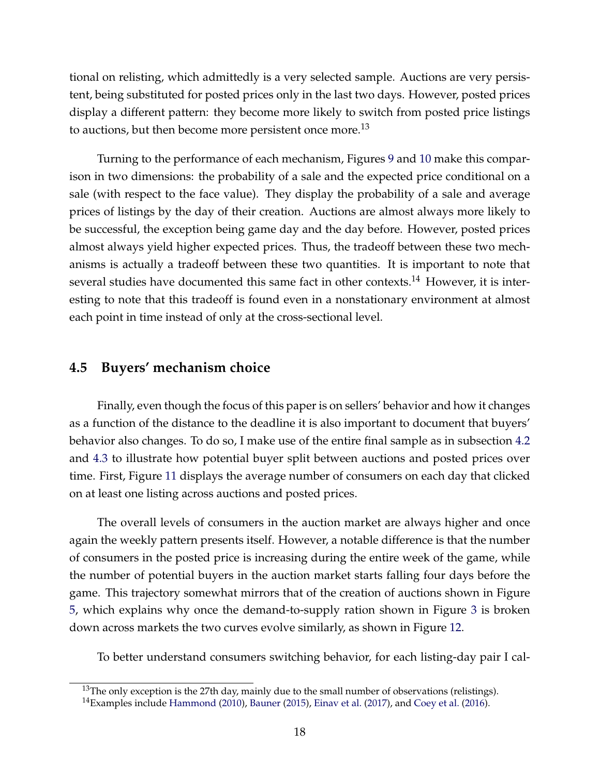tional on relisting, which admittedly is a very selected sample. Auctions are very persistent, being substituted for posted prices only in the last two days. However, posted prices display a different pattern: they become more likely to switch from posted price listings to auctions, but then become more persistent once more.<sup>13</sup>

Turning to the performance of each mechanism, Figures [9](#page-60-1) and [10](#page-61-0) make this comparison in two dimensions: the probability of a sale and the expected price conditional on a sale (with respect to the face value). They display the probability of a sale and average prices of listings by the day of their creation. Auctions are almost always more likely to be successful, the exception being game day and the day before. However, posted prices almost always yield higher expected prices. Thus, the tradeoff between these two mechanisms is actually a tradeoff between these two quantities. It is important to note that several studies have documented this same fact in other contexts.<sup>14</sup> However, it is interesting to note that this tradeoff is found even in a nonstationary environment at almost each point in time instead of only at the cross-sectional level.

#### **4.5 Buyers' mechanism choice**

Finally, even though the focus of this paper is on sellers' behavior and how it changes as a function of the distance to the deadline it is also important to document that buyers' behavior also changes. To do so, I make use of the entire final sample as in subsection [4.2](#page-13-0) and [4.3](#page-15-0) to illustrate how potential buyer split between auctions and posted prices over time. First, Figure [11](#page-61-1) displays the average number of consumers on each day that clicked on at least one listing across auctions and posted prices.

The overall levels of consumers in the auction market are always higher and once again the weekly pattern presents itself. However, a notable difference is that the number of consumers in the posted price is increasing during the entire week of the game, while the number of potential buyers in the auction market starts falling four days before the game. This trajectory somewhat mirrors that of the creation of auctions shown in Figure [5,](#page-58-1) which explains why once the demand-to-supply ration shown in Figure [3](#page-57-1) is broken down across markets the two curves evolve similarly, as shown in Figure [12.](#page-62-0)

To better understand consumers switching behavior, for each listing-day pair I cal-

 $13$ The only exception is the 27th day, mainly due to the small number of observations (relistings).

 $14$ Examples include [Hammond](#page-41-6) [\(2010\)](#page-41-6), [Bauner](#page-39-7) [\(2015\)](#page-39-7), [Einav et al.](#page-40-7) [\(2017\)](#page-40-7), and [Coey et al.](#page-39-4) [\(2016\)](#page-39-4).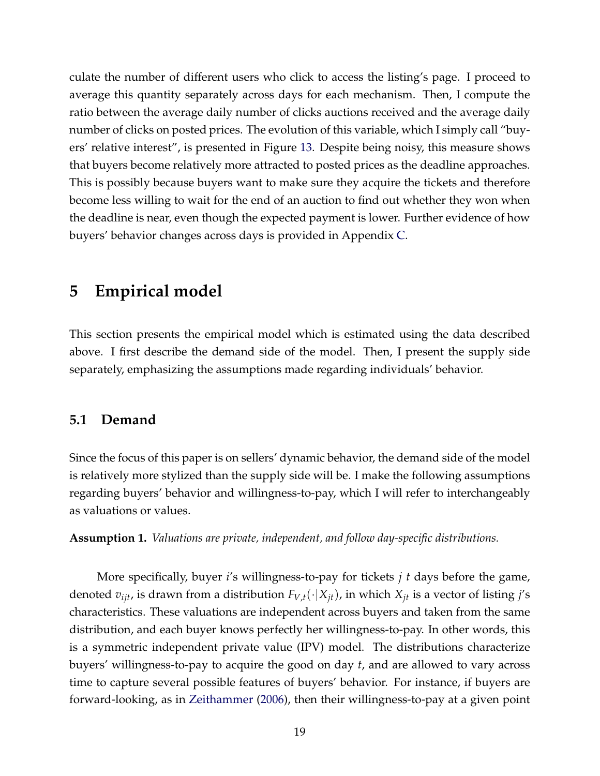culate the number of different users who click to access the listing's page. I proceed to average this quantity separately across days for each mechanism. Then, I compute the ratio between the average daily number of clicks auctions received and the average daily number of clicks on posted prices. The evolution of this variable, which I simply call "buyers' relative interest", is presented in Figure [13.](#page-62-1) Despite being noisy, this measure shows that buyers become relatively more attracted to posted prices as the deadline approaches. This is possibly because buyers want to make sure they acquire the tickets and therefore become less willing to wait for the end of an auction to find out whether they won when the deadline is near, even though the expected payment is lower. Further evidence of how buyers' behavior changes across days is provided in Appendix [C.](#page-69-0)

## **5 Empirical model**

This section presents the empirical model which is estimated using the data described above. I first describe the demand side of the model. Then, I present the supply side separately, emphasizing the assumptions made regarding individuals' behavior.

#### **5.1 Demand**

Since the focus of this paper is on sellers' dynamic behavior, the demand side of the model is relatively more stylized than the supply side will be. I make the following assumptions regarding buyers' behavior and willingness-to-pay, which I will refer to interchangeably as valuations or values.

<span id="page-19-0"></span>**Assumption 1.** *Valuations are private, independent, and follow day-specific distributions.*

More specifically, buyer *i*'s willingness-to-pay for tickets *j t* days before the game, denoted  $v_{ijt}$ , is drawn from a distribution  $F_{V,t}(\cdot|X_{it})$ , in which  $X_{it}$  is a vector of listing *j's* characteristics. These valuations are independent across buyers and taken from the same distribution, and each buyer knows perfectly her willingness-to-pay. In other words, this is a symmetric independent private value (IPV) model. The distributions characterize buyers' willingness-to-pay to acquire the good on day *t*, and are allowed to vary across time to capture several possible features of buyers' behavior. For instance, if buyers are forward-looking, as in [Zeithammer](#page-43-9) [\(2006\)](#page-43-9), then their willingness-to-pay at a given point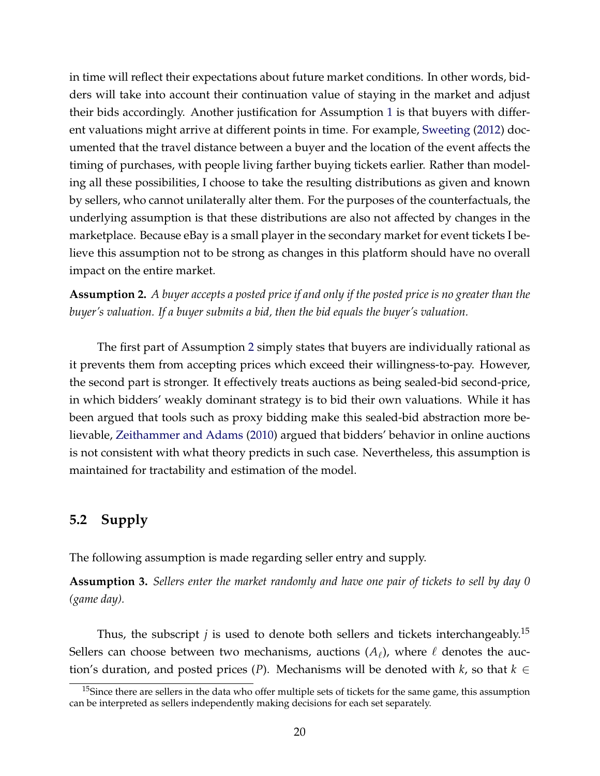in time will reflect their expectations about future market conditions. In other words, bidders will take into account their continuation value of staying in the market and adjust their bids accordingly. Another justification for Assumption [1](#page-19-0) is that buyers with different valuations might arrive at different points in time. For example, [Sweeting](#page-43-6) [\(2012\)](#page-43-6) documented that the travel distance between a buyer and the location of the event affects the timing of purchases, with people living farther buying tickets earlier. Rather than modeling all these possibilities, I choose to take the resulting distributions as given and known by sellers, who cannot unilaterally alter them. For the purposes of the counterfactuals, the underlying assumption is that these distributions are also not affected by changes in the marketplace. Because eBay is a small player in the secondary market for event tickets I believe this assumption not to be strong as changes in this platform should have no overall impact on the entire market.

<span id="page-20-0"></span>**Assumption 2.** *A buyer accepts a posted price if and only if the posted price is no greater than the buyer's valuation. If a buyer submits a bid, then the bid equals the buyer's valuation.*

The first part of Assumption [2](#page-20-0) simply states that buyers are individually rational as it prevents them from accepting prices which exceed their willingness-to-pay. However, the second part is stronger. It effectively treats auctions as being sealed-bid second-price, in which bidders' weakly dominant strategy is to bid their own valuations. While it has been argued that tools such as proxy bidding make this sealed-bid abstraction more believable, [Zeithammer and Adams](#page-43-10) [\(2010\)](#page-43-10) argued that bidders' behavior in online auctions is not consistent with what theory predicts in such case. Nevertheless, this assumption is maintained for tractability and estimation of the model.

### **5.2 Supply**

The following assumption is made regarding seller entry and supply.

**Assumption 3.** *Sellers enter the market randomly and have one pair of tickets to sell by day 0 (game day).*

Thus, the subscript *j* is used to denote both sellers and tickets interchangeably.<sup>15</sup> Sellers can choose between two mechanisms, auctions  $(A_\ell)$ , where  $\ell$  denotes the auction's duration, and posted prices (*P*). Mechanisms will be denoted with *k*, so that  $k \in$ 

 $15$ Since there are sellers in the data who offer multiple sets of tickets for the same game, this assumption can be interpreted as sellers independently making decisions for each set separately.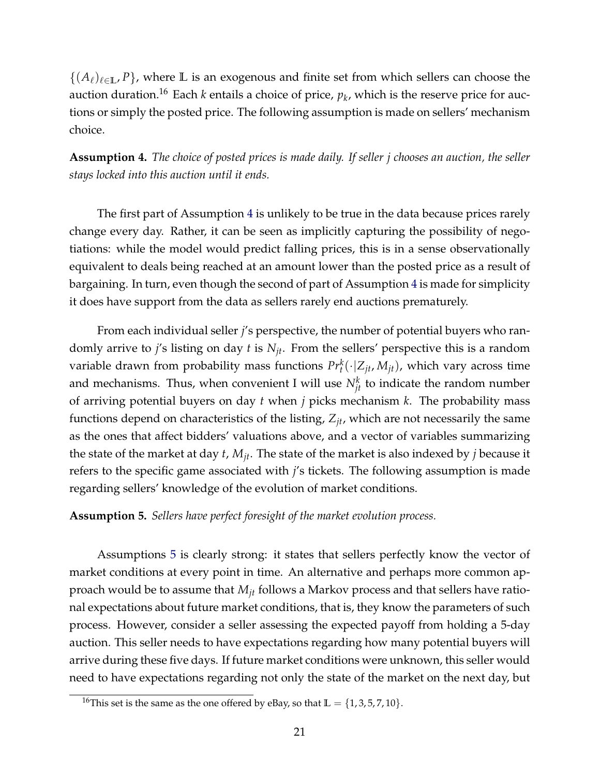$\{(A_\ell)_{\ell\in\mathbb{L}}, P\}$ , where  $\mathbb L$  is an exogenous and finite set from which sellers can choose the auction duration.<sup>16</sup> Each *k* entails a choice of price,  $p_k$ , which is the reserve price for auctions or simply the posted price. The following assumption is made on sellers' mechanism choice.

<span id="page-21-0"></span>**Assumption 4.** *The choice of posted prices is made daily. If seller j chooses an auction, the seller stays locked into this auction until it ends.*

The first part of Assumption [4](#page-21-0) is unlikely to be true in the data because prices rarely change every day. Rather, it can be seen as implicitly capturing the possibility of negotiations: while the model would predict falling prices, this is in a sense observationally equivalent to deals being reached at an amount lower than the posted price as a result of bargaining. In turn, even though the second of part of Assumption [4](#page-21-0) is made for simplicity it does have support from the data as sellers rarely end auctions prematurely.

From each individual seller *j*'s perspective, the number of potential buyers who randomly arrive to *j*'s listing on day *t* is *Njt*. From the sellers' perspective this is a random variable drawn from probability mass functions  $Pr_t^k(\cdot | Z_{jt}, M_{jt})$ , which vary across time and mechanisms. Thus, when convenient I will use  $N_{jt}^k$  to indicate the random number of arriving potential buyers on day *t* when *j* picks mechanism *k*. The probability mass functions depend on characteristics of the listing, *Zjt*, which are not necessarily the same as the ones that affect bidders' valuations above, and a vector of variables summarizing the state of the market at day *t*, *Mjt*. The state of the market is also indexed by *j* because it refers to the specific game associated with *j*'s tickets. The following assumption is made regarding sellers' knowledge of the evolution of market conditions.

#### <span id="page-21-1"></span>**Assumption 5.** *Sellers have perfect foresight of the market evolution process.*

Assumptions [5](#page-21-1) is clearly strong: it states that sellers perfectly know the vector of market conditions at every point in time. An alternative and perhaps more common approach would be to assume that *Mjt* follows a Markov process and that sellers have rational expectations about future market conditions, that is, they know the parameters of such process. However, consider a seller assessing the expected payoff from holding a 5-day auction. This seller needs to have expectations regarding how many potential buyers will arrive during these five days. If future market conditions were unknown, this seller would need to have expectations regarding not only the state of the market on the next day, but

<sup>&</sup>lt;sup>16</sup>This set is the same as the one offered by eBay, so that  $\mathbb{L} = \{1, 3, 5, 7, 10\}$ .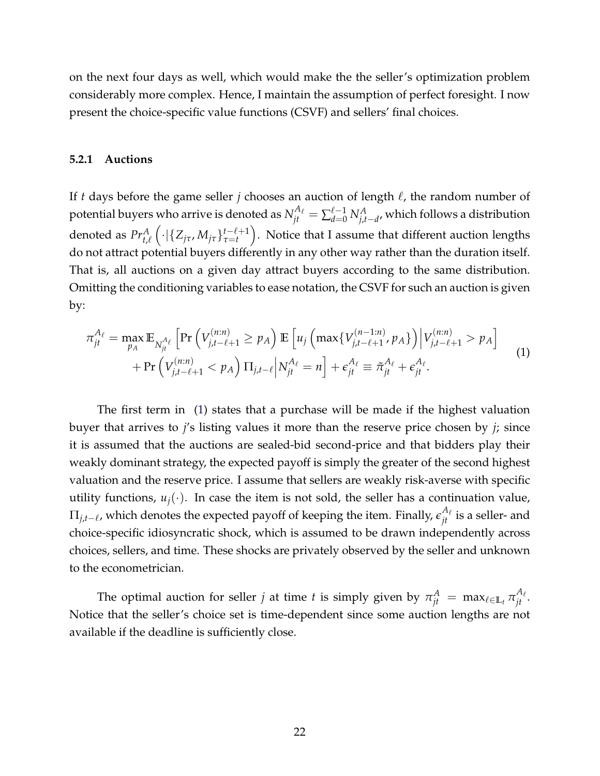on the next four days as well, which would make the the seller's optimization problem considerably more complex. Hence, I maintain the assumption of perfect foresight. I now present the choice-specific value functions (CSVF) and sellers' final choices.

#### **5.2.1 Auctions**

If *t* days before the game seller *j* chooses an auction of length  $\ell$ , the random number of potential buyers who arrive is denoted as  $N^{A_\ell}_{jt} = \sum_{d=0}^{\ell-1} N^A_{j,t-d}$ , which follows a distribution denoted as  $Pr_{t,\ell}^A$  $\left( \cdot | \{ Z_{j\tau}, M_{j\tau} \}_{\tau=t}^{t-\ell+1} \right)$ *τ*=*t* . Notice that I assume that different auction lengths do not attract potential buyers differently in any other way rather than the duration itself. That is, all auctions on a given day attract buyers according to the same distribution. Omitting the conditioning variables to ease notation, the CSVF for such an auction is given by:

<span id="page-22-0"></span>
$$
\pi_{jt}^{A_{\ell}} = \max_{p_A} \mathbb{E}_{N_{jt}^{A_{\ell}}} \left[ \Pr \left( V_{j,t-\ell+1}^{(n:n)} \ge p_A \right) \mathbb{E} \left[ u_j \left( \max \{ V_{j,t-\ell+1}^{(n-1:n)}, p_A \} \right) \middle| V_{j,t-\ell+1}^{(n:n)} > p_A \right] \right. \\ \left. + \Pr \left( V_{j,t-\ell+1}^{(n:n)} < p_A \right) \Pi_{j,t-\ell} \middle| N_{jt}^{A_{\ell}} = n \right] + \epsilon_{jt}^{A_{\ell}} \equiv \tilde{\pi}_{jt}^{A_{\ell}} + \epsilon_{jt}^{A_{\ell}}. \tag{1}
$$

The first term in [\(1\)](#page-22-0) states that a purchase will be made if the highest valuation buyer that arrives to *j*'s listing values it more than the reserve price chosen by *j*; since it is assumed that the auctions are sealed-bid second-price and that bidders play their weakly dominant strategy, the expected payoff is simply the greater of the second highest valuation and the reserve price. I assume that sellers are weakly risk-averse with specific utility functions,  $u_i(\cdot)$ . In case the item is not sold, the seller has a continuation value,  $\Pi_{j,t-\ell}$ , which denotes the expected payoff of keeping the item. Finally,  $\epsilon_{jt}^{A_\ell}$  is a seller- and choice-specific idiosyncratic shock, which is assumed to be drawn independently across choices, sellers, and time. These shocks are privately observed by the seller and unknown to the econometrician.

The optimal auction for seller *j* at time *t* is simply given by  $\pi_{jt}^A = \max_{\ell \in \mathbb{L}_t} \pi_{jt}^{A_\ell}.$ Notice that the seller's choice set is time-dependent since some auction lengths are not available if the deadline is sufficiently close.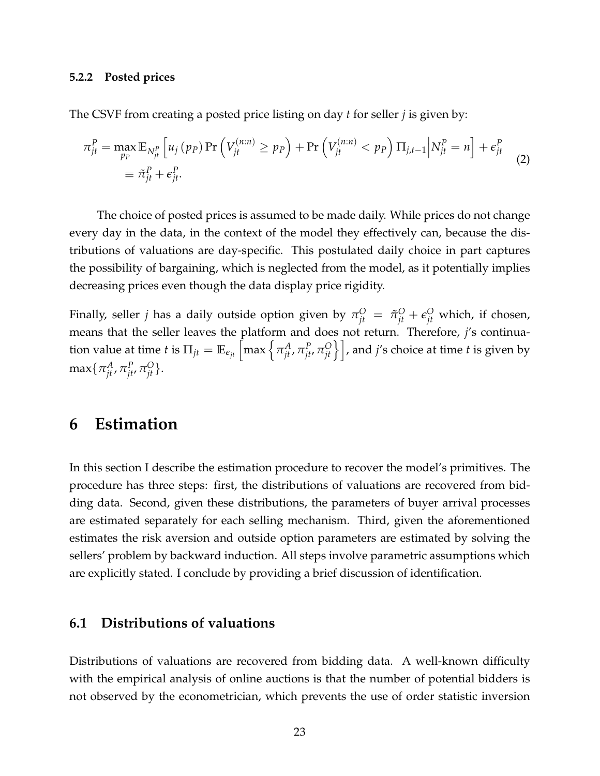#### **5.2.2 Posted prices**

The CSVF from creating a posted price listing on day *t* for seller *j* is given by:

$$
\pi_{jt}^P = \max_{p_P} \mathbb{E}_{N_{jt}^P} \left[ u_j \left( p_P \right) \Pr \left( V_{jt}^{(n:n)} \ge p_P \right) + \Pr \left( V_{jt}^{(n:n)} < p_P \right) \Pi_{j,t-1} \middle| N_{jt}^P = n \right] + \epsilon_{jt}^P
$$
\n
$$
\equiv \tilde{\pi}_{jt}^P + \epsilon_{jt}^P. \tag{2}
$$

The choice of posted prices is assumed to be made daily. While prices do not change every day in the data, in the context of the model they effectively can, because the distributions of valuations are day-specific. This postulated daily choice in part captures the possibility of bargaining, which is neglected from the model, as it potentially implies decreasing prices even though the data display price rigidity.

Finally, seller *j* has a daily outside option given by  $\pi^O_{jt} = \tilde{\pi}^O_{jt} + \epsilon^O_{jt}$  which, if chosen, means that the seller leaves the platform and does not return. Therefore, *j*'s continua- $\min$  tion value at time  $t$  is  $\Pi_{jt} = \mathbb{E}_{\epsilon_{jt}}\left[\max\left\{\pi_{jt}^A, \pi_{jt'}^P\pi_{jt'}^O\right\}\right]$ , and  $j'$ s choice at time  $t$  is given by  $\max\{\pi^A_{jt},\pi^P_{jt},\pi^O_{jt}\}.$ 

### **6 Estimation**

In this section I describe the estimation procedure to recover the model's primitives. The procedure has three steps: first, the distributions of valuations are recovered from bidding data. Second, given these distributions, the parameters of buyer arrival processes are estimated separately for each selling mechanism. Third, given the aforementioned estimates the risk aversion and outside option parameters are estimated by solving the sellers' problem by backward induction. All steps involve parametric assumptions which are explicitly stated. I conclude by providing a brief discussion of identification.

#### <span id="page-23-0"></span>**6.1 Distributions of valuations**

Distributions of valuations are recovered from bidding data. A well-known difficulty with the empirical analysis of online auctions is that the number of potential bidders is not observed by the econometrician, which prevents the use of order statistic inversion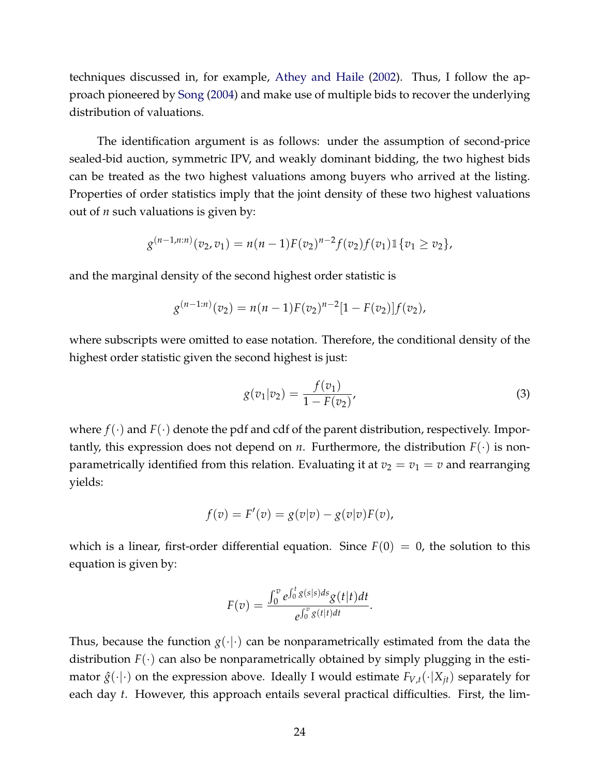techniques discussed in, for example, [Athey and Haile](#page-39-10) [\(2002\)](#page-39-10). Thus, I follow the approach pioneered by [Song](#page-42-7) [\(2004\)](#page-42-7) and make use of multiple bids to recover the underlying distribution of valuations.

The identification argument is as follows: under the assumption of second-price sealed-bid auction, symmetric IPV, and weakly dominant bidding, the two highest bids can be treated as the two highest valuations among buyers who arrived at the listing. Properties of order statistics imply that the joint density of these two highest valuations out of *n* such valuations is given by:

$$
g^{(n-1,n:n)}(v_2,v_1)=n(n-1)F(v_2)^{n-2}f(v_2)f(v_1)\mathbb{1}\{v_1\geq v_2\},\,
$$

and the marginal density of the second highest order statistic is

$$
g^{(n-1:n)}(v_2) = n(n-1)F(v_2)^{n-2}[1 - F(v_2)]f(v_2),
$$

where subscripts were omitted to ease notation. Therefore, the conditional density of the highest order statistic given the second highest is just:

<span id="page-24-0"></span>
$$
g(v_1|v_2) = \frac{f(v_1)}{1 - F(v_2)},
$$
\n(3)

where  $f(\cdot)$  and  $F(\cdot)$  denote the pdf and cdf of the parent distribution, respectively. Importantly, this expression does not depend on *n*. Furthermore, the distribution  $F(\cdot)$  is nonparametrically identified from this relation. Evaluating it at  $v_2 = v_1 = v$  and rearranging yields:

$$
f(v) = F'(v) = g(v|v) - g(v|v)F(v),
$$

which is a linear, first-order differential equation. Since  $F(0) = 0$ , the solution to this equation is given by:

$$
F(v) = \frac{\int_0^v e^{\int_0^t g(s|s)ds} g(t|t)dt}{e^{\int_0^v g(t|t)dt}}.
$$

Thus, because the function  $g(\cdot|\cdot)$  can be nonparametrically estimated from the data the distribution  $F(\cdot)$  can also be nonparametrically obtained by simply plugging in the estimator  $\hat{g}(\cdot|\cdot)$  on the expression above. Ideally I would estimate  $F_{V,t}(\cdot|X_{jt})$  separately for each day *t*. However, this approach entails several practical difficulties. First, the lim-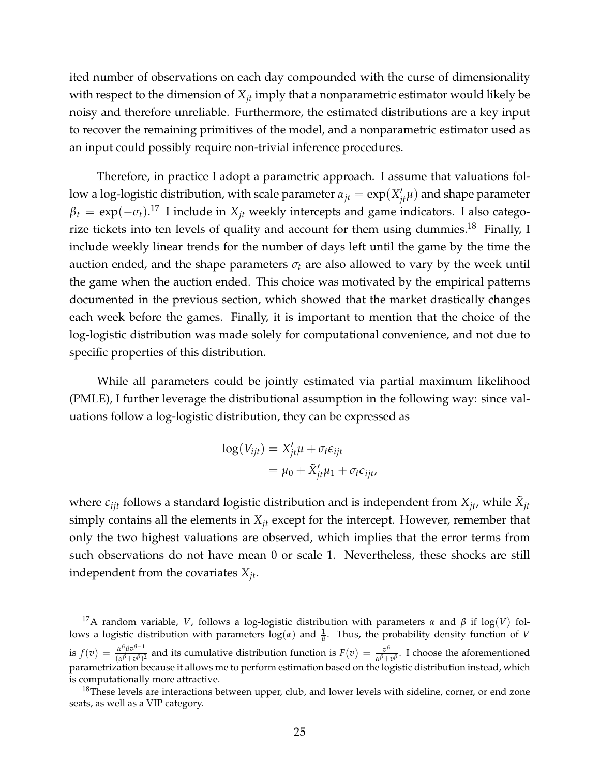ited number of observations on each day compounded with the curse of dimensionality with respect to the dimension of *Xjt* imply that a nonparametric estimator would likely be noisy and therefore unreliable. Furthermore, the estimated distributions are a key input to recover the remaining primitives of the model, and a nonparametric estimator used as an input could possibly require non-trivial inference procedures.

Therefore, in practice I adopt a parametric approach. I assume that valuations follow a log-logistic distribution, with scale parameter  $\alpha_{jt} = \exp(X_{jt}'\mu)$  and shape parameter  $\beta_t = \exp(-\sigma_t).$ <sup>17</sup> I include in  $X_{jt}$  weekly intercepts and game indicators. I also categorize tickets into ten levels of quality and account for them using dummies.<sup>18</sup> Finally, I include weekly linear trends for the number of days left until the game by the time the auction ended, and the shape parameters  $\sigma_t$  are also allowed to vary by the week until the game when the auction ended. This choice was motivated by the empirical patterns documented in the previous section, which showed that the market drastically changes each week before the games. Finally, it is important to mention that the choice of the log-logistic distribution was made solely for computational convenience, and not due to specific properties of this distribution.

While all parameters could be jointly estimated via partial maximum likelihood (PMLE), I further leverage the distributional assumption in the following way: since valuations follow a log-logistic distribution, they can be expressed as

$$
log(V_{ijt}) = X'_{jt}\mu + \sigma_t \epsilon_{ijt}
$$
  
=  $\mu_0 + \tilde{X}'_{jt}\mu_1 + \sigma_t \epsilon_{ijt}$ ,

where  $\epsilon_{ijt}$  follows a standard logistic distribution and is independent from  $X_{jt}$ , while  $\tilde{X}_{jt}$ simply contains all the elements in *Xjt* except for the intercept. However, remember that only the two highest valuations are observed, which implies that the error terms from such observations do not have mean 0 or scale 1. Nevertheless, these shocks are still independent from the covariates *Xjt*.

<sup>&</sup>lt;sup>17</sup>A random variable, *V*, follows a log-logistic distribution with parameters *α* and *β* if log(*V*) follows a logistic distribution with parameters  $\log(\alpha)$  and  $\frac{1}{\beta}$ . Thus, the probability density function of *V* is  $f(v) = \frac{\alpha^{\beta} \beta v^{\beta-1}}{(a^{\beta} + v^{\beta})^2}$  $\frac{\alpha^{\beta} \beta v^{\beta-1}}{(\alpha^{\beta} + v^{\beta})^2}$  and its cumulative distribution function is  $F(v) = \frac{v^{\beta}}{\alpha^{\beta} + v^{\beta}}$  $\frac{\partial P}{\partial \alpha^{\beta} + \partial^{\beta}}$ . I choose the aforementioned parametrization because it allows me to perform estimation based on the logistic distribution instead, which is computationally more attractive.

<sup>&</sup>lt;sup>18</sup>These levels are interactions between upper, club, and lower levels with sideline, corner, or end zone seats, as well as a VIP category.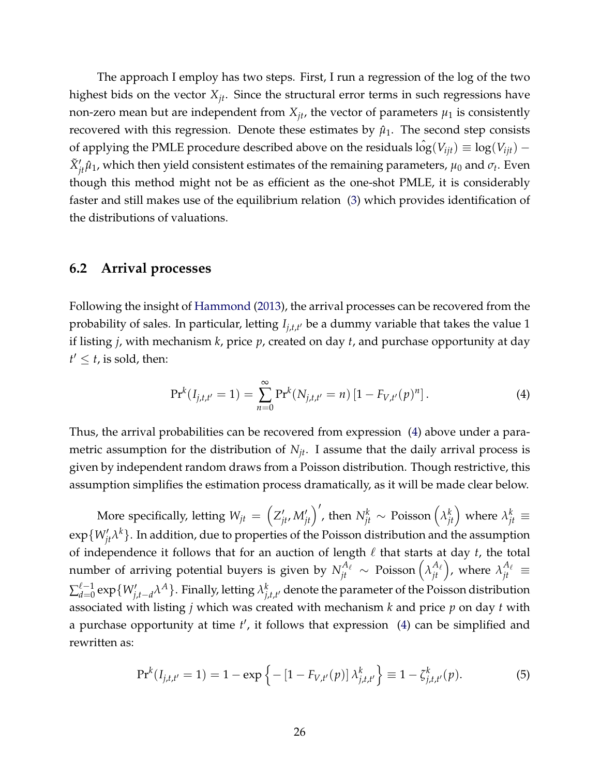The approach I employ has two steps. First, I run a regression of the log of the two highest bids on the vector *Xjt*. Since the structural error terms in such regressions have non-zero mean but are independent from  $X_{it}$ , the vector of parameters  $\mu_1$  is consistently recovered with this regression. Denote these estimates by  $\hat{\mu}_1$ . The second step consists of applying the PMLE procedure described above on the residuals  $\hat{\log}(V_{ijt}) \equiv \log(V_{ijt}) \tilde{X}'_{jt}\hat{\mu}_1$ , which then yield consistent estimates of the remaining parameters,  $\mu_0$  and  $\sigma_t$ . Even though this method might not be as efficient as the one-shot PMLE, it is considerably faster and still makes use of the equilibrium relation [\(3\)](#page-24-0) which provides identification of the distributions of valuations.

#### **6.2 Arrival processes**

Following the insight of [Hammond](#page-41-11) [\(2013\)](#page-41-11), the arrival processes can be recovered from the probability of sales. In particular, letting *Ij*,*t*,*<sup>t</sup>* <sup>0</sup> be a dummy variable that takes the value 1 if listing *j*, with mechanism *k*, price *p*, created on day *t*, and purchase opportunity at day  $t' \leq t$ , is sold, then:

<span id="page-26-0"></span>
$$
\Pr^{k}(I_{j,t,t'}=1)=\sum_{n=0}^{\infty}\Pr^{k}(N_{j,t,t'}=n)[1-F_{V,t'}(p)^{n}].
$$
\n(4)

Thus, the arrival probabilities can be recovered from expression [\(4\)](#page-26-0) above under a parametric assumption for the distribution of  $N_{jt}$ . I assume that the daily arrival process is given by independent random draws from a Poisson distribution. Though restrictive, this assumption simplifies the estimation process dramatically, as it will be made clear below.

More specifically, letting  $W_{jt} = \left(Z'_{jt}, M'_{jt}\right)',$  then  $N^k_{jt} \sim \text{Poisson}\left(\lambda^k_{jt}\right)$  where  $\lambda^k_{jt} \equiv$  $\exp\{W_{jt}'\lambda^k\}.$  In addition, due to properties of the Poisson distribution and the assumption of independence it follows that for an auction of length  $\ell$  that starts at day  $t$ , the total number of arriving potential buyers is given by  $N_{jt}^{A_\ell}\sim \ {\rm Poisson}\left(\lambda_{jt}^{A_\ell}\right)$ , where  $\lambda_{jt}^{A_\ell}\equiv$  $\sum_{d=0}^{\ell-1}$  $_{d=0}^{\ell-1}\exp\{W'_{j,t-d}\lambda^A\}.$  Finally, letting  $\lambda^k_{j,t}$  $\int_{j,t,t'}^{\kappa}$  denote the parameter of the Poisson distribution associated with listing *j* which was created with mechanism *k* and price *p* on day *t* with a purchase opportunity at time  $t'$ , it follows that expression [\(4\)](#page-26-0) can be simplified and rewritten as:

<span id="page-26-1"></span>
$$
\Pr^{k}(I_{j,t,t'}=1) = 1 - \exp\left\{-\left[1 - F_{V,t'}(p)\right]\lambda_{j,t,t'}^{k}\right\} \equiv 1 - \zeta_{j,t,t'}^{k}(p). \tag{5}
$$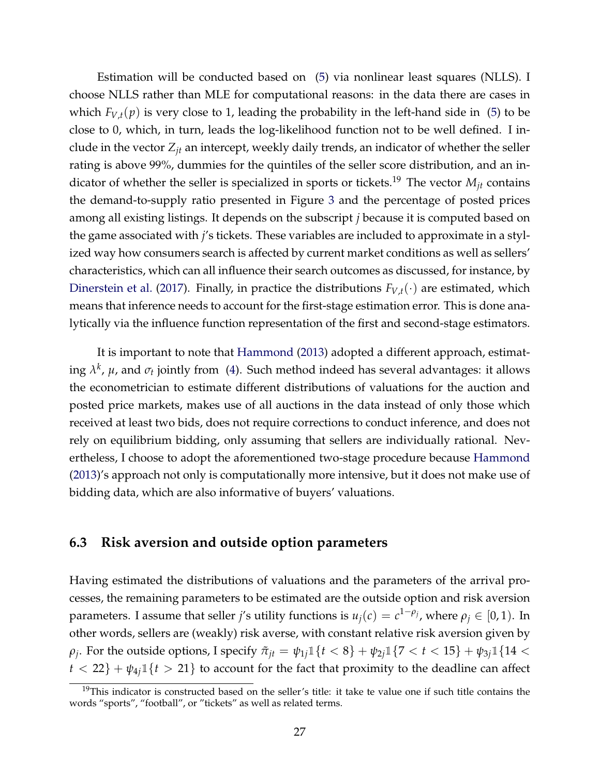Estimation will be conducted based on [\(5\)](#page-26-1) via nonlinear least squares (NLLS). I choose NLLS rather than MLE for computational reasons: in the data there are cases in which  $F_{V,t}(p)$  is very close to 1, leading the probability in the left-hand side in [\(5\)](#page-26-1) to be close to 0, which, in turn, leads the log-likelihood function not to be well defined. I include in the vector *Zjt* an intercept, weekly daily trends, an indicator of whether the seller rating is above 99%, dummies for the quintiles of the seller score distribution, and an indicator of whether the seller is specialized in sports or tickets.<sup>19</sup> The vector  $M_{it}$  contains the demand-to-supply ratio presented in Figure [3](#page-57-1) and the percentage of posted prices among all existing listings. It depends on the subscript *j* because it is computed based on the game associated with *j*'s tickets. These variables are included to approximate in a stylized way how consumers search is affected by current market conditions as well as sellers' characteristics, which can all influence their search outcomes as discussed, for instance, by [Dinerstein et al.](#page-40-11) [\(2017\)](#page-40-11). Finally, in practice the distributions  $F_{V,t}(\cdot)$  are estimated, which means that inference needs to account for the first-stage estimation error. This is done analytically via the influence function representation of the first and second-stage estimators.

It is important to note that [Hammond](#page-41-11) [\(2013\)](#page-41-11) adopted a different approach, estimating  $\lambda^k$ ,  $\mu$ , and  $\sigma_t$  jointly from [\(4\)](#page-26-0). Such method indeed has several advantages: it allows the econometrician to estimate different distributions of valuations for the auction and posted price markets, makes use of all auctions in the data instead of only those which received at least two bids, does not require corrections to conduct inference, and does not rely on equilibrium bidding, only assuming that sellers are individually rational. Nevertheless, I choose to adopt the aforementioned two-stage procedure because [Hammond](#page-41-11) [\(2013\)](#page-41-11)'s approach not only is computationally more intensive, but it does not make use of bidding data, which are also informative of buyers' valuations.

#### <span id="page-27-0"></span>**6.3 Risk aversion and outside option parameters**

Having estimated the distributions of valuations and the parameters of the arrival processes, the remaining parameters to be estimated are the outside option and risk aversion parameters. I assume that seller *j'*s utility functions is  $u_j(c) = c^{1-\rho_j}$ , where  $\rho_j \in [0,1)$ . In other words, sellers are (weakly) risk averse, with constant relative risk aversion given by *ρ*<sub>*j*</sub>. For the outside options, I specify  $\tilde{\pi}_{jt} = \psi_{1j} \mathbb{1}\{t < 8\} + \psi_{2j} \mathbb{1}\{7 < t < 15\} + \psi_{3j} \mathbb{1}\{14 < t < 15\}$  $t < 22$ } +  $\psi_{4j}$  1{*t* > 21} to account for the fact that proximity to the deadline can affect

 $19$ This indicator is constructed based on the seller's title: it take te value one if such title contains the words "sports", "football", or "tickets" as well as related terms.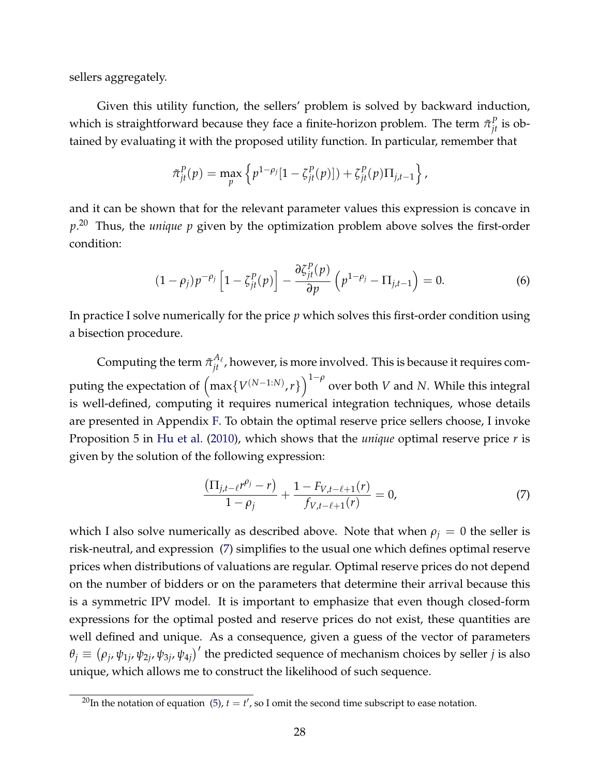sellers aggregately.

Given this utility function, the sellers' problem is solved by backward induction, which is straightforward because they face a finite-horizon problem. The term  $\tilde{\pi}_{jt}^P$  is obtained by evaluating it with the proposed utility function. In particular, remember that

$$
\tilde{\pi}_{jt}^P(p) = \max_{p} \left\{ p^{1-\rho_j} [1 - \zeta_{jt}^P(p)] \right\} + \zeta_{jt}^P(p) \Pi_{j,t-1} \right\},\,
$$

and it can be shown that for the relevant parameter values this expression is concave in *p*. <sup>20</sup> Thus, the *unique p* given by the optimization problem above solves the first-order condition:

$$
(1 - \rho_j)p^{-\rho_j}\left[1 - \zeta_{jt}^P(p)\right] - \frac{\partial \zeta_{jt}^P(p)}{\partial p}\left(p^{1 - \rho_j} - \Pi_{j,t-1}\right) = 0. \tag{6}
$$

In practice I solve numerically for the price *p* which solves this first-order condition using a bisection procedure.

Computing the term  $\tilde{\pi}_{jt}^{A_\ell}$ , however, is more involved. This is because it requires computing the expectation of  $\left(\max\{V^{(N-1:N)},r\}\right)^{1-\rho}$  over both *V* and *N*. While this integral is well-defined, computing it requires numerical integration techniques, whose details are presented in Appendix [F.](#page-76-0) To obtain the optimal reserve price sellers choose, I invoke Proposition 5 in [Hu et al.](#page-41-13) [\(2010\)](#page-41-13), which shows that the *unique* optimal reserve price *r* is given by the solution of the following expression:

<span id="page-28-0"></span>
$$
\frac{\left(\Pi_{j,t-\ell}r^{\rho_j}-r\right)}{1-\rho_j}+\frac{1-F_{V,t-\ell+1}(r)}{f_{V,t-\ell+1}(r)}=0,
$$
\n(7)

which I also solve numerically as described above. Note that when  $\rho_j = 0$  the seller is risk-neutral, and expression [\(7\)](#page-28-0) simplifies to the usual one which defines optimal reserve prices when distributions of valuations are regular. Optimal reserve prices do not depend on the number of bidders or on the parameters that determine their arrival because this is a symmetric IPV model. It is important to emphasize that even though closed-form expressions for the optimal posted and reserve prices do not exist, these quantities are well defined and unique. As a consequence, given a guess of the vector of parameters  $\theta_j \equiv (\rho_j, \psi_{1j}, \psi_{2j}, \psi_{3j}, \psi_{4j})'$  the predicted sequence of mechanism choices by seller *j* is also unique, which allows me to construct the likelihood of such sequence.

<sup>&</sup>lt;sup>20</sup>In the notation of equation [\(5\)](#page-26-1),  $t = t'$ , so I omit the second time subscript to ease notation.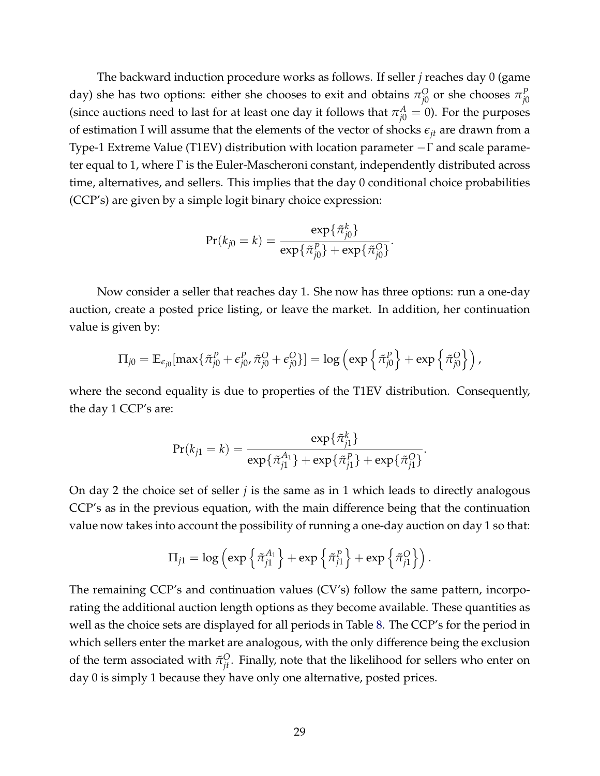The backward induction procedure works as follows. If seller *j* reaches day 0 (game day) she has two options: either she chooses to exit and obtains  $\pi^O_{i0}$  $\frac{O}{\rho^0}$  or she chooses  $\pi^P_{j0}$ *j*0 (since auctions need to last for at least one day it follows that  $\pi_{j0}^A = 0$ ). For the purposes of estimation I will assume that the elements of the vector of shocks  $\epsilon_{it}$  are drawn from a Type-1 Extreme Value (T1EV) distribution with location parameter −Γ and scale parameter equal to 1, where Γ is the Euler-Mascheroni constant, independently distributed across time, alternatives, and sellers. This implies that the day 0 conditional choice probabilities (CCP's) are given by a simple logit binary choice expression:

$$
Pr(k_{j0} = k) = \frac{\exp{\{\tilde{\pi}_{j0}^k\}}}{\exp{\{\tilde{\pi}_{j0}^P\}} + \exp{\{\tilde{\pi}_{j0}^Q\}}}.
$$

Now consider a seller that reaches day 1. She now has three options: run a one-day auction, create a posted price listing, or leave the market. In addition, her continuation value is given by:

$$
\Pi_{j0} = \mathbb{E}_{\epsilon_{j0}}[\max\{\tilde{\pi}_{j0}^P + \epsilon_{j0}^P, \tilde{\pi}_{j0}^O + \epsilon_{j0}^O\}] = \log\left(\exp\left\{\tilde{\pi}_{j0}^P\right\} + \exp\left\{\tilde{\pi}_{j0}^O\right\}\right),
$$

where the second equality is due to properties of the T1EV distribution. Consequently, the day 1 CCP's are:

$$
Pr(k_{j1} = k) = \frac{\exp{\{\tilde{\pi}_{j1}^k\}}}{\exp{\{\tilde{\pi}_{j1}^{\{A_1\}} + \exp{\{\tilde{\pi}_{j1}^P\}} + \exp{\{\tilde{\pi}_{j1}^O\}}\}}}.
$$

On day 2 the choice set of seller *j* is the same as in 1 which leads to directly analogous CCP's as in the previous equation, with the main difference being that the continuation value now takes into account the possibility of running a one-day auction on day 1 so that:

$$
\Pi_{j1} = \log \left( \exp \left\{ \tilde{\pi}_{j1}^{A_1} \right\} + \exp \left\{ \tilde{\pi}_{j1}^P \right\} + \exp \left\{ \tilde{\pi}_{j1}^O \right\} \right).
$$

The remaining CCP's and continuation values (CV's) follow the same pattern, incorporating the additional auction length options as they become available. These quantities as well as the choice sets are displayed for all periods in Table [8.](#page-49-0) The CCP's for the period in which sellers enter the market are analogous, with the only difference being the exclusion of the term associated with  $\tilde{\pi}_{jt}^O$ . Finally, note that the likelihood for sellers who enter on day 0 is simply 1 because they have only one alternative, posted prices.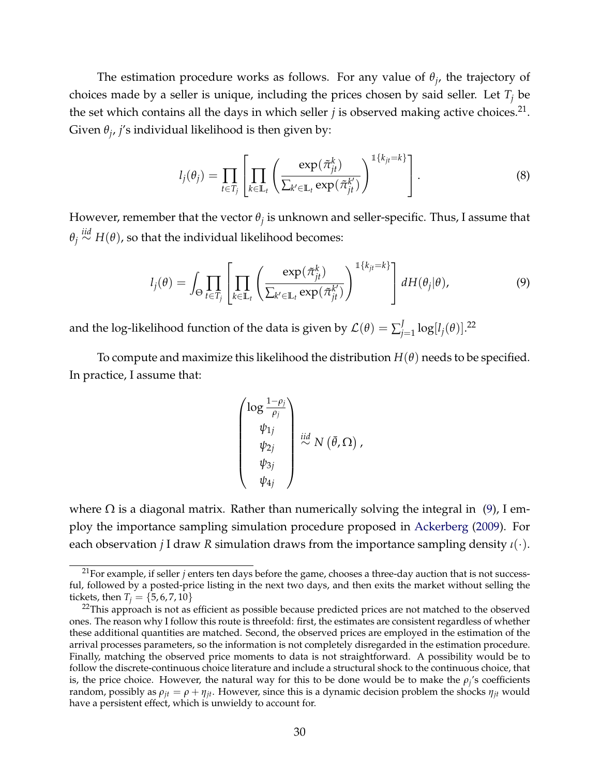The estimation procedure works as follows. For any value of *θ<sup>j</sup>* , the trajectory of choices made by a seller is unique, including the prices chosen by said seller. Let *T<sup>j</sup>* be the set which contains all the days in which seller  $j$  is observed making active choices.<sup>21</sup>. Given *θ<sup>j</sup>* , *j*'s individual likelihood is then given by:

$$
l_j(\theta_j) = \prod_{t \in T_j} \left[ \prod_{k \in \mathbb{L}_t} \left( \frac{\exp(\tilde{\pi}_{jt}^k)}{\sum_{k' \in \mathbb{L}_t} \exp(\tilde{\pi}_{jt}^{k'})} \right)^{\mathbb{1}\{k_{jt} = k\}} \right].
$$
 (8)

However, remember that the vector *θ<sup>j</sup>* is unknown and seller-specific. Thus, I assume that *θj iid*<sup>∼</sup> *<sup>H</sup>*(*θ*), so that the individual likelihood becomes:

$$
l_j(\theta) = \int_{\Theta} \prod_{t \in T_j} \left[ \prod_{k \in \mathbb{L}_t} \left( \frac{\exp(\tilde{\pi}_{jt}^k)}{\sum_{k' \in \mathbb{L}_t} \exp(\tilde{\pi}_{jt}^{k'})} \right)^{\mathbb{1}\{k_{jt} = k\}} \right] dH(\theta_j|\theta), \tag{9}
$$

and the log-likelihood function of the data is given by  $\mathcal{L}(\theta) = \sum_{i=1}^{J} \mathcal{L}(\theta)$  $\int_{j=1}^{J} \log[l_j(\theta)]$ .<sup>22</sup>

To compute and maximize this likelihood the distribution  $H(\theta)$  needs to be specified. In practice, I assume that:

<span id="page-30-0"></span>
$$
\begin{pmatrix}\n\log \frac{1-\rho_j}{\rho_j} \\
\psi_{1j} \\
\psi_{2j} \\
\psi_{3j} \\
\psi_{4j}\n\end{pmatrix} \stackrel{iid}{\sim} N(\bar{\theta}, \Omega),
$$

where  $Ω$  is a diagonal matrix. Rather than numerically solving the integral in  $(9)$ , I employ the importance sampling simulation procedure proposed in [Ackerberg](#page-39-11) [\(2009\)](#page-39-11). For each observation *j* I draw *R* simulation draws from the importance sampling density *ι*(·).

<sup>&</sup>lt;sup>21</sup>For example, if seller *j* enters ten days before the game, chooses a three-day auction that is not successful, followed by a posted-price listing in the next two days, and then exits the market without selling the tickets, then  $T_i = \{5, 6, 7, 10\}$ 

 $22$ This approach is not as efficient as possible because predicted prices are not matched to the observed ones. The reason why I follow this route is threefold: first, the estimates are consistent regardless of whether these additional quantities are matched. Second, the observed prices are employed in the estimation of the arrival processes parameters, so the information is not completely disregarded in the estimation procedure. Finally, matching the observed price moments to data is not straightforward. A possibility would be to follow the discrete-continuous choice literature and include a structural shock to the continuous choice, that is, the price choice. However, the natural way for this to be done would be to make the  $\rho_j$ 's coefficients random, possibly as  $\rho_{it} = \rho + \eta_{it}$ . However, since this is a dynamic decision problem the shocks  $\eta_{it}$  would have a persistent effect, which is unwieldy to account for.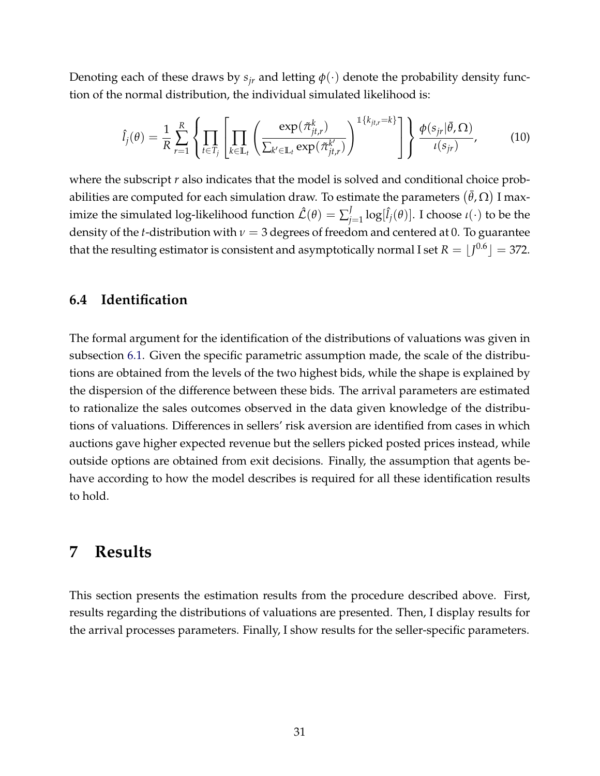Denoting each of these draws by  $s_{ir}$  and letting  $\phi(\cdot)$  denote the probability density function of the normal distribution, the individual simulated likelihood is:

$$
\hat{l}_{j}(\theta) = \frac{1}{R} \sum_{r=1}^{R} \left\{ \prod_{t \in T_{j}} \left[ \prod_{k \in \mathbb{L}_{t}} \left( \frac{\exp(\tilde{\pi}_{jt,r}^{k})}{\sum_{k' \in \mathbb{L}_{t}} \exp(\tilde{\pi}_{jt,r}^{k'})} \right)^{\mathbb{1}\left\{k_{jt,r} = k\right\}} \right] \right\} \frac{\phi(s_{jr}|\bar{\theta}, \Omega)}{\iota(s_{jr})}, \quad (10)
$$

where the subscript *r* also indicates that the model is solved and conditional choice probabilities are computed for each simulation draw. To estimate the parameters  $(\bar{\theta}, \Omega)$  I maximize the simulated log-likelihood function  $\mathcal{\hat{L}}(\theta) = \sum_{i}^{J}$  $\int_{j=1}^{J} \log[\hat{l}_j(\theta)]$ . I choose *ι*(·) to be the density of the *t*-distribution with *ν* = 3 degrees of freedom and centered at 0. To guarantee that the resulting estimator is consistent and asymptotically normal I set  $R = \lfloor J^{0.6} \rfloor =$  372.

#### **6.4 Identification**

The formal argument for the identification of the distributions of valuations was given in subsection [6.1.](#page-23-0) Given the specific parametric assumption made, the scale of the distributions are obtained from the levels of the two highest bids, while the shape is explained by the dispersion of the difference between these bids. The arrival parameters are estimated to rationalize the sales outcomes observed in the data given knowledge of the distributions of valuations. Differences in sellers' risk aversion are identified from cases in which auctions gave higher expected revenue but the sellers picked posted prices instead, while outside options are obtained from exit decisions. Finally, the assumption that agents behave according to how the model describes is required for all these identification results to hold.

### **7 Results**

This section presents the estimation results from the procedure described above. First, results regarding the distributions of valuations are presented. Then, I display results for the arrival processes parameters. Finally, I show results for the seller-specific parameters.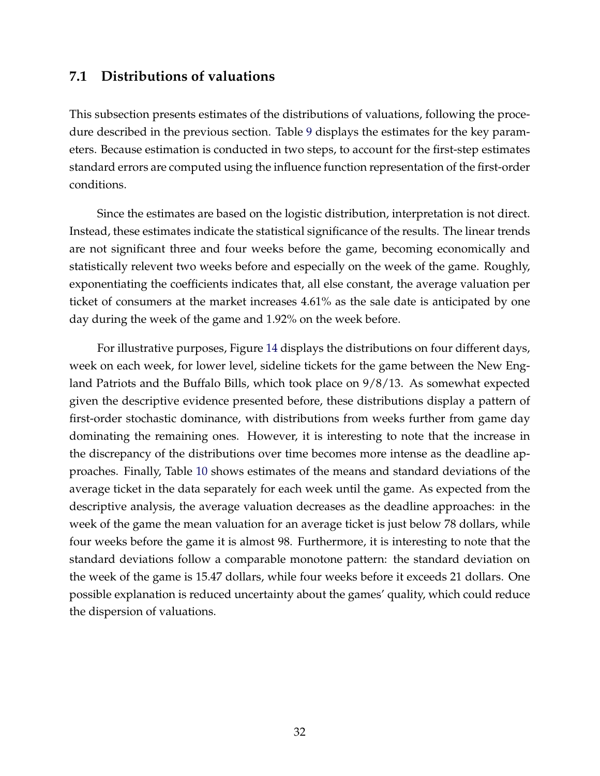#### **7.1 Distributions of valuations**

This subsection presents estimates of the distributions of valuations, following the procedure described in the previous section. Table [9](#page-50-0) displays the estimates for the key parameters. Because estimation is conducted in two steps, to account for the first-step estimates standard errors are computed using the influence function representation of the first-order conditions.

Since the estimates are based on the logistic distribution, interpretation is not direct. Instead, these estimates indicate the statistical significance of the results. The linear trends are not significant three and four weeks before the game, becoming economically and statistically relevent two weeks before and especially on the week of the game. Roughly, exponentiating the coefficients indicates that, all else constant, the average valuation per ticket of consumers at the market increases 4.61% as the sale date is anticipated by one day during the week of the game and 1.92% on the week before.

For illustrative purposes, Figure [14](#page-63-0) displays the distributions on four different days, week on each week, for lower level, sideline tickets for the game between the New England Patriots and the Buffalo Bills, which took place on 9/8/13. As somewhat expected given the descriptive evidence presented before, these distributions display a pattern of first-order stochastic dominance, with distributions from weeks further from game day dominating the remaining ones. However, it is interesting to note that the increase in the discrepancy of the distributions over time becomes more intense as the deadline approaches. Finally, Table [10](#page-50-1) shows estimates of the means and standard deviations of the average ticket in the data separately for each week until the game. As expected from the descriptive analysis, the average valuation decreases as the deadline approaches: in the week of the game the mean valuation for an average ticket is just below 78 dollars, while four weeks before the game it is almost 98. Furthermore, it is interesting to note that the standard deviations follow a comparable monotone pattern: the standard deviation on the week of the game is 15.47 dollars, while four weeks before it exceeds 21 dollars. One possible explanation is reduced uncertainty about the games' quality, which could reduce the dispersion of valuations.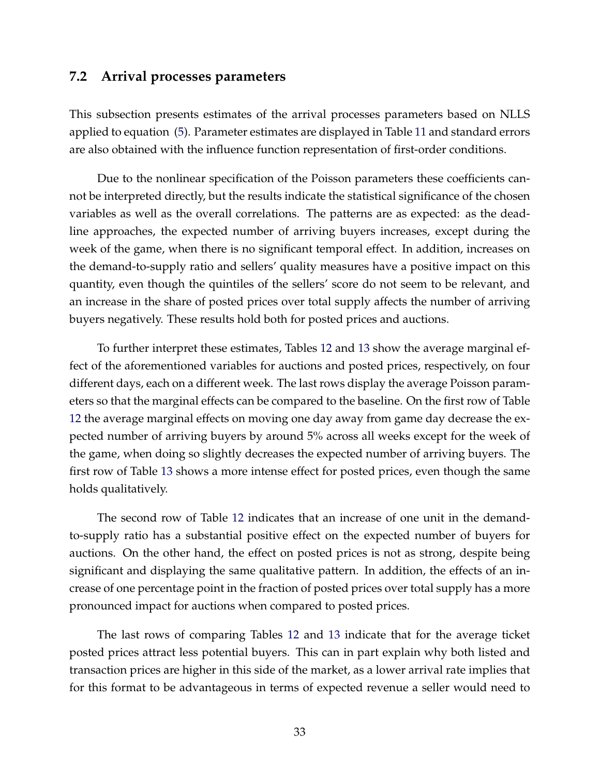### **7.2 Arrival processes parameters**

This subsection presents estimates of the arrival processes parameters based on NLLS applied to equation [\(5\)](#page-26-1). Parameter estimates are displayed in Table [11](#page-51-0) and standard errors are also obtained with the influence function representation of first-order conditions.

Due to the nonlinear specification of the Poisson parameters these coefficients cannot be interpreted directly, but the results indicate the statistical significance of the chosen variables as well as the overall correlations. The patterns are as expected: as the deadline approaches, the expected number of arriving buyers increases, except during the week of the game, when there is no significant temporal effect. In addition, increases on the demand-to-supply ratio and sellers' quality measures have a positive impact on this quantity, even though the quintiles of the sellers' score do not seem to be relevant, and an increase in the share of posted prices over total supply affects the number of arriving buyers negatively. These results hold both for posted prices and auctions.

To further interpret these estimates, Tables [12](#page-52-0) and [13](#page-52-1) show the average marginal effect of the aforementioned variables for auctions and posted prices, respectively, on four different days, each on a different week. The last rows display the average Poisson parameters so that the marginal effects can be compared to the baseline. On the first row of Table [12](#page-52-0) the average marginal effects on moving one day away from game day decrease the expected number of arriving buyers by around 5% across all weeks except for the week of the game, when doing so slightly decreases the expected number of arriving buyers. The first row of Table [13](#page-52-1) shows a more intense effect for posted prices, even though the same holds qualitatively.

The second row of Table [12](#page-52-0) indicates that an increase of one unit in the demandto-supply ratio has a substantial positive effect on the expected number of buyers for auctions. On the other hand, the effect on posted prices is not as strong, despite being significant and displaying the same qualitative pattern. In addition, the effects of an increase of one percentage point in the fraction of posted prices over total supply has a more pronounced impact for auctions when compared to posted prices.

The last rows of comparing Tables [12](#page-52-0) and [13](#page-52-1) indicate that for the average ticket posted prices attract less potential buyers. This can in part explain why both listed and transaction prices are higher in this side of the market, as a lower arrival rate implies that for this format to be advantageous in terms of expected revenue a seller would need to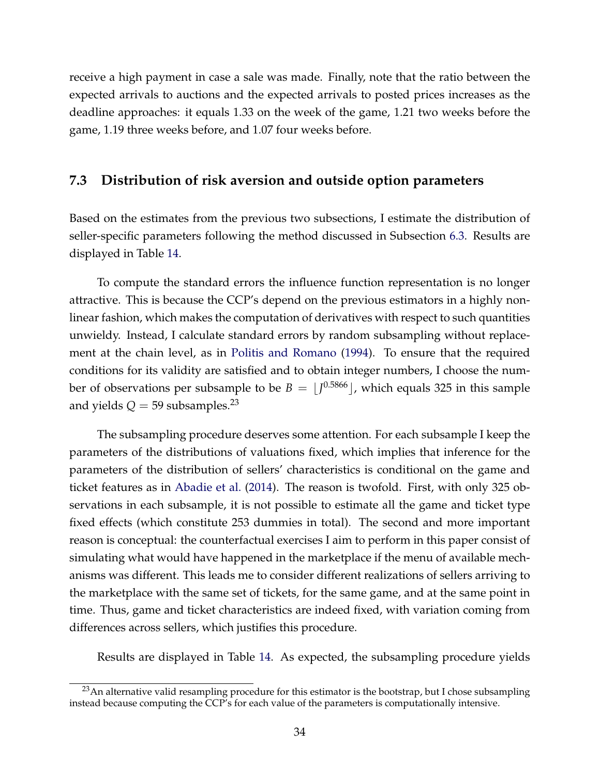receive a high payment in case a sale was made. Finally, note that the ratio between the expected arrivals to auctions and the expected arrivals to posted prices increases as the deadline approaches: it equals 1.33 on the week of the game, 1.21 two weeks before the game, 1.19 three weeks before, and 1.07 four weeks before.

#### **7.3 Distribution of risk aversion and outside option parameters**

Based on the estimates from the previous two subsections, I estimate the distribution of seller-specific parameters following the method discussed in Subsection [6.3.](#page-27-0) Results are displayed in Table [14.](#page-53-0)

To compute the standard errors the influence function representation is no longer attractive. This is because the CCP's depend on the previous estimators in a highly nonlinear fashion, which makes the computation of derivatives with respect to such quantities unwieldy. Instead, I calculate standard errors by random subsampling without replacement at the chain level, as in [Politis and Romano](#page-42-8) [\(1994\)](#page-42-8). To ensure that the required conditions for its validity are satisfied and to obtain integer numbers, I choose the number of observations per subsample to be  $B = \lfloor J^{0.5866} \rfloor$ , which equals 325 in this sample and yields  $Q = 59$  subsamples.<sup>23</sup>

The subsampling procedure deserves some attention. For each subsample I keep the parameters of the distributions of valuations fixed, which implies that inference for the parameters of the distribution of sellers' characteristics is conditional on the game and ticket features as in [Abadie et al.](#page-39-12) [\(2014\)](#page-39-12). The reason is twofold. First, with only 325 observations in each subsample, it is not possible to estimate all the game and ticket type fixed effects (which constitute 253 dummies in total). The second and more important reason is conceptual: the counterfactual exercises I aim to perform in this paper consist of simulating what would have happened in the marketplace if the menu of available mechanisms was different. This leads me to consider different realizations of sellers arriving to the marketplace with the same set of tickets, for the same game, and at the same point in time. Thus, game and ticket characteristics are indeed fixed, with variation coming from differences across sellers, which justifies this procedure.

Results are displayed in Table [14.](#page-53-0) As expected, the subsampling procedure yields

 $23$ An alternative valid resampling procedure for this estimator is the bootstrap, but I chose subsampling instead because computing the CCP's for each value of the parameters is computationally intensive.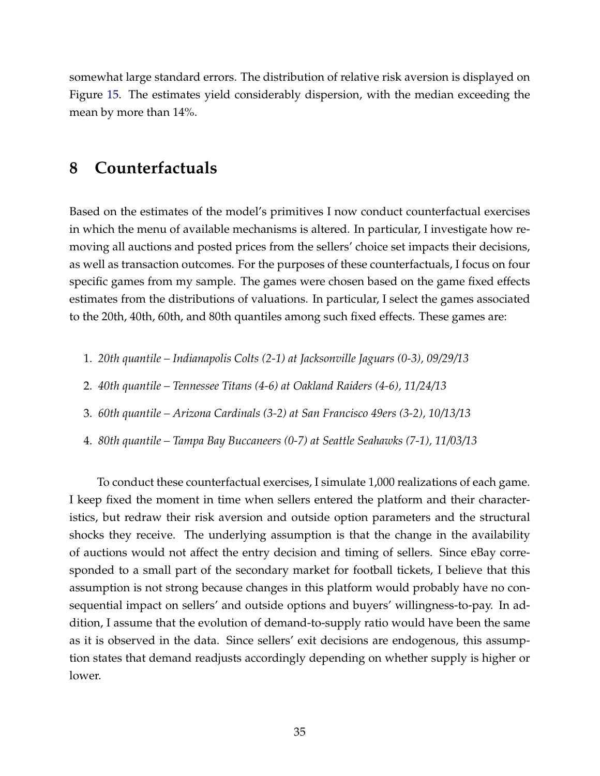somewhat large standard errors. The distribution of relative risk aversion is displayed on Figure [15.](#page-64-0) The estimates yield considerably dispersion, with the median exceeding the mean by more than 14%.

## **8 Counterfactuals**

Based on the estimates of the model's primitives I now conduct counterfactual exercises in which the menu of available mechanisms is altered. In particular, I investigate how removing all auctions and posted prices from the sellers' choice set impacts their decisions, as well as transaction outcomes. For the purposes of these counterfactuals, I focus on four specific games from my sample. The games were chosen based on the game fixed effects estimates from the distributions of valuations. In particular, I select the games associated to the 20th, 40th, 60th, and 80th quantiles among such fixed effects. These games are:

- 1. *20th quantile Indianapolis Colts (2-1) at Jacksonville Jaguars (0-3), 09/29/13*
- 2. *40th quantile Tennessee Titans (4-6) at Oakland Raiders (4-6), 11/24/13*
- 3. *60th quantile Arizona Cardinals (3-2) at San Francisco 49ers (3-2), 10/13/13*
- 4. *80th quantile Tampa Bay Buccaneers (0-7) at Seattle Seahawks (7-1), 11/03/13*

To conduct these counterfactual exercises, I simulate 1,000 realizations of each game. I keep fixed the moment in time when sellers entered the platform and their characteristics, but redraw their risk aversion and outside option parameters and the structural shocks they receive. The underlying assumption is that the change in the availability of auctions would not affect the entry decision and timing of sellers. Since eBay corresponded to a small part of the secondary market for football tickets, I believe that this assumption is not strong because changes in this platform would probably have no consequential impact on sellers' and outside options and buyers' willingness-to-pay. In addition, I assume that the evolution of demand-to-supply ratio would have been the same as it is observed in the data. Since sellers' exit decisions are endogenous, this assumption states that demand readjusts accordingly depending on whether supply is higher or lower.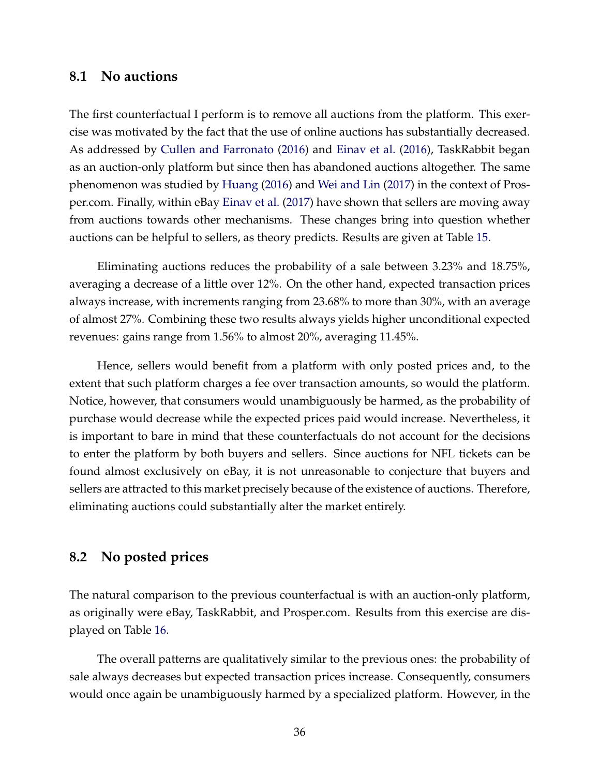#### **8.1 No auctions**

The first counterfactual I perform is to remove all auctions from the platform. This exercise was motivated by the fact that the use of online auctions has substantially decreased. As addressed by [Cullen and Farronato](#page-40-0) [\(2016\)](#page-40-0) and [Einav et al.](#page-40-1) [\(2016\)](#page-40-1), TaskRabbit began as an auction-only platform but since then has abandoned auctions altogether. The same phenomenon was studied by [Huang](#page-41-0) [\(2016\)](#page-41-0) and [Wei and Lin](#page-43-0) [\(2017\)](#page-43-0) in the context of Prosper.com. Finally, within eBay [Einav et al.](#page-40-2) [\(2017\)](#page-40-2) have shown that sellers are moving away from auctions towards other mechanisms. These changes bring into question whether auctions can be helpful to sellers, as theory predicts. Results are given at Table [15.](#page-54-0)

Eliminating auctions reduces the probability of a sale between 3.23% and 18.75%, averaging a decrease of a little over 12%. On the other hand, expected transaction prices always increase, with increments ranging from 23.68% to more than 30%, with an average of almost 27%. Combining these two results always yields higher unconditional expected revenues: gains range from 1.56% to almost 20%, averaging 11.45%.

Hence, sellers would benefit from a platform with only posted prices and, to the extent that such platform charges a fee over transaction amounts, so would the platform. Notice, however, that consumers would unambiguously be harmed, as the probability of purchase would decrease while the expected prices paid would increase. Nevertheless, it is important to bare in mind that these counterfactuals do not account for the decisions to enter the platform by both buyers and sellers. Since auctions for NFL tickets can be found almost exclusively on eBay, it is not unreasonable to conjecture that buyers and sellers are attracted to this market precisely because of the existence of auctions. Therefore, eliminating auctions could substantially alter the market entirely.

### **8.2 No posted prices**

The natural comparison to the previous counterfactual is with an auction-only platform, as originally were eBay, TaskRabbit, and Prosper.com. Results from this exercise are displayed on Table [16.](#page-55-0)

The overall patterns are qualitatively similar to the previous ones: the probability of sale always decreases but expected transaction prices increase. Consequently, consumers would once again be unambiguously harmed by a specialized platform. However, in the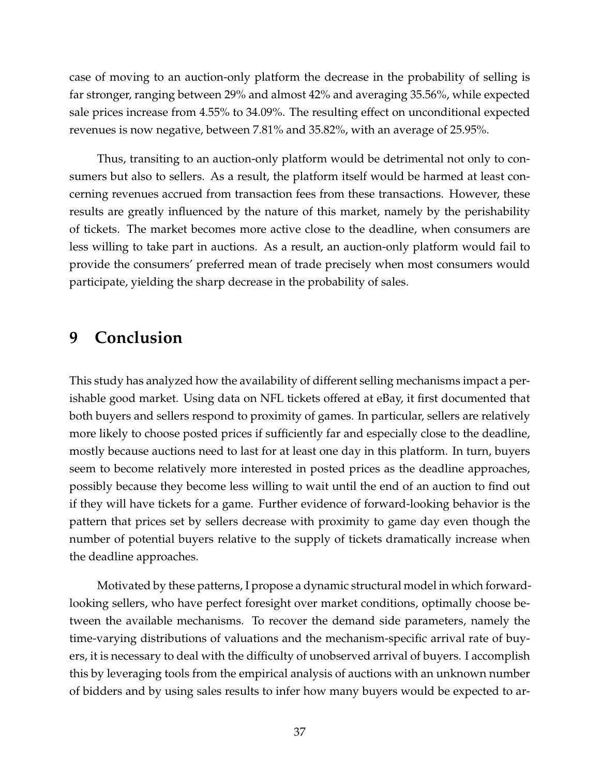case of moving to an auction-only platform the decrease in the probability of selling is far stronger, ranging between 29% and almost 42% and averaging 35.56%, while expected sale prices increase from 4.55% to 34.09%. The resulting effect on unconditional expected revenues is now negative, between 7.81% and 35.82%, with an average of 25.95%.

Thus, transiting to an auction-only platform would be detrimental not only to consumers but also to sellers. As a result, the platform itself would be harmed at least concerning revenues accrued from transaction fees from these transactions. However, these results are greatly influenced by the nature of this market, namely by the perishability of tickets. The market becomes more active close to the deadline, when consumers are less willing to take part in auctions. As a result, an auction-only platform would fail to provide the consumers' preferred mean of trade precisely when most consumers would participate, yielding the sharp decrease in the probability of sales.

# **9 Conclusion**

This study has analyzed how the availability of different selling mechanisms impact a perishable good market. Using data on NFL tickets offered at eBay, it first documented that both buyers and sellers respond to proximity of games. In particular, sellers are relatively more likely to choose posted prices if sufficiently far and especially close to the deadline, mostly because auctions need to last for at least one day in this platform. In turn, buyers seem to become relatively more interested in posted prices as the deadline approaches, possibly because they become less willing to wait until the end of an auction to find out if they will have tickets for a game. Further evidence of forward-looking behavior is the pattern that prices set by sellers decrease with proximity to game day even though the number of potential buyers relative to the supply of tickets dramatically increase when the deadline approaches.

Motivated by these patterns, I propose a dynamic structural model in which forwardlooking sellers, who have perfect foresight over market conditions, optimally choose between the available mechanisms. To recover the demand side parameters, namely the time-varying distributions of valuations and the mechanism-specific arrival rate of buyers, it is necessary to deal with the difficulty of unobserved arrival of buyers. I accomplish this by leveraging tools from the empirical analysis of auctions with an unknown number of bidders and by using sales results to infer how many buyers would be expected to ar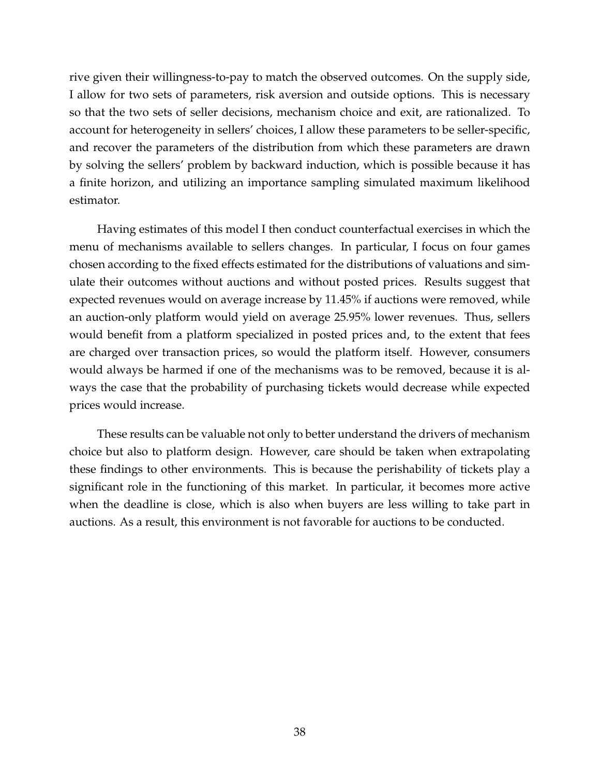rive given their willingness-to-pay to match the observed outcomes. On the supply side, I allow for two sets of parameters, risk aversion and outside options. This is necessary so that the two sets of seller decisions, mechanism choice and exit, are rationalized. To account for heterogeneity in sellers' choices, I allow these parameters to be seller-specific, and recover the parameters of the distribution from which these parameters are drawn by solving the sellers' problem by backward induction, which is possible because it has a finite horizon, and utilizing an importance sampling simulated maximum likelihood estimator.

Having estimates of this model I then conduct counterfactual exercises in which the menu of mechanisms available to sellers changes. In particular, I focus on four games chosen according to the fixed effects estimated for the distributions of valuations and simulate their outcomes without auctions and without posted prices. Results suggest that expected revenues would on average increase by 11.45% if auctions were removed, while an auction-only platform would yield on average 25.95% lower revenues. Thus, sellers would benefit from a platform specialized in posted prices and, to the extent that fees are charged over transaction prices, so would the platform itself. However, consumers would always be harmed if one of the mechanisms was to be removed, because it is always the case that the probability of purchasing tickets would decrease while expected prices would increase.

These results can be valuable not only to better understand the drivers of mechanism choice but also to platform design. However, care should be taken when extrapolating these findings to other environments. This is because the perishability of tickets play a significant role in the functioning of this market. In particular, it becomes more active when the deadline is close, which is also when buyers are less willing to take part in auctions. As a result, this environment is not favorable for auctions to be conducted.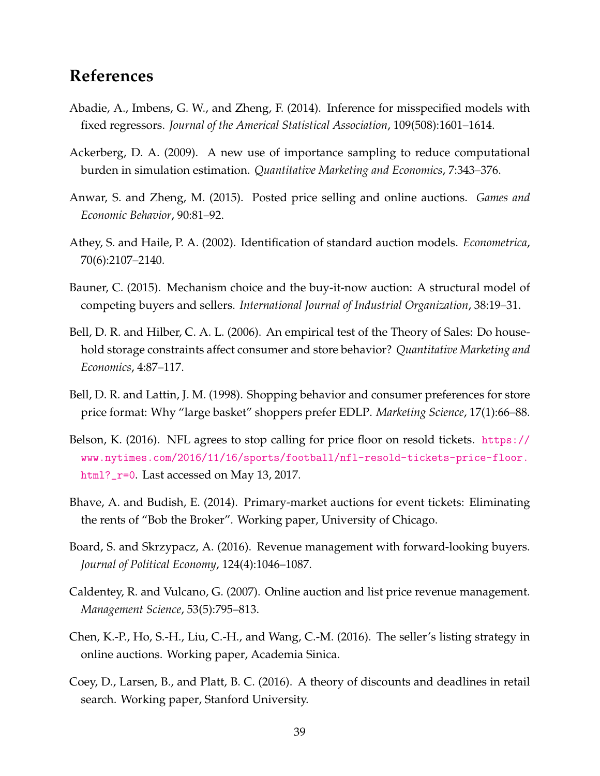# **References**

- Abadie, A., Imbens, G. W., and Zheng, F. (2014). Inference for misspecified models with fixed regressors. *Journal of the Americal Statistical Association*, 109(508):1601–1614.
- Ackerberg, D. A. (2009). A new use of importance sampling to reduce computational burden in simulation estimation. *Quantitative Marketing and Economics*, 7:343–376.
- Anwar, S. and Zheng, M. (2015). Posted price selling and online auctions. *Games and Economic Behavior*, 90:81–92.
- Athey, S. and Haile, P. A. (2002). Identification of standard auction models. *Econometrica*, 70(6):2107–2140.
- Bauner, C. (2015). Mechanism choice and the buy-it-now auction: A structural model of competing buyers and sellers. *International Journal of Industrial Organization*, 38:19–31.
- Bell, D. R. and Hilber, C. A. L. (2006). An empirical test of the Theory of Sales: Do household storage constraints affect consumer and store behavior? *Quantitative Marketing and Economics*, 4:87–117.
- Bell, D. R. and Lattin, J. M. (1998). Shopping behavior and consumer preferences for store price format: Why "large basket" shoppers prefer EDLP. *Marketing Science*, 17(1):66–88.
- Belson, K. (2016). NFL agrees to stop calling for price floor on resold tickets. [https://](https://www.nytimes.com/2016/11/16/sports/football/nfl-resold-tickets-price-floor.html?_r=0) [www.nytimes.com/2016/11/16/sports/football/nfl-resold-tickets-price-floor.](https://www.nytimes.com/2016/11/16/sports/football/nfl-resold-tickets-price-floor.html?_r=0) [html?\\_r=0](https://www.nytimes.com/2016/11/16/sports/football/nfl-resold-tickets-price-floor.html?_r=0). Last accessed on May 13, 2017.
- Bhave, A. and Budish, E. (2014). Primary-market auctions for event tickets: Eliminating the rents of "Bob the Broker". Working paper, University of Chicago.
- Board, S. and Skrzypacz, A. (2016). Revenue management with forward-looking buyers. *Journal of Political Economy*, 124(4):1046–1087.
- Caldentey, R. and Vulcano, G. (2007). Online auction and list price revenue management. *Management Science*, 53(5):795–813.
- Chen, K.-P., Ho, S.-H., Liu, C.-H., and Wang, C.-M. (2016). The seller's listing strategy in online auctions. Working paper, Academia Sinica.
- Coey, D., Larsen, B., and Platt, B. C. (2016). A theory of discounts and deadlines in retail search. Working paper, Stanford University.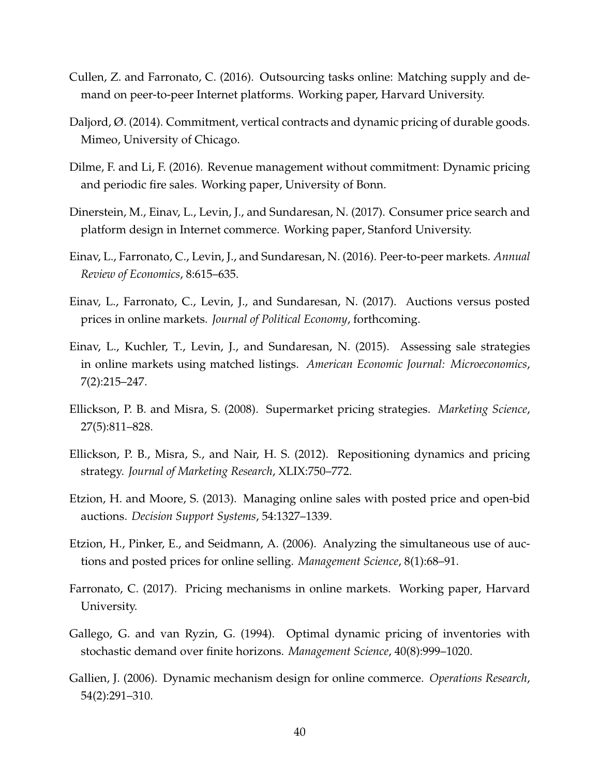- <span id="page-40-0"></span>Cullen, Z. and Farronato, C. (2016). Outsourcing tasks online: Matching supply and demand on peer-to-peer Internet platforms. Working paper, Harvard University.
- Daljord, Ø. (2014). Commitment, vertical contracts and dynamic pricing of durable goods. Mimeo, University of Chicago.
- Dilme, F. and Li, F. (2016). Revenue management without commitment: Dynamic pricing and periodic fire sales. Working paper, University of Bonn.
- Dinerstein, M., Einav, L., Levin, J., and Sundaresan, N. (2017). Consumer price search and platform design in Internet commerce. Working paper, Stanford University.
- <span id="page-40-1"></span>Einav, L., Farronato, C., Levin, J., and Sundaresan, N. (2016). Peer-to-peer markets. *Annual Review of Economics*, 8:615–635.
- <span id="page-40-2"></span>Einav, L., Farronato, C., Levin, J., and Sundaresan, N. (2017). Auctions versus posted prices in online markets. *Journal of Political Economy*, forthcoming.
- Einav, L., Kuchler, T., Levin, J., and Sundaresan, N. (2015). Assessing sale strategies in online markets using matched listings. *American Economic Journal: Microeconomics*, 7(2):215–247.
- Ellickson, P. B. and Misra, S. (2008). Supermarket pricing strategies. *Marketing Science*, 27(5):811–828.
- Ellickson, P. B., Misra, S., and Nair, H. S. (2012). Repositioning dynamics and pricing strategy. *Journal of Marketing Research*, XLIX:750–772.
- Etzion, H. and Moore, S. (2013). Managing online sales with posted price and open-bid auctions. *Decision Support Systems*, 54:1327–1339.
- Etzion, H., Pinker, E., and Seidmann, A. (2006). Analyzing the simultaneous use of auctions and posted prices for online selling. *Management Science*, 8(1):68–91.
- Farronato, C. (2017). Pricing mechanisms in online markets. Working paper, Harvard University.
- Gallego, G. and van Ryzin, G. (1994). Optimal dynamic pricing of inventories with stochastic demand over finite horizons. *Management Science*, 40(8):999–1020.
- Gallien, J. (2006). Dynamic mechanism design for online commerce. *Operations Research*, 54(2):291–310.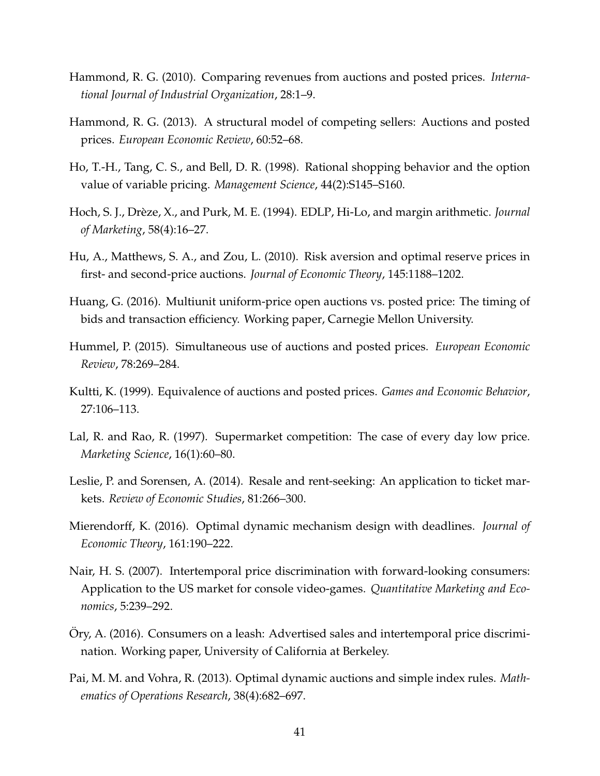- Hammond, R. G. (2010). Comparing revenues from auctions and posted prices. *International Journal of Industrial Organization*, 28:1–9.
- Hammond, R. G. (2013). A structural model of competing sellers: Auctions and posted prices. *European Economic Review*, 60:52–68.
- Ho, T.-H., Tang, C. S., and Bell, D. R. (1998). Rational shopping behavior and the option value of variable pricing. *Management Science*, 44(2):S145–S160.
- Hoch, S. J., Drèze, X., and Purk, M. E. (1994). EDLP, Hi-Lo, and margin arithmetic. *Journal of Marketing*, 58(4):16–27.
- Hu, A., Matthews, S. A., and Zou, L. (2010). Risk aversion and optimal reserve prices in first- and second-price auctions. *Journal of Economic Theory*, 145:1188–1202.
- <span id="page-41-0"></span>Huang, G. (2016). Multiunit uniform-price open auctions vs. posted price: The timing of bids and transaction efficiency. Working paper, Carnegie Mellon University.
- Hummel, P. (2015). Simultaneous use of auctions and posted prices. *European Economic Review*, 78:269–284.
- Kultti, K. (1999). Equivalence of auctions and posted prices. *Games and Economic Behavior*, 27:106–113.
- Lal, R. and Rao, R. (1997). Supermarket competition: The case of every day low price. *Marketing Science*, 16(1):60–80.
- <span id="page-41-1"></span>Leslie, P. and Sorensen, A. (2014). Resale and rent-seeking: An application to ticket markets. *Review of Economic Studies*, 81:266–300.
- Mierendorff, K. (2016). Optimal dynamic mechanism design with deadlines. *Journal of Economic Theory*, 161:190–222.
- Nair, H. S. (2007). Intertemporal price discrimination with forward-looking consumers: Application to the US market for console video-games. *Quantitative Marketing and Economics*, 5:239–292.
- Ory, A. (2016). Consumers on a leash: Advertised sales and intertemporal price discrimi- ¨ nation. Working paper, University of California at Berkeley.
- Pai, M. M. and Vohra, R. (2013). Optimal dynamic auctions and simple index rules. *Mathematics of Operations Research*, 38(4):682–697.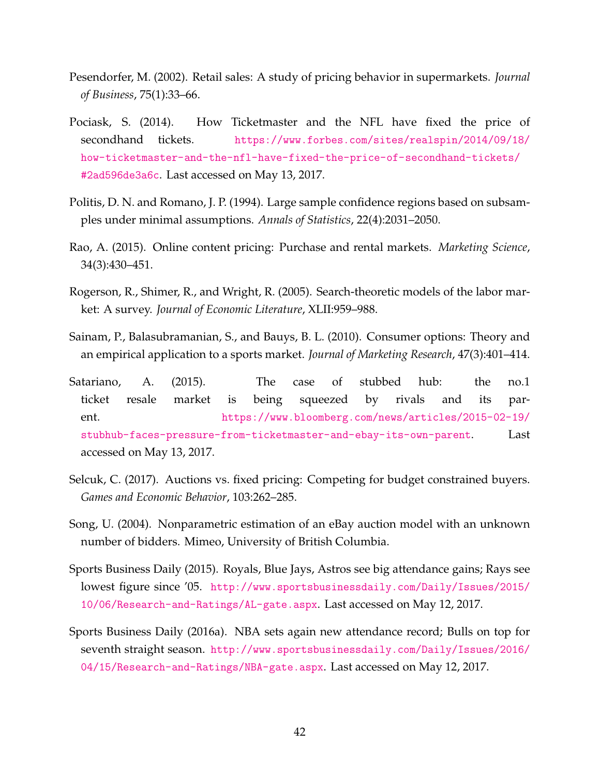- Pesendorfer, M. (2002). Retail sales: A study of pricing behavior in supermarkets. *Journal of Business*, 75(1):33–66.
- Pociask, S. (2014). How Ticketmaster and the NFL have fixed the price of secondhand tickets. [https://www.forbes.com/sites/realspin/2014/09/18/](https://www.forbes.com/sites/realspin/2014/09/18/how-ticketmaster-and-the-nfl-have-fixed-the-price-of-secondhand-tickets/#2ad596de3a6c) [how-ticketmaster-and-the-nfl-have-fixed-the-price-of-secondhand-tickets/](https://www.forbes.com/sites/realspin/2014/09/18/how-ticketmaster-and-the-nfl-have-fixed-the-price-of-secondhand-tickets/#2ad596de3a6c) [#2ad596de3a6c](https://www.forbes.com/sites/realspin/2014/09/18/how-ticketmaster-and-the-nfl-have-fixed-the-price-of-secondhand-tickets/#2ad596de3a6c). Last accessed on May 13, 2017.
- Politis, D. N. and Romano, J. P. (1994). Large sample confidence regions based on subsamples under minimal assumptions. *Annals of Statistics*, 22(4):2031–2050.
- Rao, A. (2015). Online content pricing: Purchase and rental markets. *Marketing Science*, 34(3):430–451.
- Rogerson, R., Shimer, R., and Wright, R. (2005). Search-theoretic models of the labor market: A survey. *Journal of Economic Literature*, XLII:959–988.
- Sainam, P., Balasubramanian, S., and Bauys, B. L. (2010). Consumer options: Theory and an empirical application to a sports market. *Journal of Marketing Research*, 47(3):401–414.
- Satariano, A. (2015). The case of stubbed hub: the no.1 ticket resale market is being squeezed by rivals and its parent. [https://www.bloomberg.com/news/articles/2015-02-19/](https://www.bloomberg.com/news/articles/2015-02-19/stubhub-faces-pressure-from-ticketmaster-and- ebay-its-own-parent) [stubhub-faces-pressure-from-ticketmaster-and-ebay-its-own-parent](https://www.bloomberg.com/news/articles/2015-02-19/stubhub-faces-pressure-from-ticketmaster-and- ebay-its-own-parent). Last accessed on May 13, 2017.
- Selcuk, C. (2017). Auctions vs. fixed pricing: Competing for budget constrained buyers. *Games and Economic Behavior*, 103:262–285.
- Song, U. (2004). Nonparametric estimation of an eBay auction model with an unknown number of bidders. Mimeo, University of British Columbia.
- <span id="page-42-0"></span>Sports Business Daily (2015). Royals, Blue Jays, Astros see big attendance gains; Rays see lowest figure since '05. [http://www.sportsbusinessdaily.com/Daily/Issues/2015/](http://www.sportsbusinessdaily.com/Daily/Issues/2015/10/06/Research-and-Ratings/AL-gate.aspx) [10/06/Research-and-Ratings/AL-gate.aspx](http://www.sportsbusinessdaily.com/Daily/Issues/2015/10/06/Research-and-Ratings/AL-gate.aspx). Last accessed on May 12, 2017.
- <span id="page-42-1"></span>Sports Business Daily (2016a). NBA sets again new attendance record; Bulls on top for seventh straight season. [http://www.sportsbusinessdaily.com/Daily/Issues/2016/](http://www.sportsbusinessdaily.com/Daily/Issues/2016/04/15/Research-and-Ratings/NBA-gate.aspx) [04/15/Research-and-Ratings/NBA-gate.aspx](http://www.sportsbusinessdaily.com/Daily/Issues/2016/04/15/Research-and-Ratings/NBA-gate.aspx). Last accessed on May 12, 2017.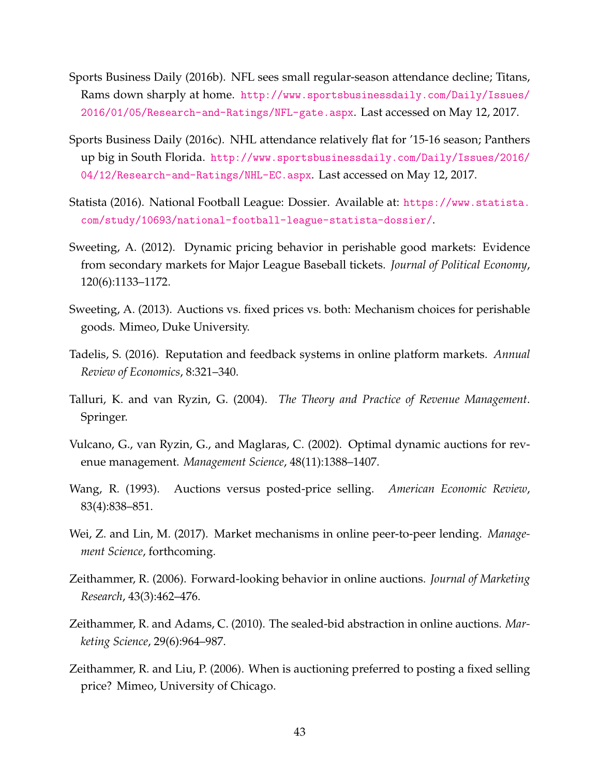- <span id="page-43-2"></span>Sports Business Daily (2016b). NFL sees small regular-season attendance decline; Titans, Rams down sharply at home. [http://www.sportsbusinessdaily.com/Daily/Issues/](http://www.sportsbusinessdaily.com/Daily/Issues/2016/01/05/Research-and-Ratings/NFL-gate.aspx) [2016/01/05/Research-and-Ratings/NFL-gate.aspx](http://www.sportsbusinessdaily.com/Daily/Issues/2016/01/05/Research-and-Ratings/NFL-gate.aspx). Last accessed on May 12, 2017.
- <span id="page-43-3"></span>Sports Business Daily (2016c). NHL attendance relatively flat for '15-16 season; Panthers up big in South Florida. [http://www.sportsbusinessdaily.com/Daily/Issues/2016/](http://www.sportsbusinessdaily.com/Daily/Issues/2016/04/12/Research-and-Ratings/NHL-EC.aspx) [04/12/Research-and-Ratings/NHL-EC.aspx](http://www.sportsbusinessdaily.com/Daily/Issues/2016/04/12/Research-and-Ratings/NHL-EC.aspx). Last accessed on May 12, 2017.
- <span id="page-43-1"></span>Statista (2016). National Football League: Dossier. Available at: [https://www.statista.](https://www.statista.com/study/10693/national-football-league-statista-dossier/) [com/study/10693/national-football-league-statista-dossier/](https://www.statista.com/study/10693/national-football-league-statista-dossier/).
- Sweeting, A. (2012). Dynamic pricing behavior in perishable good markets: Evidence from secondary markets for Major League Baseball tickets. *Journal of Political Economy*, 120(6):1133–1172.
- Sweeting, A. (2013). Auctions vs. fixed prices vs. both: Mechanism choices for perishable goods. Mimeo, Duke University.
- Tadelis, S. (2016). Reputation and feedback systems in online platform markets. *Annual Review of Economics*, 8:321–340.
- Talluri, K. and van Ryzin, G. (2004). *The Theory and Practice of Revenue Management*. Springer.
- Vulcano, G., van Ryzin, G., and Maglaras, C. (2002). Optimal dynamic auctions for revenue management. *Management Science*, 48(11):1388–1407.
- Wang, R. (1993). Auctions versus posted-price selling. *American Economic Review*, 83(4):838–851.
- <span id="page-43-0"></span>Wei, Z. and Lin, M. (2017). Market mechanisms in online peer-to-peer lending. *Management Science*, forthcoming.
- Zeithammer, R. (2006). Forward-looking behavior in online auctions. *Journal of Marketing Research*, 43(3):462–476.
- Zeithammer, R. and Adams, C. (2010). The sealed-bid abstraction in online auctions. *Marketing Science*, 29(6):964–987.
- Zeithammer, R. and Liu, P. (2006). When is auctioning preferred to posting a fixed selling price? Mimeo, University of Chicago.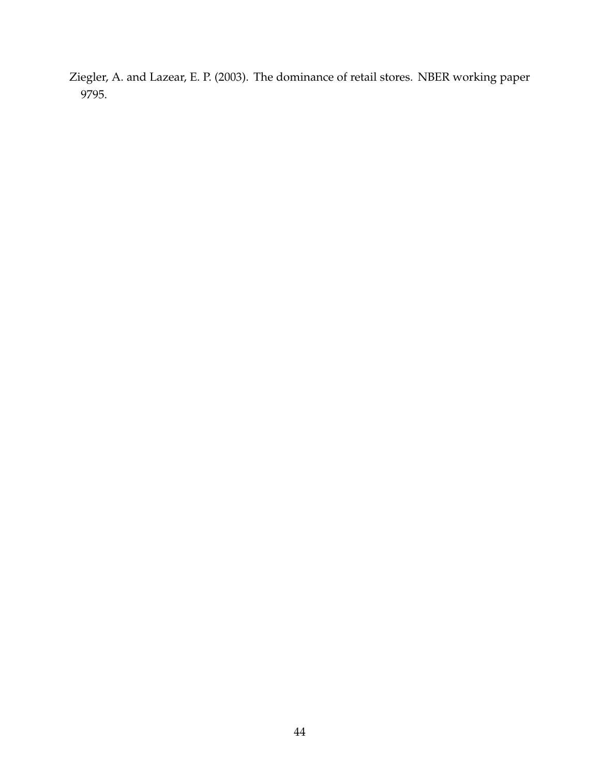Ziegler, A. and Lazear, E. P. (2003). The dominance of retail stores. NBER working paper 9795.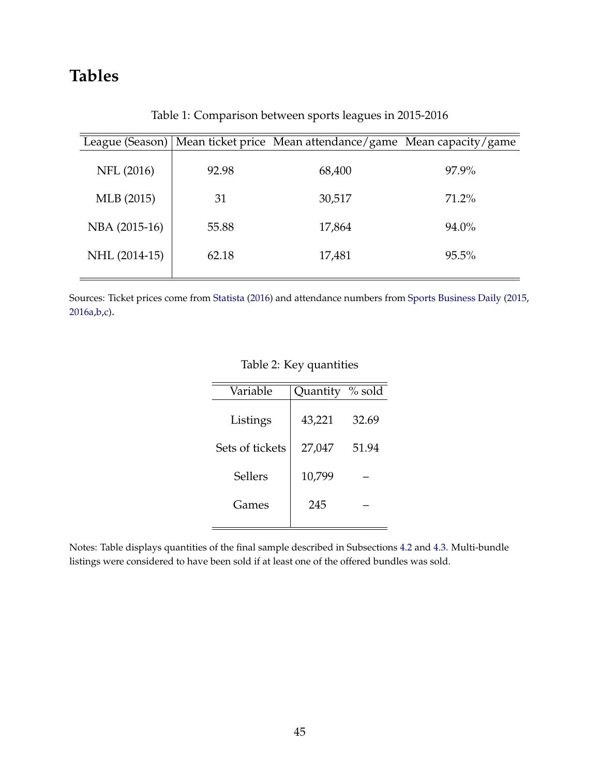# **Tables**

|               |       | League (Season)   Mean ticket price Mean attendance/game Mean capacity/game |          |
|---------------|-------|-----------------------------------------------------------------------------|----------|
| NFL (2016)    | 92.98 | 68,400                                                                      | 97.9%    |
| MLB (2015)    | 31    | 30,517                                                                      | 71.2%    |
| NBA (2015-16) | 55.88 | 17,864                                                                      | 94.0%    |
| NHL (2014-15) | 62.18 | 17,481                                                                      | $95.5\%$ |

Table 1: Comparison between sports leagues in 2015-2016

Sources: Ticket prices come from [Statista](#page-43-1) [\(2016\)](#page-43-1) and attendance numbers from [Sports Business Daily](#page-42-0) [\(2015,](#page-42-0) [2016a](#page-42-1)[,b](#page-43-2)[,c\)](#page-43-3).

#### Table 2: Key quantities

| Variable        | Quantity % sold |       |
|-----------------|-----------------|-------|
| Listings        | 43,221          | 32.69 |
| Sets of tickets | 27,047          | 51.94 |
| Sellers         | 10,799          |       |
| Games           | 245             |       |
|                 |                 |       |

Notes: Table displays quantities of the final sample described in Subsections [4.2](#page-13-0) and [4.3.](#page-15-0) Multi-bundle listings were considered to have been sold if at least one of the offered bundles was sold.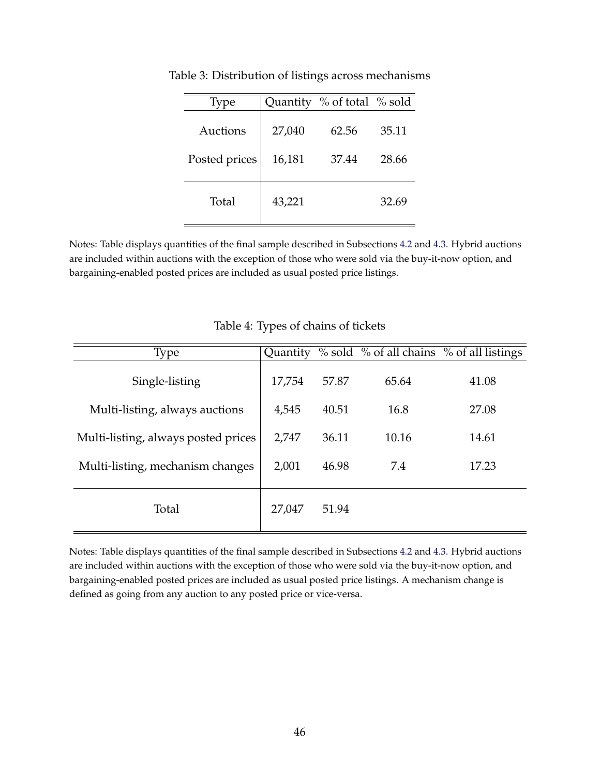| <b>Type</b>   |        | Quantity % of total % sold |       |
|---------------|--------|----------------------------|-------|
| Auctions      | 27,040 | 62.56                      | 35.11 |
| Posted prices | 16,181 | 37.44                      | 28.66 |
| Total         | 43,221 |                            | 32.69 |

Table 3: Distribution of listings across mechanisms

Notes: Table displays quantities of the final sample described in Subsections [4.2](#page-13-0) and [4.3.](#page-15-0) Hybrid auctions are included within auctions with the exception of those who were sold via the buy-it-now option, and bargaining-enabled posted prices are included as usual posted price listings.

| Type                                | Quantity |       |       | % sold % of all chains % of all listings |
|-------------------------------------|----------|-------|-------|------------------------------------------|
| Single-listing                      | 17,754   | 57.87 | 65.64 | 41.08                                    |
| Multi-listing, always auctions      | 4,545    | 40.51 | 16.8  | 27.08                                    |
| Multi-listing, always posted prices | 2,747    | 36.11 | 10.16 | 14.61                                    |
| Multi-listing, mechanism changes    | 2,001    | 46.98 | 7.4   | 17.23                                    |
| Total                               | 27,047   | 51.94 |       |                                          |

Table 4: Types of chains of tickets

Notes: Table displays quantities of the final sample described in Subsections [4.2](#page-13-0) and [4.3.](#page-15-0) Hybrid auctions are included within auctions with the exception of those who were sold via the buy-it-now option, and bargaining-enabled posted prices are included as usual posted price listings. A mechanism change is defined as going from any auction to any posted price or vice-versa.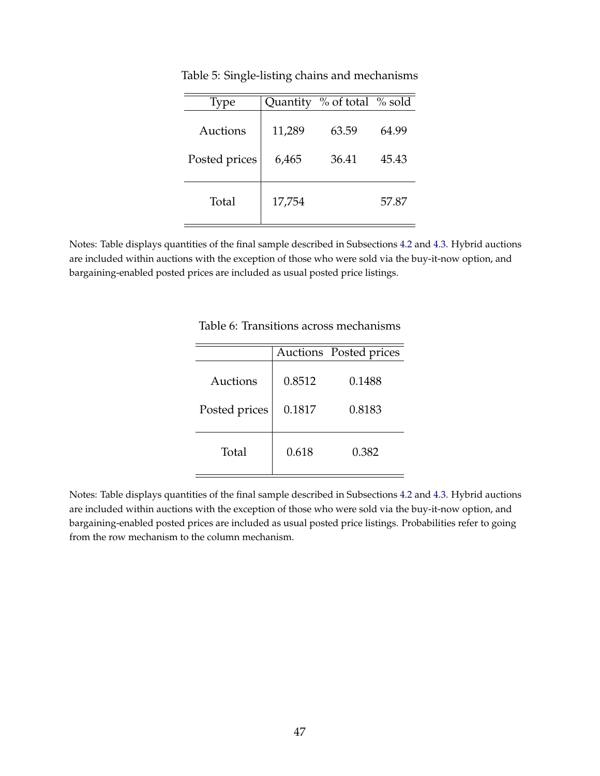| <b>Type</b>   | Quantity | $\%$ of total $\%$ sold |       |
|---------------|----------|-------------------------|-------|
| Auctions      | 11,289   | 63.59                   | 64.99 |
| Posted prices | 6,465    | 36.41                   | 45.43 |
|               |          |                         |       |
| Total         | 17,754   |                         | 57.87 |
|               |          |                         |       |

Table 5: Single-listing chains and mechanisms

Notes: Table displays quantities of the final sample described in Subsections [4.2](#page-13-0) and [4.3.](#page-15-0) Hybrid auctions are included within auctions with the exception of those who were sold via the buy-it-now option, and bargaining-enabled posted prices are included as usual posted price listings.

|               |        | Auctions Posted prices |  |
|---------------|--------|------------------------|--|
| Auctions      | 0.8512 | 0.1488                 |  |
| Posted prices | 0.1817 | 0.8183                 |  |
|               |        |                        |  |
| Total         | 0.618  | 0.382                  |  |

Table 6: Transitions across mechanisms

Notes: Table displays quantities of the final sample described in Subsections [4.2](#page-13-0) and [4.3.](#page-15-0) Hybrid auctions are included within auctions with the exception of those who were sold via the buy-it-now option, and bargaining-enabled posted prices are included as usual posted price listings. Probabilities refer to going from the row mechanism to the column mechanism.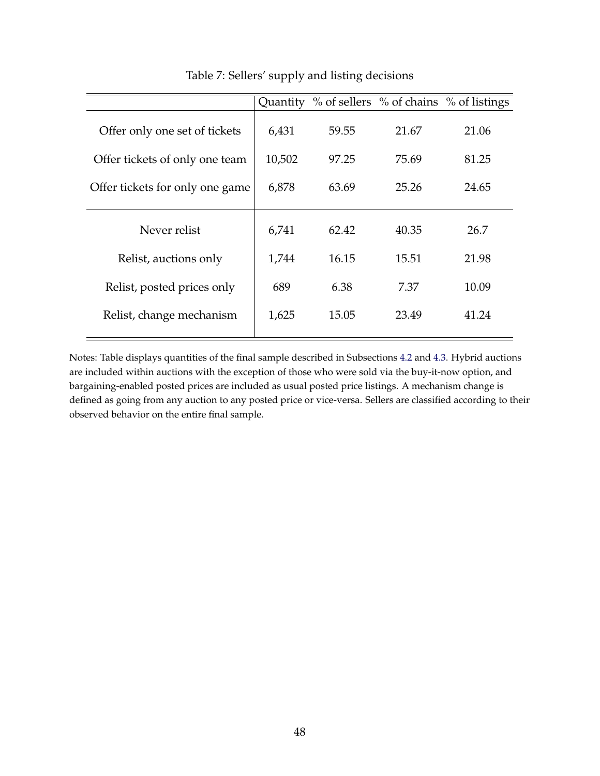|                                 | Quantity |       |       | % of sellers % of chains % of listings |
|---------------------------------|----------|-------|-------|----------------------------------------|
| Offer only one set of tickets   | 6,431    | 59.55 | 21.67 | 21.06                                  |
| Offer tickets of only one team  | 10,502   | 97.25 | 75.69 | 81.25                                  |
| Offer tickets for only one game | 6,878    | 63.69 | 25.26 | 24.65                                  |
| Never relist                    | 6,741    | 62.42 | 40.35 | 26.7                                   |
| Relist, auctions only           | 1,744    | 16.15 | 15.51 | 21.98                                  |
| Relist, posted prices only      | 689      | 6.38  | 7.37  | 10.09                                  |
| Relist, change mechanism        | 1,625    | 15.05 | 23.49 | 41.24                                  |

### Table 7: Sellers' supply and listing decisions

Notes: Table displays quantities of the final sample described in Subsections [4.2](#page-13-0) and [4.3.](#page-15-0) Hybrid auctions are included within auctions with the exception of those who were sold via the buy-it-now option, and bargaining-enabled posted prices are included as usual posted price listings. A mechanism change is defined as going from any auction to any posted price or vice-versa. Sellers are classified according to their observed behavior on the entire final sample.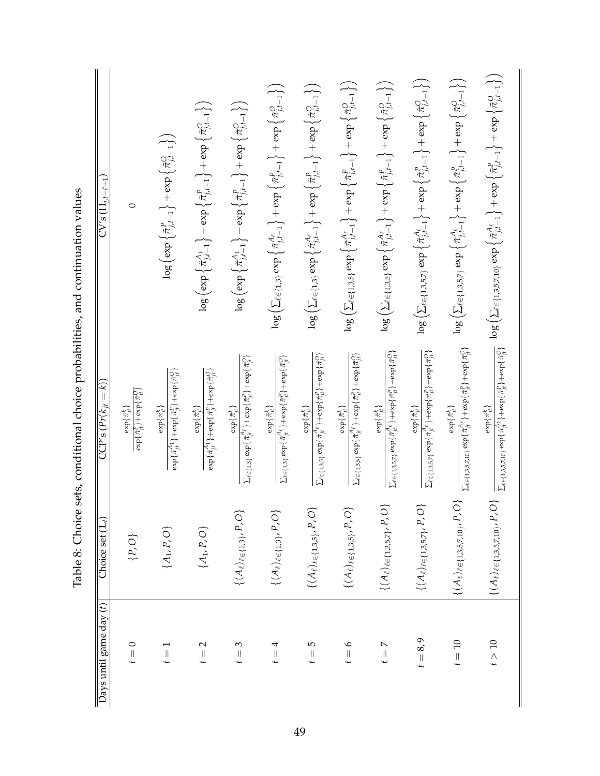| $\overline{\mathrm{CVs}}\,(\Pi_{j,t-\ell+1})$                                               | 0                                                                                                               | $\log\left(\exp\left\{\tilde{\pi}_{j,t-1}^{P}\right\}+\exp\left\{\tilde{\pi}_{j,t-1}^{O}\right\}\right)$                                          | $\log\left(\exp\left\{\tilde{\pi}_{j,l-1}^{A_{1}}\right\}+\exp\left\{\tilde{\pi}_{j,l-1}^{P}\right\}+\exp\left\{\tilde{\pi}_{j,l-1}^{O}\right\}\right)$ | $\log\left(\exp\left\{\tilde{\pi}_{j,l-1}^{A_{1}}\right\}+\exp\left\{\tilde{\pi}_{j,l-1}^{P}\right\}+\exp\left\{\tilde{\pi}_{j,l-1}^{O}\right\}\right)$  | $\log\left(\sum_{\ell\in\{1,3\}}\exp\left\{\tilde{\pi}^{\mathcal{A}_{\ell}}_{j,i-1}\right\}+\exp\left\{\tilde{\pi}^P_{j,i-1}\right\}+\exp\left\{\tilde{\pi}^O_{j,i-1}\right\}\right)$ | $\log\left(\sum_{\ell\in\{1,3\}}\exp\left\{\tilde{\pi}^{\mathcal{A}_{\ell}}_{j,i-1}\right\}+\exp\left\{\tilde{\pi}^P_{j,i-1}\right\}+\exp\left\{\tilde{\pi}^O_{j,i-1}\right\}\right)$ | $\log\left(\sum_{\ell\in\{1,3,5\}}\exp\left\{\tilde{\pi}^{A_\ell}_{j,l-1}\right\}+\exp\left\{\tilde{\pi}^P_{j,l-1}\right\}+\exp\left\{\tilde{\pi}^O_{j,l-1}\right\}\right)$             | $\log\left(\sum_{\ell\in\{1,3,5\}}\exp\left\{\tilde{\pi}^{A_{\ell}}_{j,l-1}\right\}+\exp\left\{\tilde{\pi}^{P}_{j,l-1}\right\}+\exp\left\{\tilde{\pi}^{O}_{j,l-1}\right\}\right)$ | $\log\left(\sum_{\ell\in\{1,3,5,7\}}\exp\left\{\tilde{\pi}^{A_{\ell}}_{j,i-1}\right\}+\exp\left\{\tilde{\pi}^{P}_{j,i-1}\right\}+\exp\left\{\tilde{\pi}^{O}_{j,i-1}\right\}\right)$ | $\log\left(\sum_{\ell\in\{1,3,5,7\}}\exp\left\{\tilde{\pi}^{A_{\ell}}_{j,i-1}\right\}+\exp\left\{\tilde{\pi}^{P}_{j,i-1}\right\}+\exp\left\{\tilde{\pi}^{O}_{j,i-1}\right\}\right)$ | $\log\left(\sum_{\ell\in\{1,3,5,7,10\}}\exp\left\{\tilde{\pi}^{\mathbb{A}_{\ell}}_{j,i-1}\right\}+\exp\left\{\tilde{\pi}^P_{j,i-1}\right\}+\exp\left\{\tilde{\pi}^{\mathbb{O}}_{j,i-1}\right\}\right)$ |
|---------------------------------------------------------------------------------------------|-----------------------------------------------------------------------------------------------------------------|---------------------------------------------------------------------------------------------------------------------------------------------------|---------------------------------------------------------------------------------------------------------------------------------------------------------|----------------------------------------------------------------------------------------------------------------------------------------------------------|---------------------------------------------------------------------------------------------------------------------------------------------------------------------------------------|---------------------------------------------------------------------------------------------------------------------------------------------------------------------------------------|-----------------------------------------------------------------------------------------------------------------------------------------------------------------------------------------|-----------------------------------------------------------------------------------------------------------------------------------------------------------------------------------|-------------------------------------------------------------------------------------------------------------------------------------------------------------------------------------|-------------------------------------------------------------------------------------------------------------------------------------------------------------------------------------|--------------------------------------------------------------------------------------------------------------------------------------------------------------------------------------------------------|
| sets, conditional choice probabilities, and continuation values<br>$CCP's (Pr(k_{it} = k))$ | $\exp\{\tilde{\pi}^{\text{P}}_{jt}\}\!\!+\!\exp\{\tilde{\pi}^{\text{O}}_{jt}\}$<br>$\exp\{\tilde{\pi}_{it}^k\}$ | $\exp\{\tilde{\pi}_{jt}^{A_1}\}\!+\!\exp\{\tilde{\pi}_{jt}^{\mathbb{P}}\}\!+\!\exp\{\tilde{\pi}_{jt}^{\mathbb{O}}\}$<br>$\exp\{\tilde{\pi}_H^k\}$ | $\exp\{\tilde{\pi}_{jt}^{A_1}\}+\exp\{\tilde{\pi}_{jt}^P\}+\exp\{\tilde{\pi}_{jt}^O\}$<br>$\exp\{\tilde{\pi}_{it}^k\}$                                  | $\sum_{\ell\in\{1,3\}}\exp\{\tilde{\pi}_{jt}^{\mathcal{A}_\ell}\}+\exp\{\tilde{\pi}_{jt}^p\}+\exp\{\tilde{\pi}_{jt}^Q\}$<br>$\exp\{\tilde{\pi}^t_{it}\}$ | $\sum_{\ell\in\{1,3\}}\exp\{\tilde{\pi}_{jt}^{{\mathcal A}\ell}\}+\exp\{\tilde{\pi}_{jt}^p\}+\exp\{\tilde{\pi}_{jt}^Q\}$<br>$\exp\{\tilde{\pi}_H^k\}$                                 | $\begin{split} \sum_{\ell\in\{1,3,5\}}\exp\{\tilde{\pi}_{ji}^{\mathcal{A}\ell}\} + \exp\{\tilde{\pi}_{ji}^P\} + \exp\{\tilde{\pi}_{ji}^Q\} \end{split}$<br>$\{\tilde{\pi}^t_{i+1}\}$  | $\begin{split} \sum_{\ell\in\{1,3,5\}}\exp\{\tilde{\pi}^{\mathcal{A}_{\ell}}_{jt}\} + \exp\{\tilde{\pi}^P_{jt}\} + \exp\{\tilde{\pi}^D_{jt}\} \end{split}$<br>$\exp\{\tilde{\pi}_n^k\}$ | $\sum_{\ell\in\{1,3,5,7\}}\exp\{\tilde{\pi}^A_{jt}\}+\exp\{\tilde{\pi}^F_{jt}\}+\exp\{\tilde{\pi}^O_{jt}\}$<br>$\exp\{\tilde{\pi}^t_{it}\}$                                       | $\sum_{\ell \in \{1,3,5,7\}} \exp\{\tilde{\pi}_{jt}^{A_\ell}\} + \exp\{\tilde{\pi}_{jt}^{P}\} + \exp\{\tilde{\pi}_{jt}^{O}\}$<br>$\exp\{\tilde{\pi}_n^k\}$                          | $\Sigma_{\ell\in\{1,3,5,7,10\}}\exp\{\tilde{\pi}_{jt}^{A_\ell}\}+\exp\{\tilde{\pi}_{jt}^{P}\}+\exp\{\tilde{\pi}_{jt}^{O}\}$<br>$\exp\{\tilde{\pi}_H^k\}$                            | $\sum_{\ell\in\{1,3,5,7,10\}}\exp\{\tilde{\pi}_{jt}^{A_\ell}\}+\exp\{\tilde{\pi}_{jt}^p\}+\exp\{\tilde{\pi}_{jt}^O\}$<br>$\exp\{\tilde{\pi}^k_{it}\}$                                                  |
| lable o: Choice<br>Choice set $(\mathbb{L}_t)$                                              | $\{P,O\}$                                                                                                       | $\{A_1, P, O\}$                                                                                                                                   | $\{A_1, P, O\}$                                                                                                                                         | $\{(A_\ell)_{\ell \in \{1,3\}}, P, O\}$                                                                                                                  | $\{(A_\ell)_{\ell \in \{1,3\}}, P, O\}$                                                                                                                                               | $\{(A_\ell)_{\ell \in \{1,3,5\}}, P, O\}$                                                                                                                                             | $\{(A_\ell)_{\ell \in \{1,3,5\}'} P, O\}$                                                                                                                                               | $\{(A_\ell)_{\ell\in\{1,3,5,7\}},P,O$                                                                                                                                             | $\{(A_\ell)_{\ell\in\{1,3,5,7\}},P,O$                                                                                                                                               | $\{(A_\ell)_{\ell \in \{1,3,5,7,10\}}, P, O\}$                                                                                                                                      | $\{(A_\ell)_{\ell \in \{1,3,5,7,10\}}, P, O\}$                                                                                                                                                         |
| Days until game day $(t)$                                                                   | $\circ$<br>$\frac{1}{2}$                                                                                        | $\left\vert {}\right\vert$                                                                                                                        | $\mathbf{\sim}$<br>$\mid \mid$                                                                                                                          | S<br>$\vert\vert$                                                                                                                                        | 4<br>$\vert\vert$                                                                                                                                                                     | 5<br>$\vert\vert$<br>t                                                                                                                                                                | $\circ$<br>$t =$                                                                                                                                                                        | $\triangleright$<br>$\frac{1}{t}$                                                                                                                                                 | $t = 8,9$                                                                                                                                                                           | $t = 10$                                                                                                                                                                            | t > 10                                                                                                                                                                                                 |

 $\frac{1}{2}$ Table 8: Choice sets, conditional choice probabilities, and continuation values and continuation arabahilitias conditional choice  $c$ otc Table 8: Choice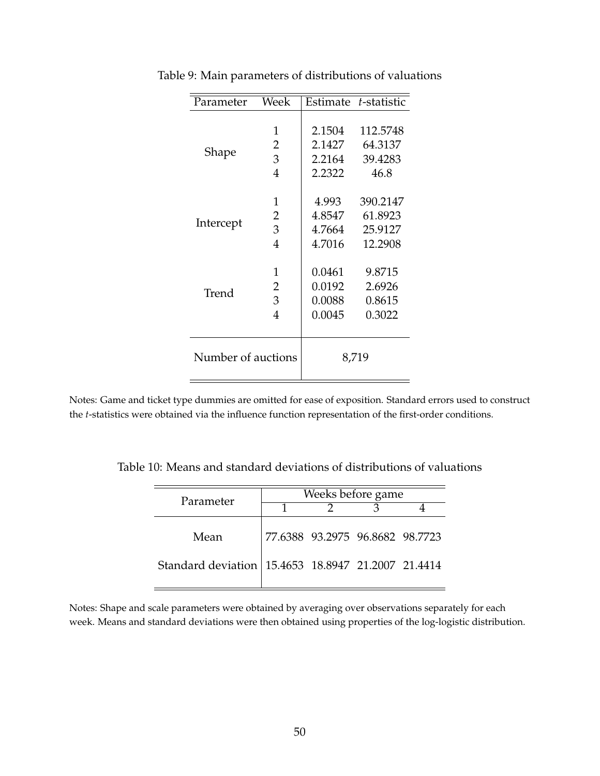| Parameter          | Week           |        | Estimate t-statistic |
|--------------------|----------------|--------|----------------------|
|                    |                |        |                      |
| Shape              | 1              | 2.1504 | 112.5748             |
|                    | 2              | 2.1427 | 64.3137              |
|                    | 3              | 2.2164 | 39.4283              |
|                    | $\overline{4}$ | 2.2322 | 46.8                 |
|                    |                |        |                      |
|                    | 1              | 4.993  | 390.2147             |
| Intercept          | 2              | 4.8547 | 61.8923              |
|                    | 3              | 4.7664 | 25.9127              |
|                    | 4              | 4.7016 | 12.2908              |
|                    | 1              | 0.0461 | 9.8715               |
|                    | 2              | 0.0192 | 2.6926               |
| Trend              | 3              | 0.0088 | 0.8615               |
|                    |                |        |                      |
|                    | 4              | 0.0045 | 0.3022               |
|                    |                |        |                      |
| Number of auctions |                |        | 8,719                |

Table 9: Main parameters of distributions of valuations

Notes: Game and ticket type dummies are omitted for ease of exposition. Standard errors used to construct the *t*-statistics were obtained via the influence function representation of the first-order conditions.

Table 10: Means and standard deviations of distributions of valuations

| Parameter                                          | Weeks before game |                                 |  |  |  |  |
|----------------------------------------------------|-------------------|---------------------------------|--|--|--|--|
|                                                    |                   |                                 |  |  |  |  |
| Mean                                               |                   | 77.6388 93.2975 96.8682 98.7723 |  |  |  |  |
| Standard deviation 15.4653 18.8947 21.2007 21.4414 |                   |                                 |  |  |  |  |

Notes: Shape and scale parameters were obtained by averaging over observations separately for each week. Means and standard deviations were then obtained using properties of the log-logistic distribution.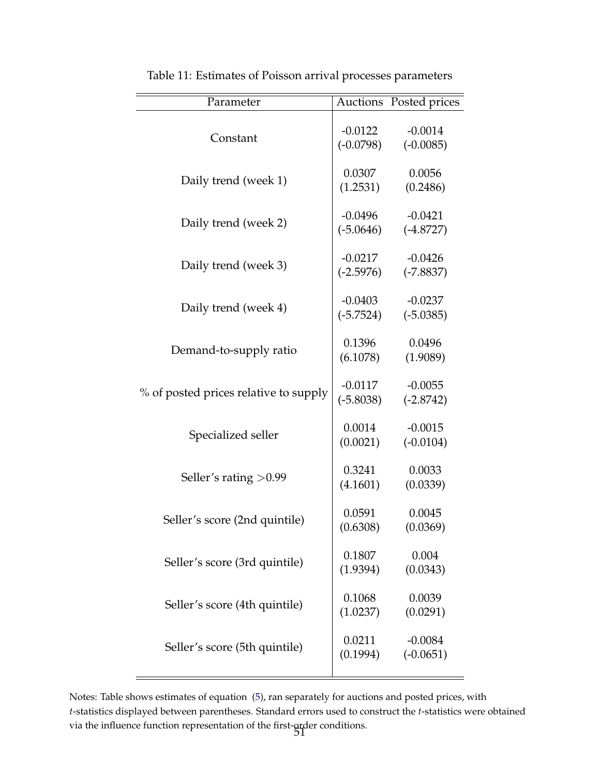| Parameter                             |                          | Auctions Posted prices   |
|---------------------------------------|--------------------------|--------------------------|
| Constant                              | $-0.0122$<br>$(-0.0798)$ | $-0.0014$<br>$(-0.0085)$ |
| Daily trend (week 1)                  | 0.0307<br>(1.2531)       | 0.0056<br>(0.2486)       |
| Daily trend (week 2)                  | $-0.0496$<br>$(-5.0646)$ | $-0.0421$<br>$(-4.8727)$ |
| Daily trend (week 3)                  | $-0.0217$<br>$(-2.5976)$ | $-0.0426$<br>$(-7.8837)$ |
| Daily trend (week 4)                  | $-0.0403$<br>$(-5.7524)$ | $-0.0237$<br>$(-5.0385)$ |
| Demand-to-supply ratio                | 0.1396<br>(6.1078)       | 0.0496<br>(1.9089)       |
| % of posted prices relative to supply | $-0.0117$<br>$(-5.8038)$ | $-0.0055$<br>$(-2.8742)$ |
| Specialized seller                    | 0.0014<br>(0.0021)       | $-0.0015$<br>$(-0.0104)$ |
| Seller's rating $>0.99$               | 0.3241<br>(4.1601)       | 0.0033<br>(0.0339)       |
| Seller's score (2nd quintile)         | 0.0591<br>(0.6308)       | 0.0045<br>(0.0369)       |
| Seller's score (3rd quintile)         | 0.1807<br>(1.9394)       | 0.004<br>(0.0343)        |
| Seller's score (4th quintile)         | 0.1068<br>(1.0237)       | 0.0039<br>(0.0291)       |
| Seller's score (5th quintile)         | 0.0211<br>(0.1994)       | $-0.0084$<br>$(-0.0651)$ |

Table 11: Estimates of Poisson arrival processes parameters

Notes: Table shows estimates of equation [\(5\)](#page-26-0), ran separately for auctions and posted prices, with *t*-statistics displayed between parentheses. Standard errors used to construct the *t*-statistics were obtained via the influence function representation of the first-order conditions.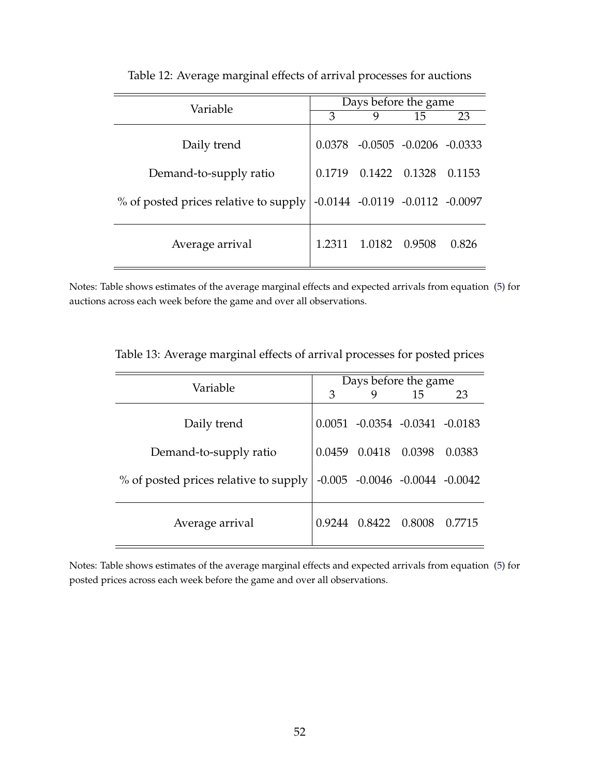| Variable                                                                | Days before the game |                                     |        |        |  |  |
|-------------------------------------------------------------------------|----------------------|-------------------------------------|--------|--------|--|--|
|                                                                         | 3                    | 9                                   | 15     | 23     |  |  |
| Daily trend                                                             |                      | $0.0378 - 0.0505 - 0.0206 - 0.0333$ |        |        |  |  |
| Demand-to-supply ratio                                                  | 0.1719               | 0.1422 0.1328                       |        | 0.1153 |  |  |
| % of posted prices relative to supply   -0.0144 -0.0119 -0.0112 -0.0097 |                      |                                     |        |        |  |  |
| Average arrival                                                         | 1.2311               | 1.0182                              | 0.9508 | 0.826  |  |  |

Table 12: Average marginal effects of arrival processes for auctions

Notes: Table shows estimates of the average marginal effects and expected arrivals from equation [\(5\)](#page-26-0) for auctions across each week before the game and over all observations.

| Variable                                                               | Days before the game |                                     |    |        |
|------------------------------------------------------------------------|----------------------|-------------------------------------|----|--------|
|                                                                        | 3                    |                                     | 15 | 23     |
| Daily trend                                                            |                      | $0.0051 - 0.0354 - 0.0341 - 0.0183$ |    |        |
| Demand-to-supply ratio                                                 |                      | 0.0459 0.0418 0.0398                |    | 0.0383 |
| % of posted prices relative to supply   -0.005 -0.0046 -0.0044 -0.0042 |                      |                                     |    |        |
| Average arrival                                                        |                      | 0.9244  0.8422  0.8008              |    | 0.7715 |

Table 13: Average marginal effects of arrival processes for posted prices

Notes: Table shows estimates of the average marginal effects and expected arrivals from equation [\(5\)](#page-26-0) for posted prices across each week before the game and over all observations.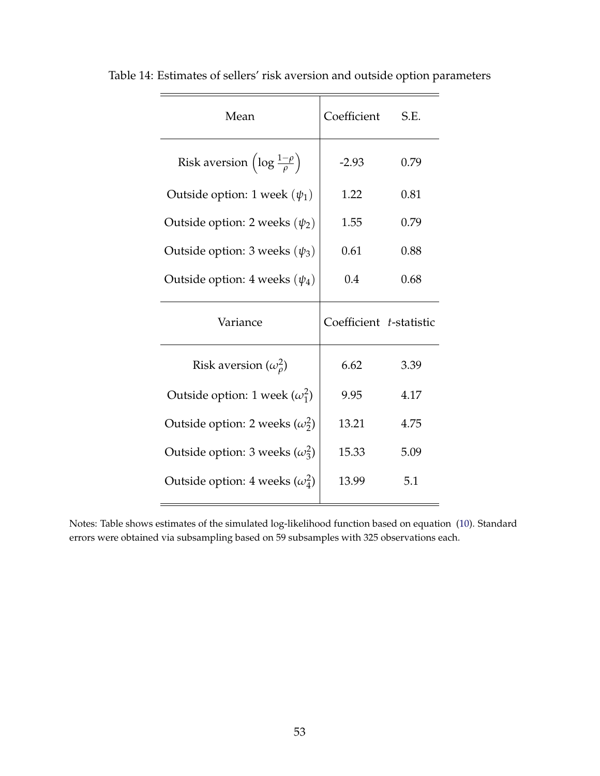| Mean                                                  | Coefficient             | S.E. |
|-------------------------------------------------------|-------------------------|------|
| Risk aversion $\left(\log \frac{1-\rho}{\rho}\right)$ | $-2.93$                 | 0.79 |
| Outside option: 1 week $(\psi_1)$                     | 1.22                    | 0.81 |
| Outside option: 2 weeks $(\psi_2)$                    | 1.55                    | 0.79 |
| Outside option: 3 weeks $(\psi_3)$                    | 0.61                    | 0.88 |
| Outside option: 4 weeks $(\psi_4)$                    | 0.4                     | 0.68 |
|                                                       |                         |      |
| Variance                                              | Coefficient t-statistic |      |
| Risk aversion $(\omega_o^2)$                          | 6.62                    | 3.39 |
| Outside option: 1 week $(\omega_1^2)$                 | 9.95                    | 4.17 |
| Outside option: 2 weeks $(\omega_2^2)$                | 13.21                   | 4.75 |
| Outside option: 3 weeks $(\omega_3^2)$                | 15.33                   | 5.09 |

Table 14: Estimates of sellers' risk aversion and outside option parameters

Notes: Table shows estimates of the simulated log-likelihood function based on equation [\(10\)](#page-31-0). Standard errors were obtained via subsampling based on 59 subsamples with 325 observations each.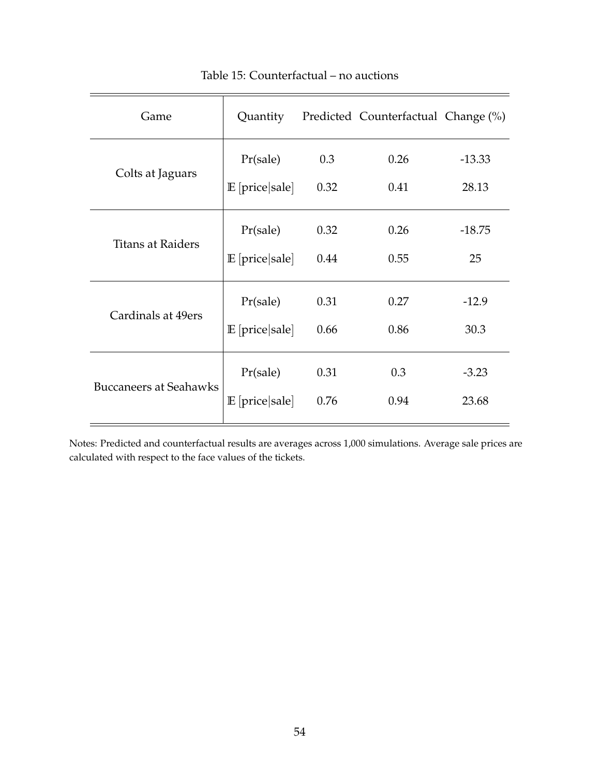<span id="page-54-0"></span>

| Game                          | Quantity           |      | Predicted Counterfactual Change (%) |          |
|-------------------------------|--------------------|------|-------------------------------------|----------|
| Colts at Jaguars              | Pr(sale)           | 0.3  | 0.26                                | $-13.33$ |
|                               | $E$ [price   sale] | 0.32 | 0.41                                | 28.13    |
| <b>Titans at Raiders</b>      | Pr(sale)           | 0.32 | 0.26                                | $-18.75$ |
|                               | $E$ [price   sale] | 0.44 | 0.55                                | 25       |
| Cardinals at 49ers            | Pr(sale)           | 0.31 | 0.27                                | $-12.9$  |
|                               | $E$ [price   sale] | 0.66 | 0.86                                | 30.3     |
| <b>Buccaneers at Seahawks</b> | Pr(sale)           | 0.31 | 0.3                                 | $-3.23$  |
|                               | $E$ [price   sale] | 0.76 | 0.94                                | 23.68    |
|                               |                    |      |                                     |          |

## Table 15: Counterfactual – no auctions

Notes: Predicted and counterfactual results are averages across 1,000 simulations. Average sale prices are calculated with respect to the face values of the tickets.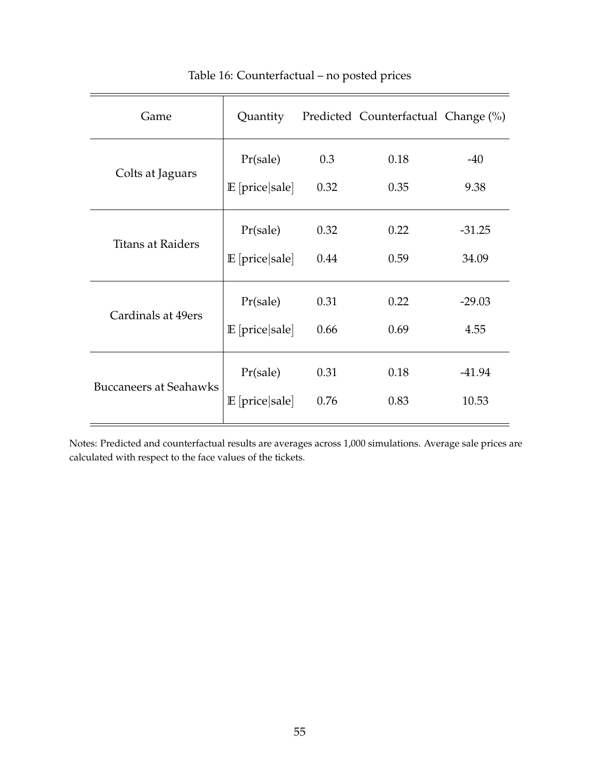<span id="page-55-0"></span>

| Game                          | Quantity           |      | Predicted Counterfactual Change (%) |          |
|-------------------------------|--------------------|------|-------------------------------------|----------|
| Colts at Jaguars              | Pr(sale)           | 0.3  | 0.18                                | $-40$    |
|                               | $E$ [price   sale] | 0.32 | 0.35                                | 9.38     |
| <b>Titans at Raiders</b>      | Pr(sale)           | 0.32 | 0.22                                | $-31.25$ |
|                               | $E$ [price   sale] | 0.44 | 0.59                                | 34.09    |
| Cardinals at 49ers            | Pr(sale)           | 0.31 | 0.22                                | $-29.03$ |
|                               | $E$ [price   sale] | 0.66 | 0.69                                | 4.55     |
| <b>Buccaneers at Seahawks</b> | Pr(sale)           | 0.31 | 0.18                                | $-41.94$ |
|                               | $E$ [price   sale] | 0.76 | 0.83                                | 10.53    |
|                               |                    |      |                                     |          |

## Table 16: Counterfactual – no posted prices

Notes: Predicted and counterfactual results are averages across 1,000 simulations. Average sale prices are calculated with respect to the face values of the tickets.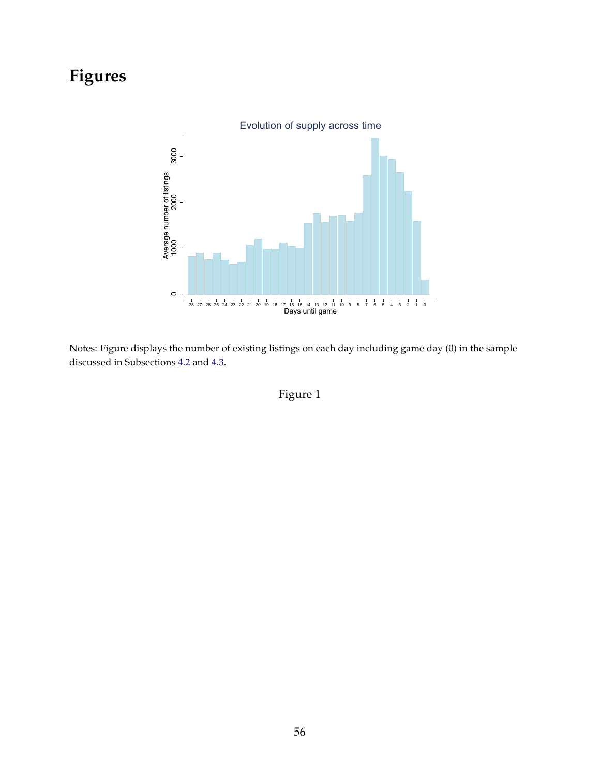# **Figures**



Notes: Figure displays the number of existing listings on each day including game day (0) in the sample discussed in Subsections [4.2](#page-13-0) and [4.3.](#page-15-0)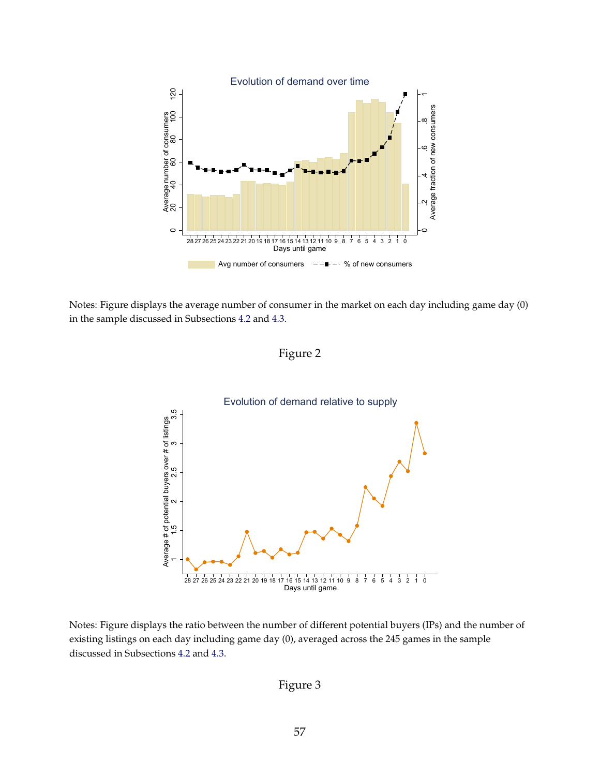

Notes: Figure displays the average number of consumer in the market on each day including game day (0) in the sample discussed in Subsections [4.2](#page-13-0) and [4.3.](#page-15-0)





Notes: Figure displays the ratio between the number of different potential buyers (IPs) and the number of existing listings on each day including game day (0), averaged across the 245 games in the sample discussed in Subsections [4.2](#page-13-0) and [4.3.](#page-15-0)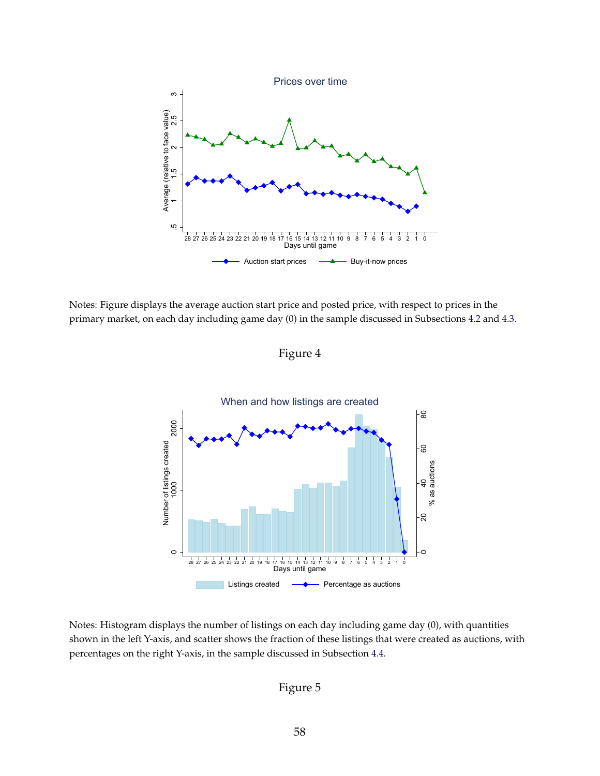

Notes: Figure displays the average auction start price and posted price, with respect to prices in the primary market, on each day including game day (0) in the sample discussed in Subsections [4.2](#page-13-0) and [4.3.](#page-15-0)

Figure 4



Notes: Histogram displays the number of listings on each day including game day (0), with quantities shown in the left Y-axis, and scatter shows the fraction of these listings that were created as auctions, with percentages on the right Y-axis, in the sample discussed in Subsection [4.4.](#page-17-0)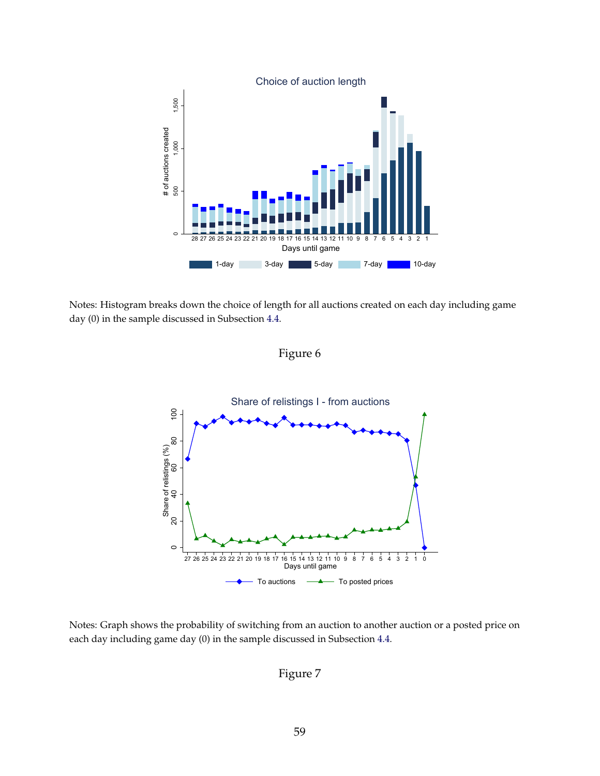

Notes: Histogram breaks down the choice of length for all auctions created on each day including game day (0) in the sample discussed in Subsection [4.4.](#page-17-0)





Notes: Graph shows the probability of switching from an auction to another auction or a posted price on each day including game day (0) in the sample discussed in Subsection [4.4.](#page-17-0)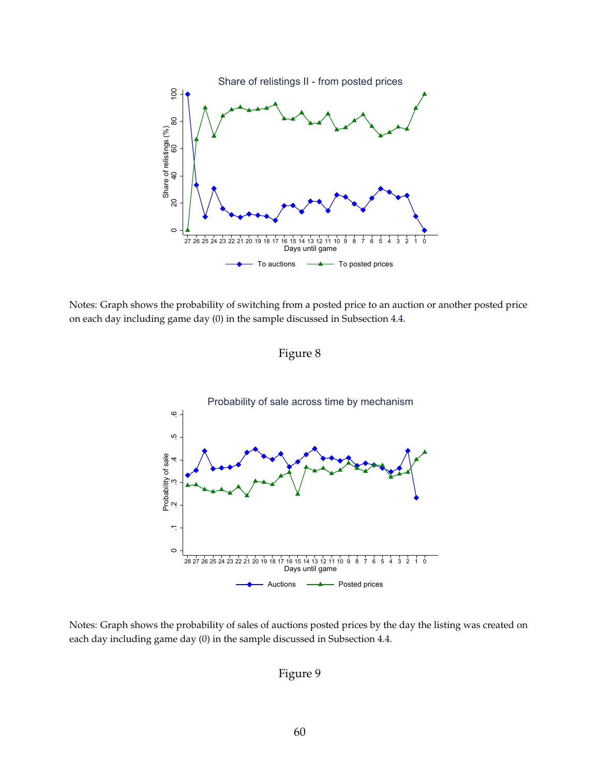

Notes: Graph shows the probability of switching from a posted price to an auction or another posted price on each day including game day (0) in the sample discussed in Subsection [4.4.](#page-17-0)

Figure 8



Notes: Graph shows the probability of sales of auctions posted prices by the day the listing was created on each day including game day (0) in the sample discussed in Subsection [4.4.](#page-17-0)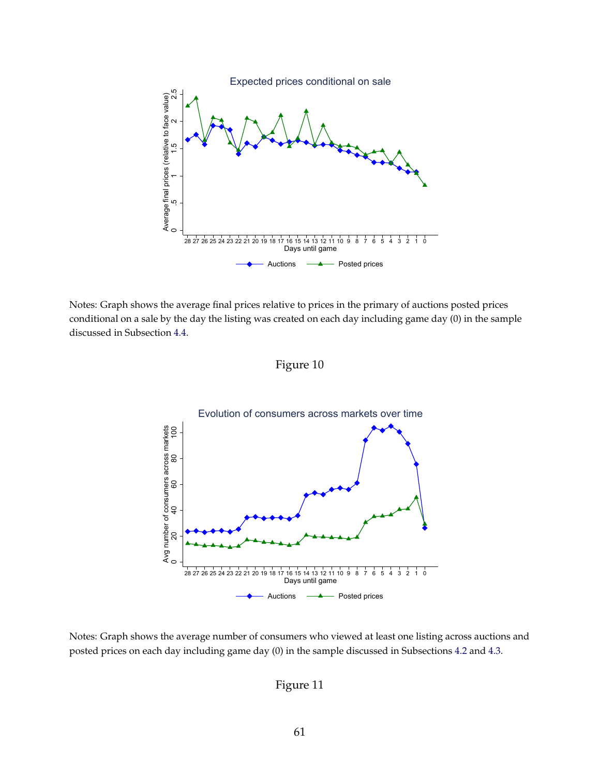

Notes: Graph shows the average final prices relative to prices in the primary of auctions posted prices conditional on a sale by the day the listing was created on each day including game day (0) in the sample discussed in Subsection [4.4.](#page-17-0)





Notes: Graph shows the average number of consumers who viewed at least one listing across auctions and posted prices on each day including game day (0) in the sample discussed in Subsections [4.2](#page-13-0) and [4.3.](#page-15-0)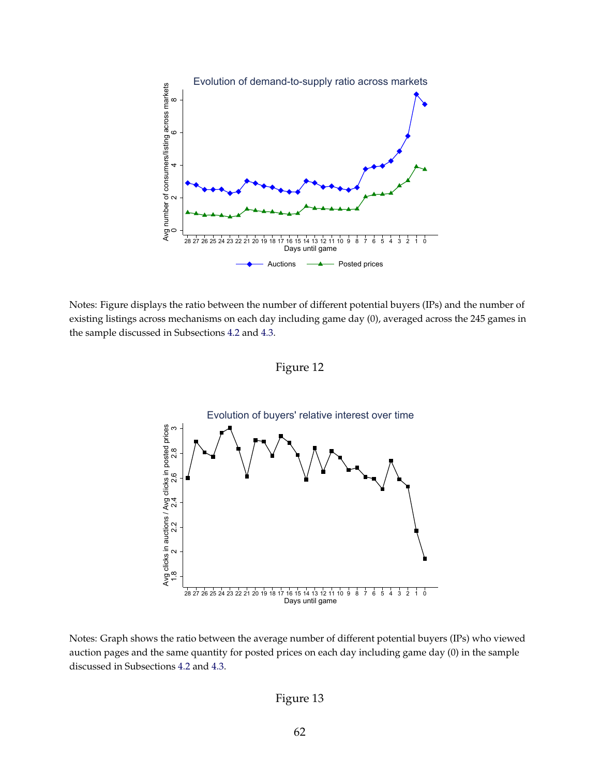

Notes: Figure displays the ratio between the number of different potential buyers (IPs) and the number of existing listings across mechanisms on each day including game day (0), averaged across the 245 games in the sample discussed in Subsections [4.2](#page-13-0) and [4.3.](#page-15-0)

Figure 12



Notes: Graph shows the ratio between the average number of different potential buyers (IPs) who viewed auction pages and the same quantity for posted prices on each day including game day (0) in the sample discussed in Subsections [4.2](#page-13-0) and [4.3.](#page-15-0)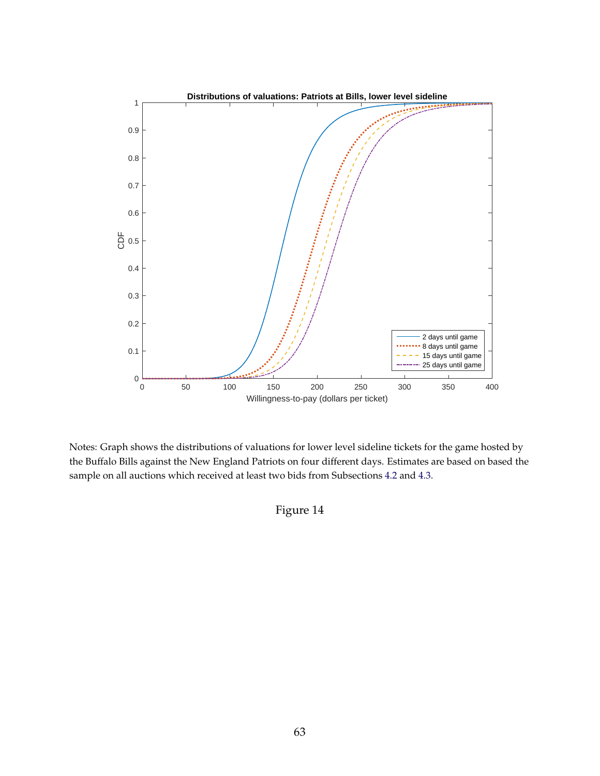

Notes: Graph shows the distributions of valuations for lower level sideline tickets for the game hosted by the Buffalo Bills against the New England Patriots on four different days. Estimates are based on based the sample on all auctions which received at least two bids from Subsections [4.2](#page-13-0) and [4.3.](#page-15-0)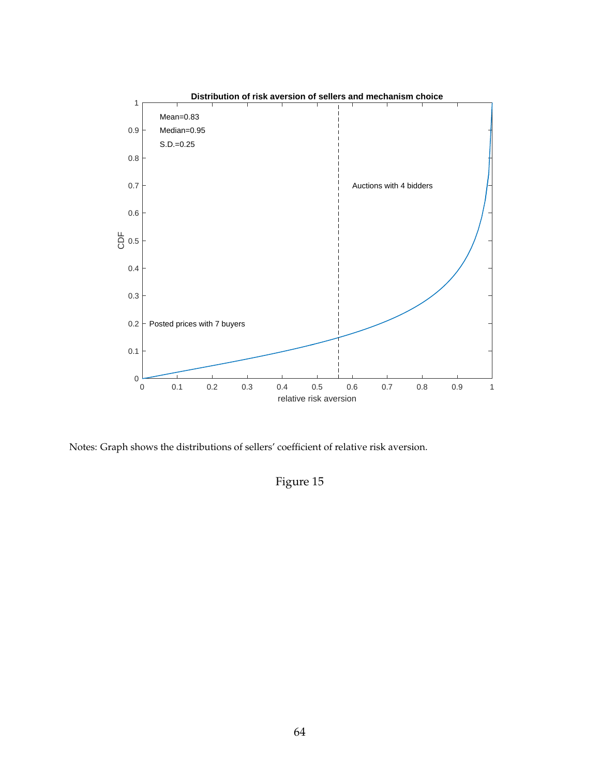

Notes: Graph shows the distributions of sellers' coefficient of relative risk aversion.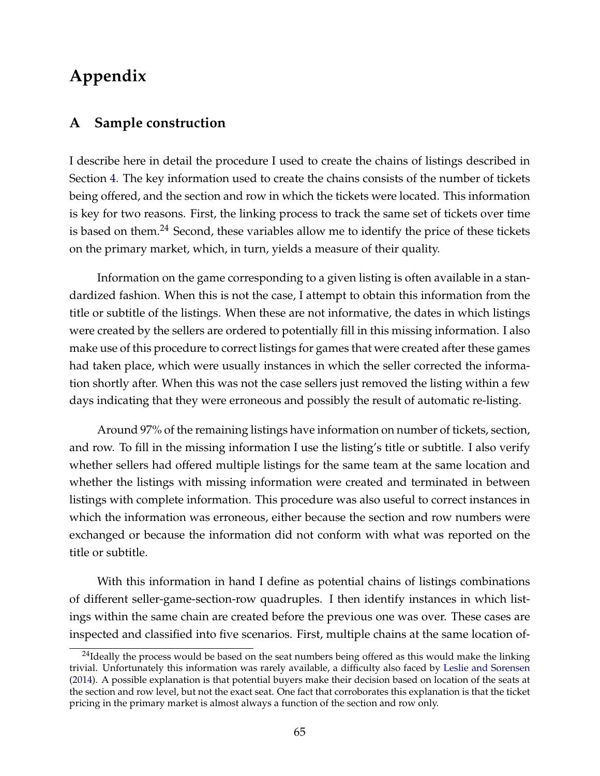# **Appendix**

## **A Sample construction**

I describe here in detail the procedure I used to create the chains of listings described in Section [4.](#page-12-0) The key information used to create the chains consists of the number of tickets being offered, and the section and row in which the tickets were located. This information is key for two reasons. First, the linking process to track the same set of tickets over time is based on them.<sup>24</sup> Second, these variables allow me to identify the price of these tickets on the primary market, which, in turn, yields a measure of their quality.

Information on the game corresponding to a given listing is often available in a standardized fashion. When this is not the case, I attempt to obtain this information from the title or subtitle of the listings. When these are not informative, the dates in which listings were created by the sellers are ordered to potentially fill in this missing information. I also make use of this procedure to correct listings for games that were created after these games had taken place, which were usually instances in which the seller corrected the information shortly after. When this was not the case sellers just removed the listing within a few days indicating that they were erroneous and possibly the result of automatic re-listing.

Around 97% of the remaining listings have information on number of tickets, section, and row. To fill in the missing information I use the listing's title or subtitle. I also verify whether sellers had offered multiple listings for the same team at the same location and whether the listings with missing information were created and terminated in between listings with complete information. This procedure was also useful to correct instances in which the information was erroneous, either because the section and row numbers were exchanged or because the information did not conform with what was reported on the title or subtitle.

With this information in hand I define as potential chains of listings combinations of different seller-game-section-row quadruples. I then identify instances in which listings within the same chain are created before the previous one was over. These cases are inspected and classified into five scenarios. First, multiple chains at the same location of-

 $24$ Ideally the process would be based on the seat numbers being offered as this would make the linking trivial. Unfortunately this information was rarely available, a difficulty also faced by [Leslie and Sorensen](#page-41-1) [\(2014\)](#page-41-1). A possible explanation is that potential buyers make their decision based on location of the seats at the section and row level, but not the exact seat. One fact that corroborates this explanation is that the ticket pricing in the primary market is almost always a function of the section and row only.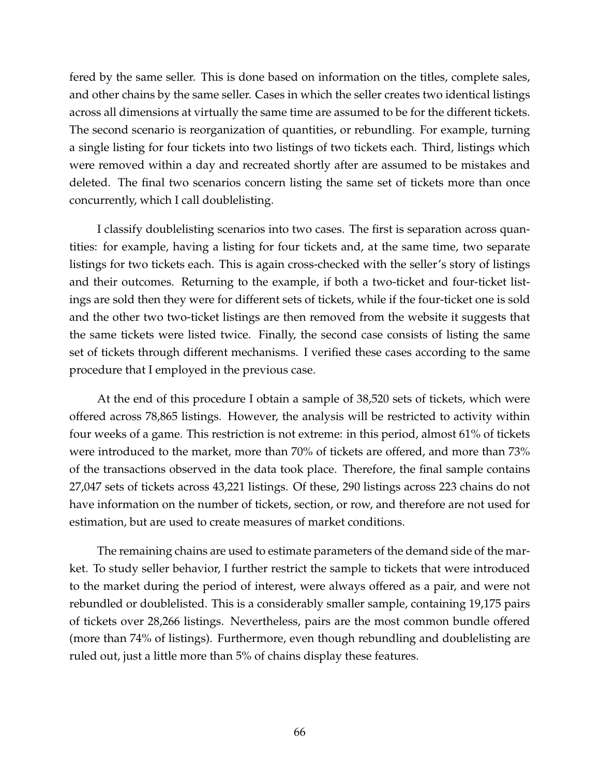fered by the same seller. This is done based on information on the titles, complete sales, and other chains by the same seller. Cases in which the seller creates two identical listings across all dimensions at virtually the same time are assumed to be for the different tickets. The second scenario is reorganization of quantities, or rebundling. For example, turning a single listing for four tickets into two listings of two tickets each. Third, listings which were removed within a day and recreated shortly after are assumed to be mistakes and deleted. The final two scenarios concern listing the same set of tickets more than once concurrently, which I call doublelisting.

I classify doublelisting scenarios into two cases. The first is separation across quantities: for example, having a listing for four tickets and, at the same time, two separate listings for two tickets each. This is again cross-checked with the seller's story of listings and their outcomes. Returning to the example, if both a two-ticket and four-ticket listings are sold then they were for different sets of tickets, while if the four-ticket one is sold and the other two two-ticket listings are then removed from the website it suggests that the same tickets were listed twice. Finally, the second case consists of listing the same set of tickets through different mechanisms. I verified these cases according to the same procedure that I employed in the previous case.

At the end of this procedure I obtain a sample of 38,520 sets of tickets, which were offered across 78,865 listings. However, the analysis will be restricted to activity within four weeks of a game. This restriction is not extreme: in this period, almost 61% of tickets were introduced to the market, more than 70% of tickets are offered, and more than 73% of the transactions observed in the data took place. Therefore, the final sample contains 27,047 sets of tickets across 43,221 listings. Of these, 290 listings across 223 chains do not have information on the number of tickets, section, or row, and therefore are not used for estimation, but are used to create measures of market conditions.

The remaining chains are used to estimate parameters of the demand side of the market. To study seller behavior, I further restrict the sample to tickets that were introduced to the market during the period of interest, were always offered as a pair, and were not rebundled or doublelisted. This is a considerably smaller sample, containing 19,175 pairs of tickets over 28,266 listings. Nevertheless, pairs are the most common bundle offered (more than 74% of listings). Furthermore, even though rebundling and doublelisting are ruled out, just a little more than 5% of chains display these features.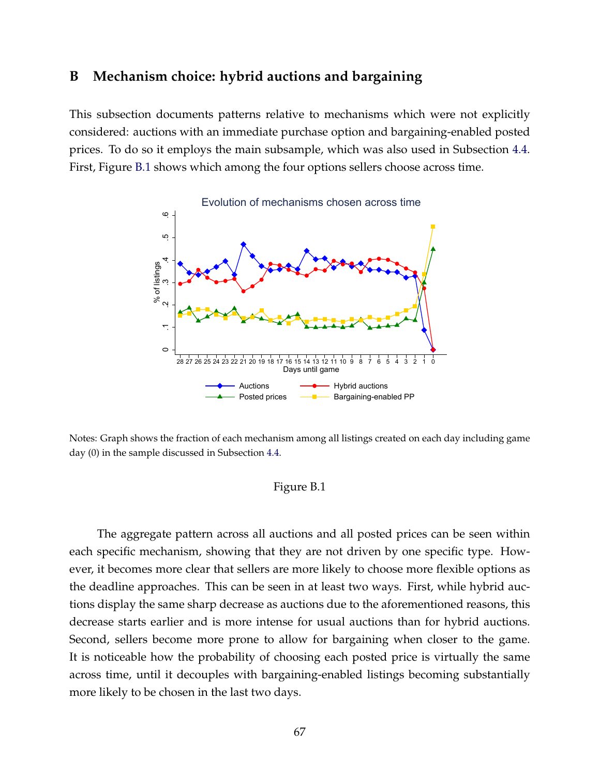### **B Mechanism choice: hybrid auctions and bargaining**

This subsection documents patterns relative to mechanisms which were not explicitly considered: auctions with an immediate purchase option and bargaining-enabled posted prices. To do so it employs the main subsample, which was also used in Subsection [4.4.](#page-17-0) First, Figure [B.1](#page-67-0) shows which among the four options sellers choose across time.

<span id="page-67-0"></span>

Notes: Graph shows the fraction of each mechanism among all listings created on each day including game day (0) in the sample discussed in Subsection [4.4.](#page-17-0)

#### Figure B.1

The aggregate pattern across all auctions and all posted prices can be seen within each specific mechanism, showing that they are not driven by one specific type. However, it becomes more clear that sellers are more likely to choose more flexible options as the deadline approaches. This can be seen in at least two ways. First, while hybrid auctions display the same sharp decrease as auctions due to the aforementioned reasons, this decrease starts earlier and is more intense for usual auctions than for hybrid auctions. Second, sellers become more prone to allow for bargaining when closer to the game. It is noticeable how the probability of choosing each posted price is virtually the same across time, until it decouples with bargaining-enabled listings becoming substantially more likely to be chosen in the last two days.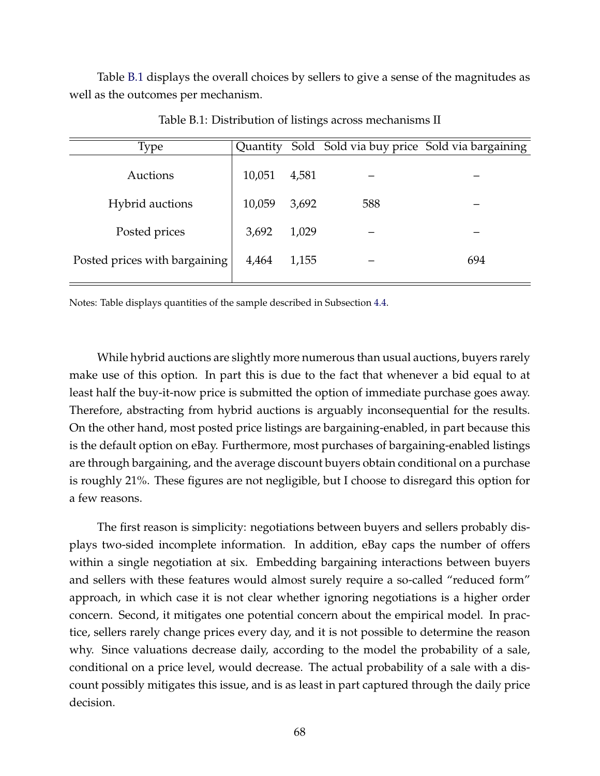Table [B.1](#page-68-0) displays the overall choices by sellers to give a sense of the magnitudes as well as the outcomes per mechanism.

<span id="page-68-0"></span>

| Type                          |        |       |     | Quantity Sold Sold via buy price Sold via bargaining |
|-------------------------------|--------|-------|-----|------------------------------------------------------|
| Auctions                      | 10,051 | 4,581 |     |                                                      |
| <b>Hybrid</b> auctions        | 10,059 | 3,692 | 588 |                                                      |
| Posted prices                 | 3,692  | 1,029 |     |                                                      |
| Posted prices with bargaining | 4,464  | 1,155 |     | 694                                                  |

Table B.1: Distribution of listings across mechanisms II

Notes: Table displays quantities of the sample described in Subsection [4.4.](#page-17-0)

While hybrid auctions are slightly more numerous than usual auctions, buyers rarely make use of this option. In part this is due to the fact that whenever a bid equal to at least half the buy-it-now price is submitted the option of immediate purchase goes away. Therefore, abstracting from hybrid auctions is arguably inconsequential for the results. On the other hand, most posted price listings are bargaining-enabled, in part because this is the default option on eBay. Furthermore, most purchases of bargaining-enabled listings are through bargaining, and the average discount buyers obtain conditional on a purchase is roughly 21%. These figures are not negligible, but I choose to disregard this option for a few reasons.

The first reason is simplicity: negotiations between buyers and sellers probably displays two-sided incomplete information. In addition, eBay caps the number of offers within a single negotiation at six. Embedding bargaining interactions between buyers and sellers with these features would almost surely require a so-called "reduced form" approach, in which case it is not clear whether ignoring negotiations is a higher order concern. Second, it mitigates one potential concern about the empirical model. In practice, sellers rarely change prices every day, and it is not possible to determine the reason why. Since valuations decrease daily, according to the model the probability of a sale, conditional on a price level, would decrease. The actual probability of a sale with a discount possibly mitigates this issue, and is as least in part captured through the daily price decision.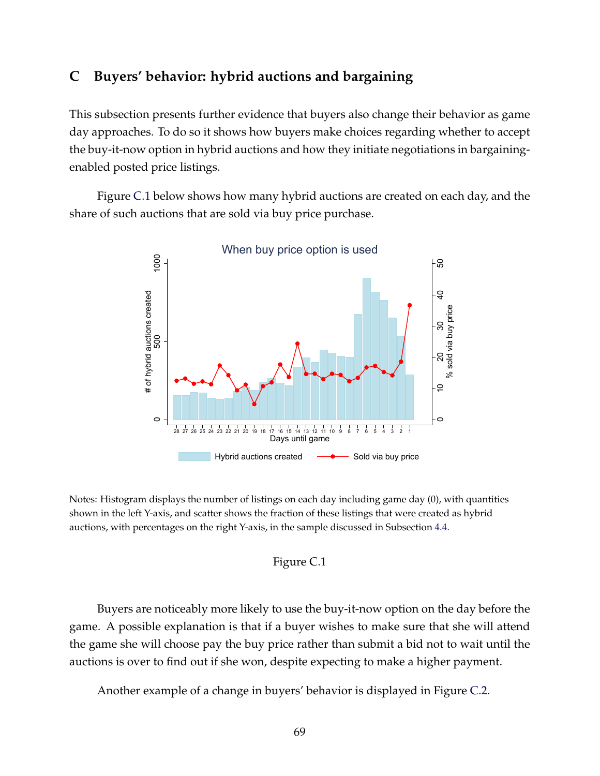## **C Buyers' behavior: hybrid auctions and bargaining**

This subsection presents further evidence that buyers also change their behavior as game day approaches. To do so it shows how buyers make choices regarding whether to accept the buy-it-now option in hybrid auctions and how they initiate negotiations in bargainingenabled posted price listings.

<span id="page-69-0"></span>Figure [C.1](#page-69-0) below shows how many hybrid auctions are created on each day, and the share of such auctions that are sold via buy price purchase.



Notes: Histogram displays the number of listings on each day including game day (0), with quantities shown in the left Y-axis, and scatter shows the fraction of these listings that were created as hybrid auctions, with percentages on the right Y-axis, in the sample discussed in Subsection [4.4.](#page-17-0)



Buyers are noticeably more likely to use the buy-it-now option on the day before the game. A possible explanation is that if a buyer wishes to make sure that she will attend the game she will choose pay the buy price rather than submit a bid not to wait until the auctions is over to find out if she won, despite expecting to make a higher payment.

Another example of a change in buyers' behavior is displayed in Figure [C.2.](#page-70-0)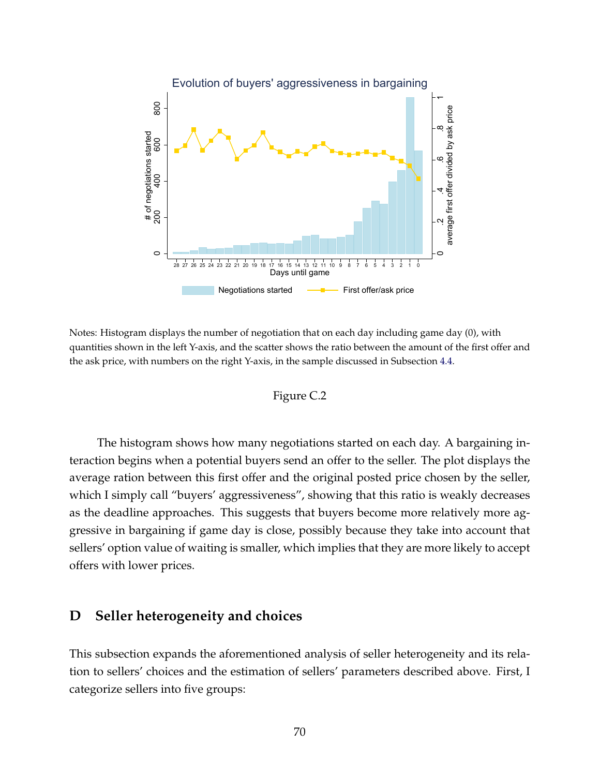<span id="page-70-0"></span>

Notes: Histogram displays the number of negotiation that on each day including game day (0), with quantities shown in the left Y-axis, and the scatter shows the ratio between the amount of the first offer and the ask price, with numbers on the right Y-axis, in the sample discussed in Subsection [4.4.](#page-17-0)

## Figure C.2

The histogram shows how many negotiations started on each day. A bargaining interaction begins when a potential buyers send an offer to the seller. The plot displays the average ration between this first offer and the original posted price chosen by the seller, which I simply call "buyers' aggressiveness", showing that this ratio is weakly decreases as the deadline approaches. This suggests that buyers become more relatively more aggressive in bargaining if game day is close, possibly because they take into account that sellers' option value of waiting is smaller, which implies that they are more likely to accept offers with lower prices.

## **D Seller heterogeneity and choices**

This subsection expands the aforementioned analysis of seller heterogeneity and its relation to sellers' choices and the estimation of sellers' parameters described above. First, I categorize sellers into five groups: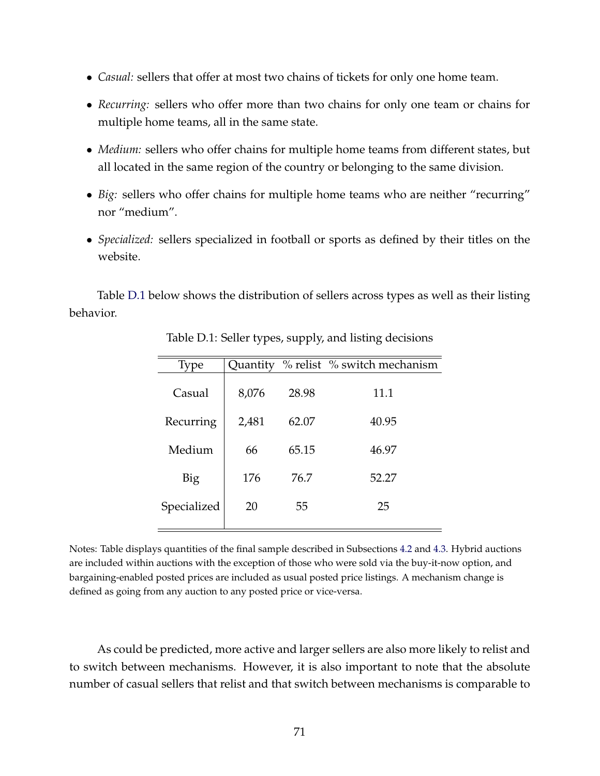- *Casual:* sellers that offer at most two chains of tickets for only one home team.
- *Recurring:* sellers who offer more than two chains for only one team or chains for multiple home teams, all in the same state.
- *Medium:* sellers who offer chains for multiple home teams from different states, but all located in the same region of the country or belonging to the same division.
- *Big:* sellers who offer chains for multiple home teams who are neither "recurring" nor "medium".
- *Specialized:* sellers specialized in football or sports as defined by their titles on the website.

<span id="page-71-0"></span>Table [D.1](#page-71-0) below shows the distribution of sellers across types as well as their listing behavior.

| Type        | Quantity |       | % relist % switch mechanism |
|-------------|----------|-------|-----------------------------|
| Casual      | 8,076    | 28.98 | 11.1                        |
| Recurring   | 2,481    | 62.07 | 40.95                       |
| Medium      | 66       | 65.15 | 46.97                       |
| Big         | 176      | 76.7  | 52.27                       |
| Specialized | 20       | 55    | 25                          |
|             |          |       |                             |

Table D.1: Seller types, supply, and listing decisions

Notes: Table displays quantities of the final sample described in Subsections [4.2](#page-13-0) and [4.3.](#page-15-0) Hybrid auctions are included within auctions with the exception of those who were sold via the buy-it-now option, and bargaining-enabled posted prices are included as usual posted price listings. A mechanism change is defined as going from any auction to any posted price or vice-versa.

As could be predicted, more active and larger sellers are also more likely to relist and to switch between mechanisms. However, it is also important to note that the absolute number of casual sellers that relist and that switch between mechanisms is comparable to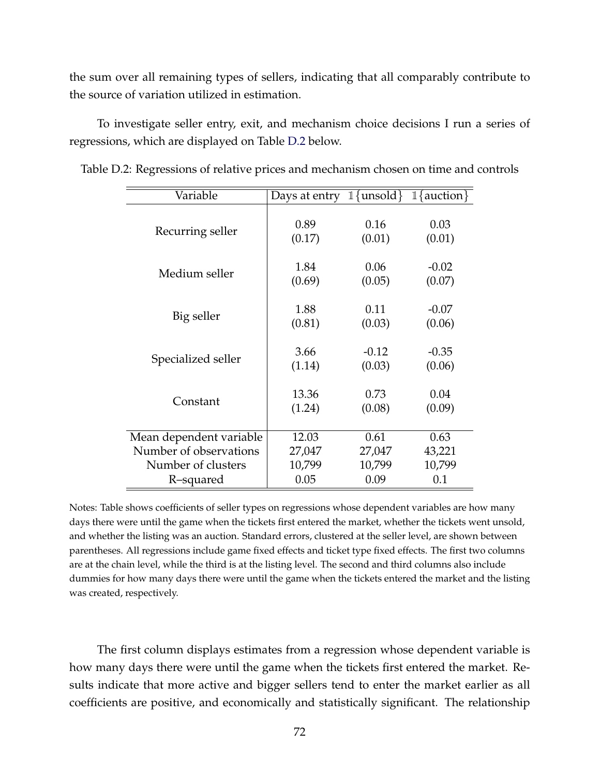the sum over all remaining types of sellers, indicating that all comparably contribute to the source of variation utilized in estimation.

To investigate seller entry, exit, and mechanism choice decisions I run a series of regressions, which are displayed on Table [D.2](#page-72-0) below.

| Variable                | Days at entry | $\mathbb{1}\{\text{unsold}\}\$ | $1$ {auction} |
|-------------------------|---------------|--------------------------------|---------------|
| Recurring seller        | 0.89          | 0.16                           | 0.03          |
|                         | (0.17)        | (0.01)                         | (0.01)        |
| Medium seller           | 1.84          | 0.06                           | $-0.02$       |
|                         | (0.69)        | (0.05)                         | (0.07)        |
| Big seller              | 1.88          | 0.11                           | $-0.07$       |
|                         | (0.81)        | (0.03)                         | (0.06)        |
| Specialized seller      | 3.66          | $-0.12$                        | $-0.35$       |
|                         | (1.14)        | (0.03)                         | (0.06)        |
| Constant                | 13.36         | 0.73                           | 0.04          |
|                         | (1.24)        | (0.08)                         | (0.09)        |
| Mean dependent variable | 12.03         | 0.61                           | 0.63          |
| Number of observations  | 27,047        | 27,047                         | 43,221        |
| Number of clusters      | 10,799        | 10,799                         | 10,799        |
| R-squared               | 0.05          | 0.09                           | 0.1           |

<span id="page-72-0"></span>Table D.2: Regressions of relative prices and mechanism chosen on time and controls

Notes: Table shows coefficients of seller types on regressions whose dependent variables are how many days there were until the game when the tickets first entered the market, whether the tickets went unsold, and whether the listing was an auction. Standard errors, clustered at the seller level, are shown between parentheses. All regressions include game fixed effects and ticket type fixed effects. The first two columns are at the chain level, while the third is at the listing level. The second and third columns also include dummies for how many days there were until the game when the tickets entered the market and the listing was created, respectively.

The first column displays estimates from a regression whose dependent variable is how many days there were until the game when the tickets first entered the market. Results indicate that more active and bigger sellers tend to enter the market earlier as all coefficients are positive, and economically and statistically significant. The relationship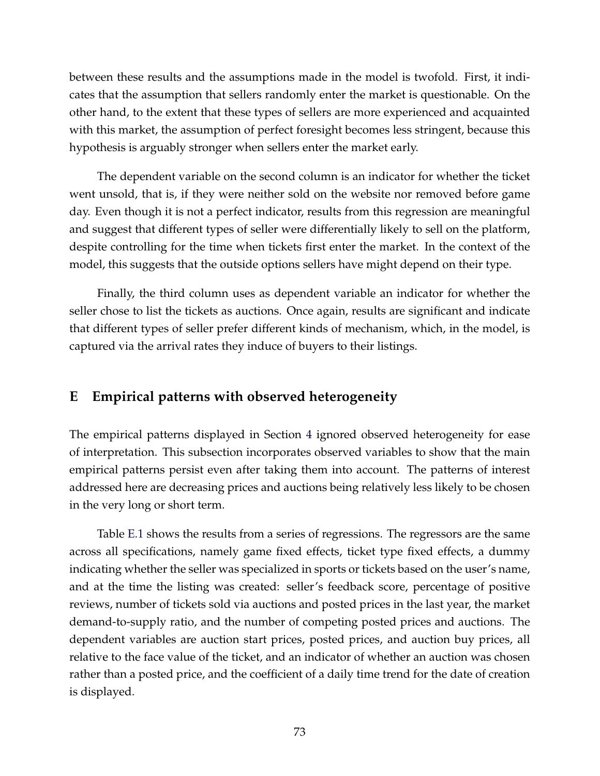between these results and the assumptions made in the model is twofold. First, it indicates that the assumption that sellers randomly enter the market is questionable. On the other hand, to the extent that these types of sellers are more experienced and acquainted with this market, the assumption of perfect foresight becomes less stringent, because this hypothesis is arguably stronger when sellers enter the market early.

The dependent variable on the second column is an indicator for whether the ticket went unsold, that is, if they were neither sold on the website nor removed before game day. Even though it is not a perfect indicator, results from this regression are meaningful and suggest that different types of seller were differentially likely to sell on the platform, despite controlling for the time when tickets first enter the market. In the context of the model, this suggests that the outside options sellers have might depend on their type.

Finally, the third column uses as dependent variable an indicator for whether the seller chose to list the tickets as auctions. Once again, results are significant and indicate that different types of seller prefer different kinds of mechanism, which, in the model, is captured via the arrival rates they induce of buyers to their listings.

## **E Empirical patterns with observed heterogeneity**

The empirical patterns displayed in Section [4](#page-12-0) ignored observed heterogeneity for ease of interpretation. This subsection incorporates observed variables to show that the main empirical patterns persist even after taking them into account. The patterns of interest addressed here are decreasing prices and auctions being relatively less likely to be chosen in the very long or short term.

Table [E.1](#page-74-0) shows the results from a series of regressions. The regressors are the same across all specifications, namely game fixed effects, ticket type fixed effects, a dummy indicating whether the seller was specialized in sports or tickets based on the user's name, and at the time the listing was created: seller's feedback score, percentage of positive reviews, number of tickets sold via auctions and posted prices in the last year, the market demand-to-supply ratio, and the number of competing posted prices and auctions. The dependent variables are auction start prices, posted prices, and auction buy prices, all relative to the face value of the ticket, and an indicator of whether an auction was chosen rather than a posted price, and the coefficient of a daily time trend for the date of creation is displayed.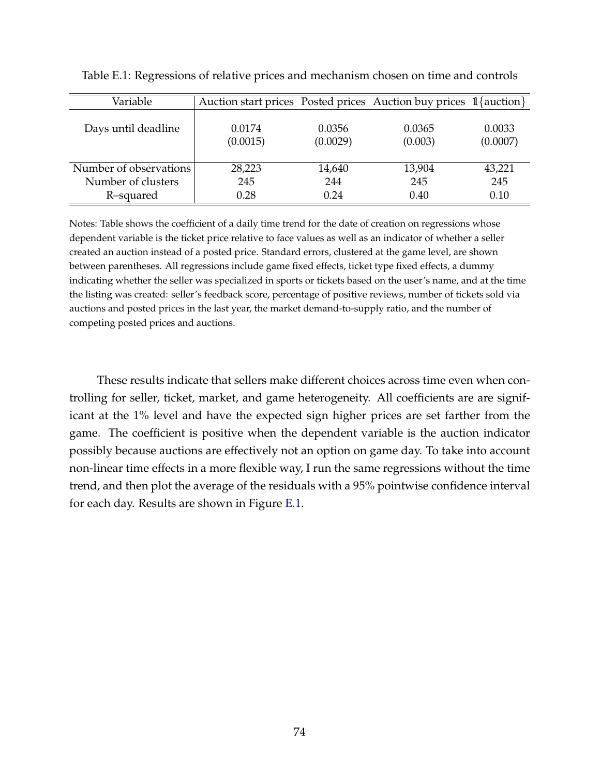<span id="page-74-0"></span>

| Variable               | Auction start prices Posted prices Auction buy prices 1{auction} |                    |                   |                    |
|------------------------|------------------------------------------------------------------|--------------------|-------------------|--------------------|
| Days until deadline    | 0.0174<br>(0.0015)                                               | 0.0356<br>(0.0029) | 0.0365<br>(0.003) | 0.0033<br>(0.0007) |
| Number of observations | 28,223                                                           | 14,640             | 13,904            | 43,221             |
| Number of clusters     | 245                                                              | 244                | 245               | 245                |
| R-squared              | 0.28                                                             | 0.24               | 0.40              | 0.10               |

Table E.1: Regressions of relative prices and mechanism chosen on time and controls

Notes: Table shows the coefficient of a daily time trend for the date of creation on regressions whose dependent variable is the ticket price relative to face values as well as an indicator of whether a seller created an auction instead of a posted price. Standard errors, clustered at the game level, are shown between parentheses. All regressions include game fixed effects, ticket type fixed effects, a dummy indicating whether the seller was specialized in sports or tickets based on the user's name, and at the time the listing was created: seller's feedback score, percentage of positive reviews, number of tickets sold via auctions and posted prices in the last year, the market demand-to-supply ratio, and the number of competing posted prices and auctions.

These results indicate that sellers make different choices across time even when controlling for seller, ticket, market, and game heterogeneity. All coefficients are are significant at the 1% level and have the expected sign higher prices are set farther from the game. The coefficient is positive when the dependent variable is the auction indicator possibly because auctions are effectively not an option on game day. To take into account non-linear time effects in a more flexible way, I run the same regressions without the time trend, and then plot the average of the residuals with a 95% pointwise confidence interval for each day. Results are shown in Figure [E.1.](#page-75-0)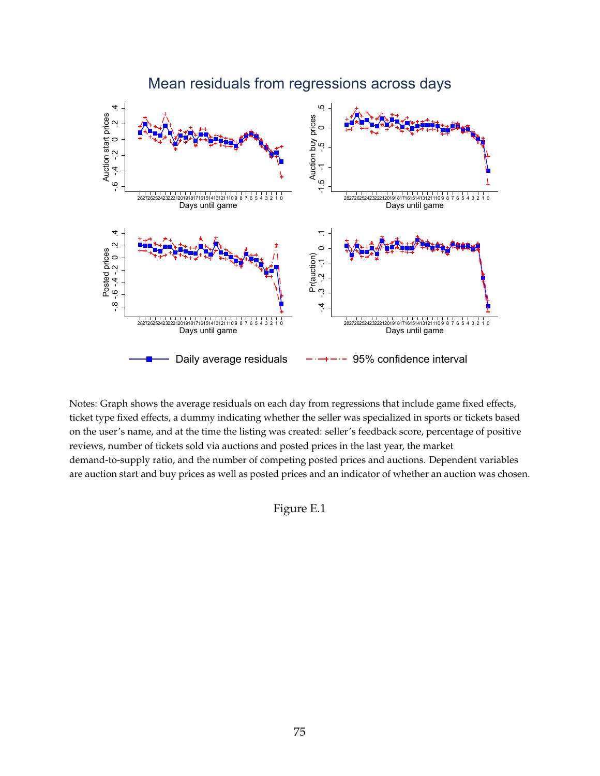<span id="page-75-0"></span>

Notes: Graph shows the average residuals on each day from regressions that include game fixed effects, ticket type fixed effects, a dummy indicating whether the seller was specialized in sports or tickets based on the user's name, and at the time the listing was created: seller's feedback score, percentage of positive reviews, number of tickets sold via auctions and posted prices in the last year, the market demand-to-supply ratio, and the number of competing posted prices and auctions. Dependent variables are auction start and buy prices as well as posted prices and an indicator of whether an auction was chosen.

Figure E.1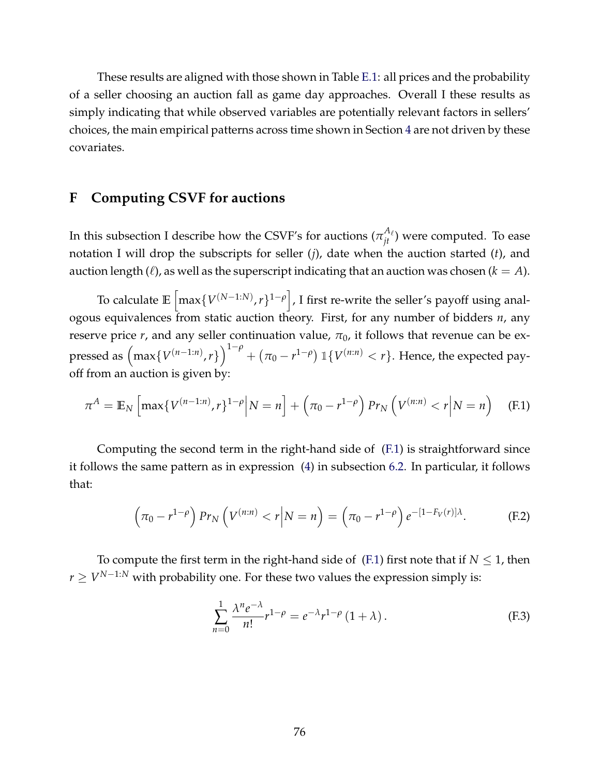These results are aligned with those shown in Table [E.1:](#page-74-0) all prices and the probability of a seller choosing an auction fall as game day approaches. Overall I these results as simply indicating that while observed variables are potentially relevant factors in sellers' choices, the main empirical patterns across time shown in Section [4](#page-12-0) are not driven by these covariates.

## **F Computing CSVF for auctions**

In this subsection I describe how the CSVF's for auctions  $(\pi^{A_\ell}_{jt})$  were computed. To ease notation I will drop the subscripts for seller (*j*), date when the auction started (*t*), and auction length  $(\ell)$ , as well as the superscript indicating that an auction was chosen  $(k = A)$ .

To calculate E  $\left\lceil \max\{V^{(N-1:N)}, r\}^{1-\rho} \right\rceil$ , I first re-write the seller's payoff using analogous equivalences from static auction theory. First, for any number of bidders *n*, any reserve price  $r$ , and any seller continuation value,  $\pi_0$ , it follows that revenue can be expressed as  $\left(\max\{V^{(n-1:n)},r\}\right)^{1-\rho} + \left(\pi_0 - r^{1-\rho}\right) \mathbbm{1}\{V^{(n:n)} < r\}$ . Hence, the expected payoff from an auction is given by:

$$
\pi^{A} = \mathbb{E}_{N} \left[ \max \{ V^{(n-1:n)}, r \}^{1-\rho} \middle| N = n \right] + \left( \pi_{0} - r^{1-\rho} \right) Pr_{N} \left( V^{(n:n)} < r \middle| N = n \right) \tag{F.1}
$$

Computing the second term in the right-hand side of [\(F.1\)](#page-76-0) is straightforward since it follows the same pattern as in expression [\(4\)](#page-26-0) in subsection [6.2.](#page-26-1) In particular, it follows that:

$$
\left(\pi_0 - r^{1-\rho}\right) Pr_N \left(V^{(n:n)} < r \middle| N = n\right) = \left(\pi_0 - r^{1-\rho}\right) e^{-\left[1 - F_V(r)\right] \lambda}.\tag{F.2}
$$

To compute the first term in the right-hand side of [\(F.1\)](#page-76-0) first note that if  $N \leq 1$ , then *r* ≥ *V*<sup>*N*−1:*N*</sup> with probability one. For these two values the expression simply is:

<span id="page-76-2"></span><span id="page-76-1"></span><span id="page-76-0"></span>
$$
\sum_{n=0}^{1} \frac{\lambda^n e^{-\lambda}}{n!} r^{1-\rho} = e^{-\lambda} r^{1-\rho} (1+\lambda).
$$
 (F.3)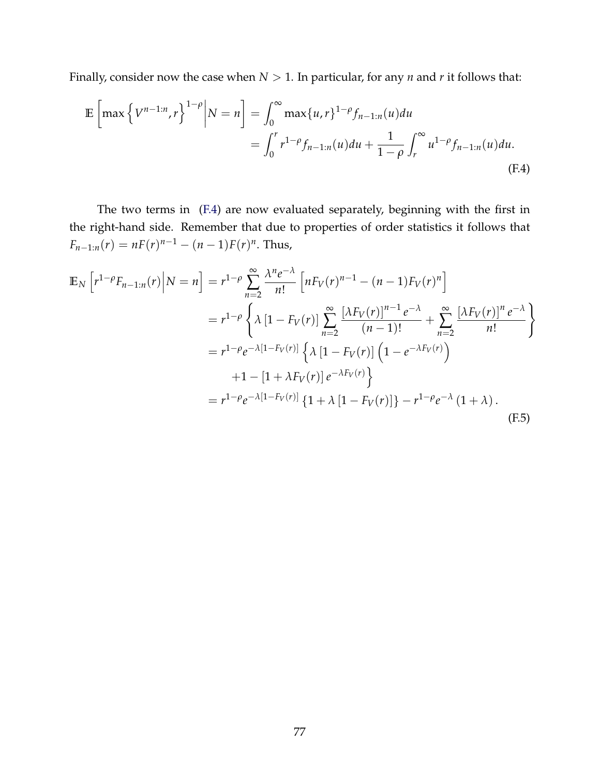Finally, consider now the case when  $N > 1$ . In particular, for any *n* and *r* it follows that:

<span id="page-77-0"></span>
$$
\mathbb{E}\left[\max\left\{V^{n-1:n},r\right\}^{1-\rho}\middle|N=n\right] = \int_0^\infty \max\{u,r\}^{1-\rho} f_{n-1:n}(u) du
$$

$$
= \int_0^r r^{1-\rho} f_{n-1:n}(u) du + \frac{1}{1-\rho} \int_r^\infty u^{1-\rho} f_{n-1:n}(u) du.
$$
(F.4)

The two terms in [\(F.4\)](#page-77-0) are now evaluated separately, beginning with the first in the right-hand side. Remember that due to properties of order statistics it follows that  $F_{n-1:n}(r) = nF(r)^{n-1} - (n-1)F(r)^n$ . Thus,

<span id="page-77-1"></span>
$$
\mathbb{E}_{N}\left[r^{1-\rho}F_{n-1:n}(r)\middle|N=n\right] = r^{1-\rho}\sum_{n=2}^{\infty}\frac{\lambda^{n}e^{-\lambda}}{n!}\left[nF_{V}(r)^{n-1}-(n-1)F_{V}(r)^{n}\right]
$$
\n
$$
= r^{1-\rho}\left\{\lambda\left[1-F_{V}(r)\right]\sum_{n=2}^{\infty}\frac{[\lambda F_{V}(r)]^{n-1}e^{-\lambda}}{(n-1)!}+\sum_{n=2}^{\infty}\frac{[\lambda F_{V}(r)]^{n}e^{-\lambda}}{n!}\right\}
$$
\n
$$
= r^{1-\rho}e^{-\lambda[1-F_{V}(r)]}\left\{\lambda\left[1-F_{V}(r)\right]\left(1-e^{-\lambda F_{V}(r)}\right)\right\}
$$
\n
$$
+1-[1+\lambda F_{V}(r)]e^{-\lambda F_{V}(r)}\right\}
$$
\n
$$
= r^{1-\rho}e^{-\lambda[1-F_{V}(r)]}\left\{1+\lambda\left[1-F_{V}(r)\right]\right\}-r^{1-\rho}e^{-\lambda}\left(1+\lambda\right).
$$
\n(F.5)